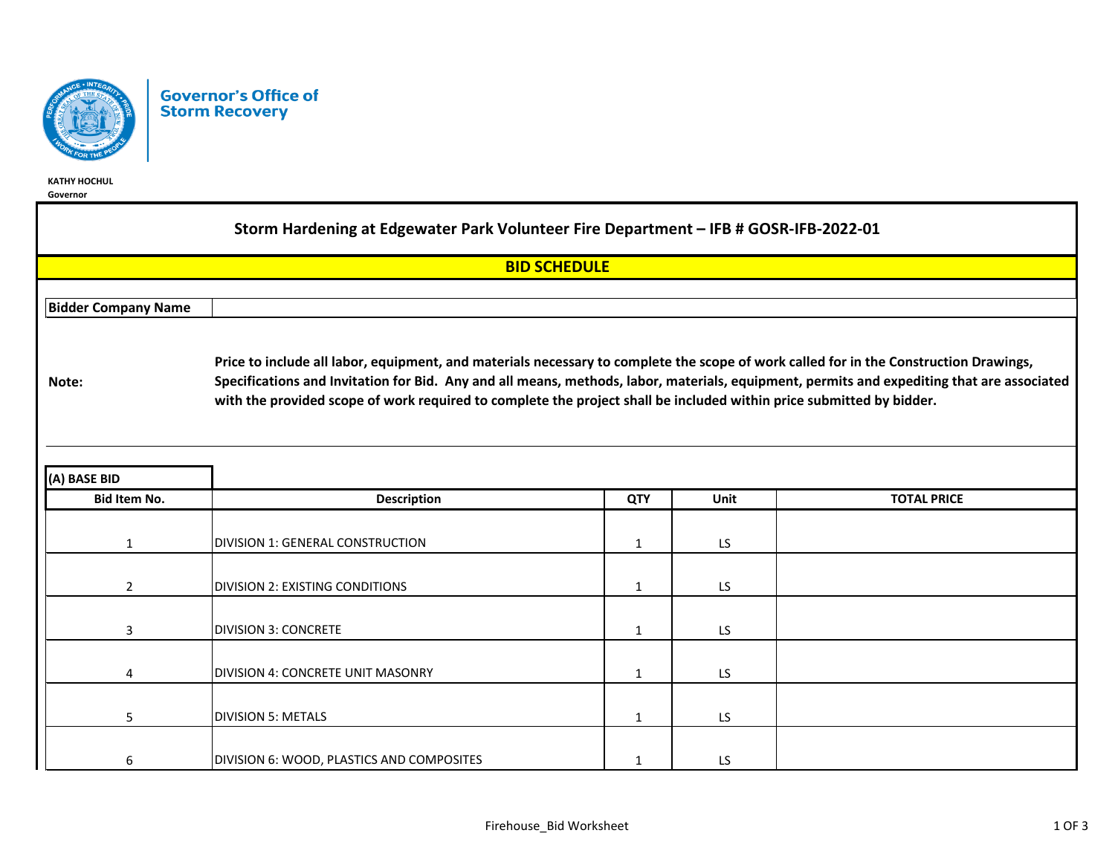

**KATHY HOCHUL**

Governor

**INVITATION FOR BID: Storm Hardening at Edgewater Park Volunteer Fire Department – IFB # GOSR-IFB-2022-01**

## **HOUSING TRUST FUND CORPORATION GOVERNOR'S OFFICE OF STORM RECOVERY**

Invitation for Bids for Storm Hardening at Edgewater Park Volunteer Fire Department

| <b>Bid Issuance Date</b>                           | June 14 <sup>th</sup> , 2022                                                                                                                                                                                                                                  |  |
|----------------------------------------------------|---------------------------------------------------------------------------------------------------------------------------------------------------------------------------------------------------------------------------------------------------------------|--|
| <b>Pre-Bid Conference Date</b>                     | June 17 <sup>th</sup> , 2022-2:00 PM EDT                                                                                                                                                                                                                      |  |
| <b>Pre-Bid Site Visit Date</b>                     | June $23^{rd}$ , $2022 - 12:00$ PM EDT                                                                                                                                                                                                                        |  |
| <b>Questions Due Date</b>                          | July 1 <sup>st</sup> , 2022–2:00 PM EDT                                                                                                                                                                                                                       |  |
| <b>BID SUBMISSION DATE</b><br><b>&amp; OPENING</b> | July 13th, 2022–2:00 PM EDT<br><b>NO EXCEPTIONS.</b>                                                                                                                                                                                                          |  |
|                                                    |                                                                                                                                                                                                                                                               |  |
| <b>Bid Submission Notes</b>                        | Bidder must carefully read all instructions, requirements, and<br>specifications. Bidder must ensure all forms are filled out properly<br>and completely.<br>Bids must be submitted electronically to:<br>Email address: GOSRProcurement@stormrecovery.ny.gov |  |

**PROJECT FUNDING:** The Contract anticipated to be awarded pursuant to this IFB shall be funded, in whole or in part, with Federal grant monies. The selected Contractor shall be required to comply with the terms and conditions of the grant and applicable Federal, State, and local procedures, including, but not limited to, the Uniform Administrative Requirements and Cost Principles, codified at 2 C.F.R. Part 200.

| <b>COMPANY NAME</b>     |  |
|-------------------------|--|
| <b>TOTAL BID AMOUNT</b> |  |

**This Invitation for Bid Cover Sheet must be complete and included with your Bid submission**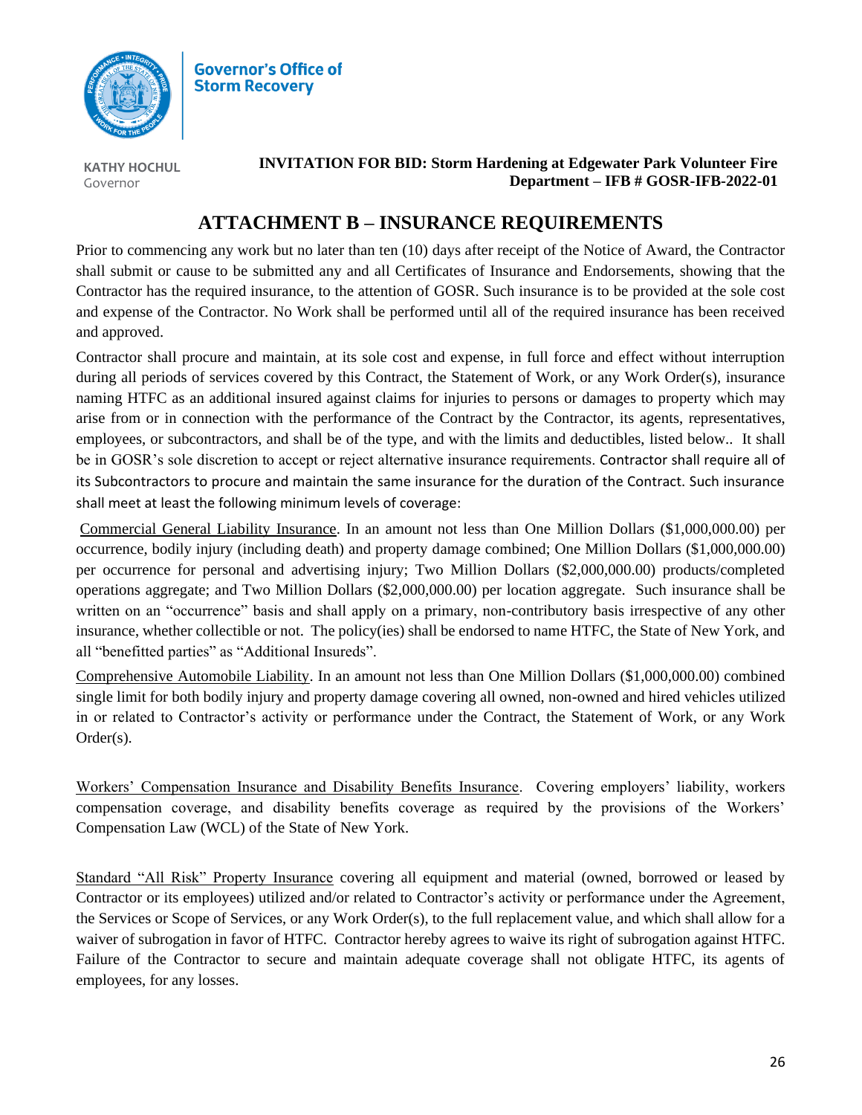

**KATHY HOCHUL** Governor **INVITATION FOR BID: Storm Hardening at Edgewater Park Volunteer Fire Department – IFB # GOSR-IFB-2022-01**

## **Contents**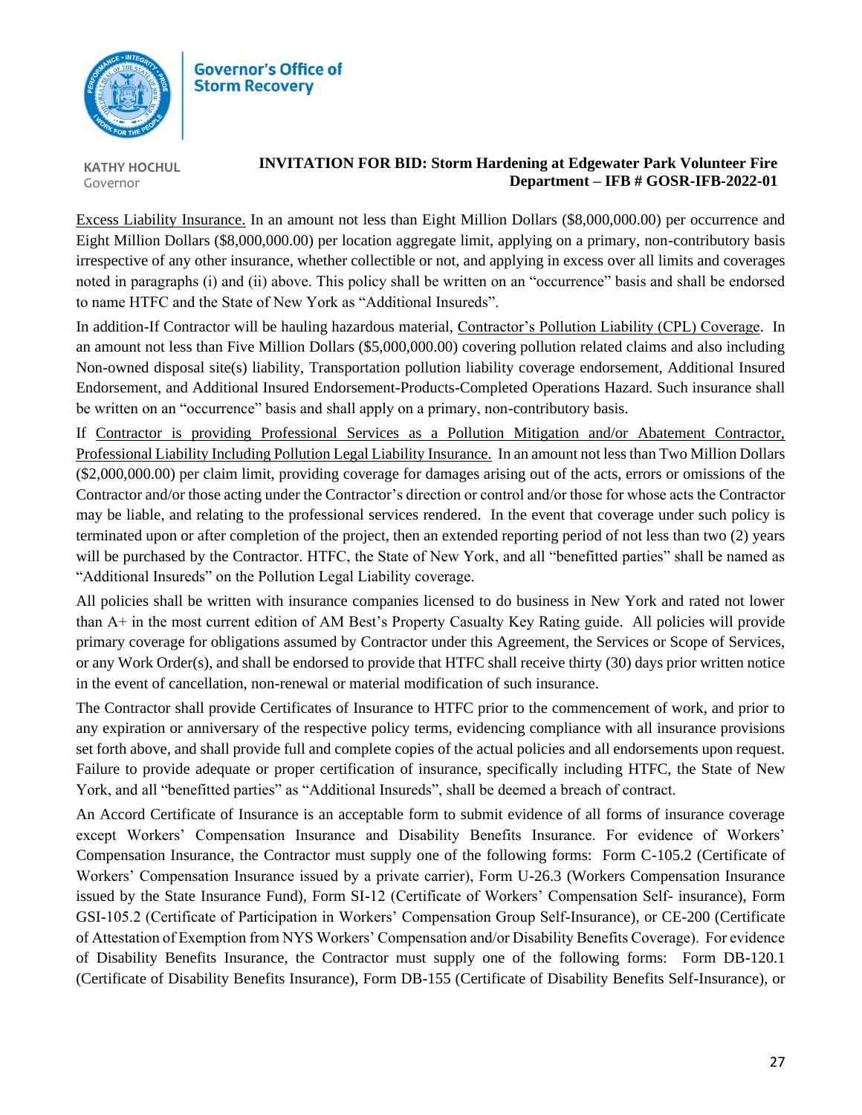

**KATHY HOCHUL** Governor

#### **INVITATION FOR BID: Storm Hardening at Edgewater Park Volunteer Fire Department – IFB # GOSR-IFB-2022-01**

**IMPORTANT NOTICE:** A Restricted Period under the Lobbying Procurement Law is currently in effect for this procurement process and will remain in effect until approval of the Contract. Bidders are prohibited from Lobbying Procurement Law Contacts related to this procurement process with any employee of the Housing Trust Fund Corporation ("HTFC"), the Governor's Office of Storm Recovery ("GOSR)", or its Affiliates, other than the Designated Contact Officer listed below.

Lobbying Procurement Law Designated Contact Officer: Natalie Dennery Lobbying Contact Officer Governor's Office of Storm Recovery Email: [GOSRProcurement@stormrecovery.ny.gov](mailto:GOSRProcurement@stormrecovery.ny.gov) Email subject: RE: Lobbying Inquiry

Pursuant to State Finance Law §§ 139-j and 139-k, this IFB includes and imposes certain restrictions on communications between GOSR and Bidders during the solicitation process. A Bidder is restricted from making contacts from the earliest notice of intent to solicit offers through final award and approval of the contract (the "Restricted Period") with GOSR staff other than the Designated Contact Officer, unless it is a contact that is included among certain statutory exceptions set forth in State Finance Law  $\S$  139-j(3)(a).

In accordance with § 2879 of the Public Authorities Law, GOSR is required to make a responsibility determination with respect to each Contractor to whom a contract is to be awarded. The Lobbying Law requires that proposed Contractors disclose findings of non-responsibility against them by any other governmental agency within the previous four (4) years. Certain findings of non-responsibility can result in a rejection for contract award and, in the event of two (2) findings within a four-year period, the Bidder will be rendered ineligible (debarred) to submit a proposal for, or be awarded, any procurement contract for a period of four (4) years from the date of the second final determination of non-responsibility. Contacts by GOSR employees who are required to obtain information in furtherance of the Responsibility Determination are considered "permissible contacts" under the NYS Finance Law § 139 (j)(3)(a)(8). Further information about these requirements and HTFC's Lobbying Procurement Law policies is available in [HTFC's Standard Clauses and Requirements for Solicitations,](https://hcr.ny.gov/system/files/documents/2019/02/appendixiagenciesstandardcontractclauses.pdf) hyperlinked herein.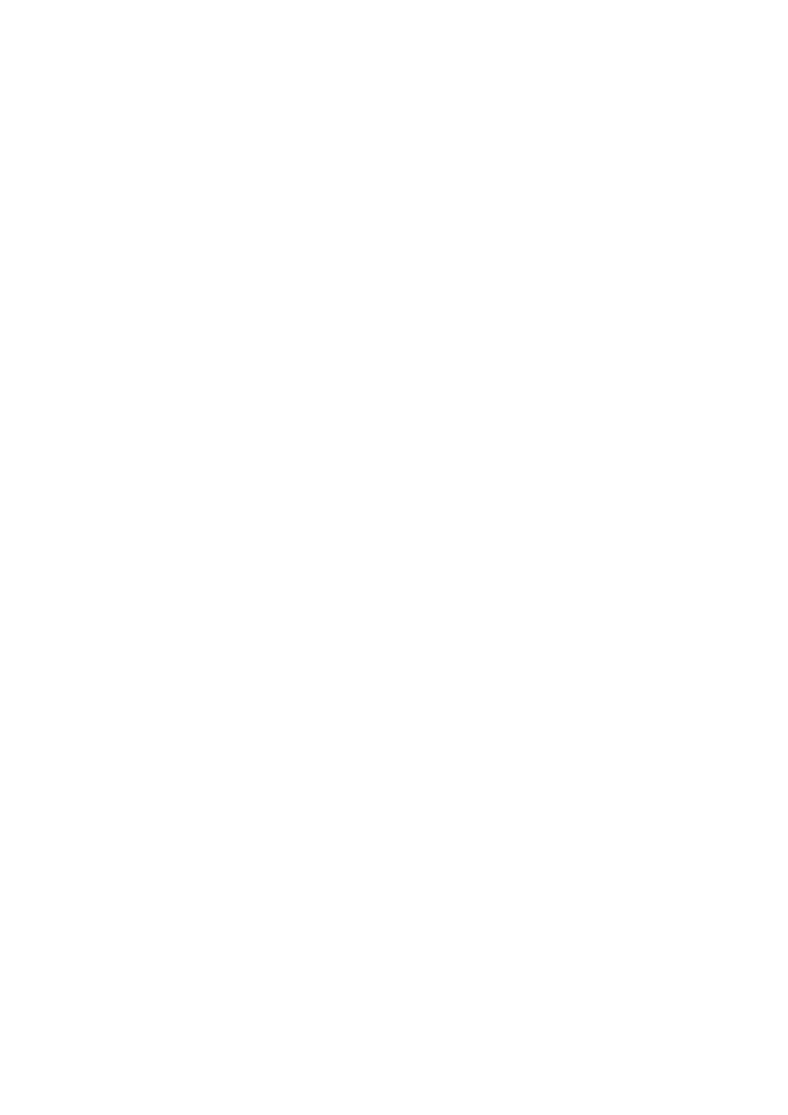

**KATHY HOCHUL** Governor **INVITATION FOR BID: Storm Hardening at Edgewater Park Volunteer Fire Department – IFB # GOSR-IFB-2022-01**

# <span id="page-3-0"></span>I. INTRODUCTION

The Governor's Office of Storm Recovery ("GOSR") of the Housing Trust Fund Corporation ("HTFC") administers Federal grant funds from various sources, including but not limited to grants from the U.S. Department of Housing and Urban Development (HUD). All purchases made with grant monies shall comply with the terms and conditions of the grant, as well as the applicable Federal, State, and local procedures regarding these purchases. All Federal grant awards are subject to the Uniform Administrative Requirements and Cost Principles, codified at 2 CFR 200. This includes the standards for procurements under Federal grants, which applies to contracts for services, goods, construction, or repair. GOSR shall follow applicable local and State requirements except to the extent that these are inconsistent with Federal statutes, regulations, or grant conditions.

# <span id="page-3-1"></span>II. PURPOSE

GOSR seeks to procure **Storm Hardening for the Edgewater Park Volunteer Fire Department** in connection with its administration of U.S. Department of Housing and Urban Development ("HUD") Community Development Block Grant-Disaster Recovery ("CDBG-DR") funds appropriated by the Disaster Relief Appropriations Act, 2013 (Pub. L. 113-2). This Invitation for Bids ("IFB") is issued in accordance with the Procurement and Contract Guidelines of GOSR and in compliance with New York State Finance Law.

GOSR is an Affirmative Action/Equal Opportunity Employer. Minority Business Enterprises, Small Business Enterprises, Women Business Enterprises, Service-Disabled Veteran Owned Businesses, Section 3 Business Concerns, and labor surplus area firms are encouraged to submit bids.

Bidders are encouraged review the New York State Action Plan for Community Development Block Grant Disaster Recovery and all amendments thereto, as well as all Federal Register notices related to the CDBG-DR funds. The Action Plan and all amendments are located on the GOSR website at: [http://stormrecovery.ny.gov/funding/action](http://stormrecovery.ny.gov/funding/action-plans-amendments)[plans-amendments.](http://stormrecovery.ny.gov/funding/action-plans-amendments)

## <span id="page-3-2"></span>III. TIMETABLE

## **A. PRE-BID TELECONFERENCE**

A non-mandatory Pre-Bid Teleconference will be held via phone to discuss this IFB:

Date: June  $27<sup>th</sup> 2022$ 

Time: 2:00 PM EDT

Dial-in Number: 267-807-9611

Access Code: 688442

## **B. PRE-BID SITE VISIT**

A Pre-Bid Site Visit will be held for this procurement:

Date: June 23rd 2022 Time: 12:00 PM EDT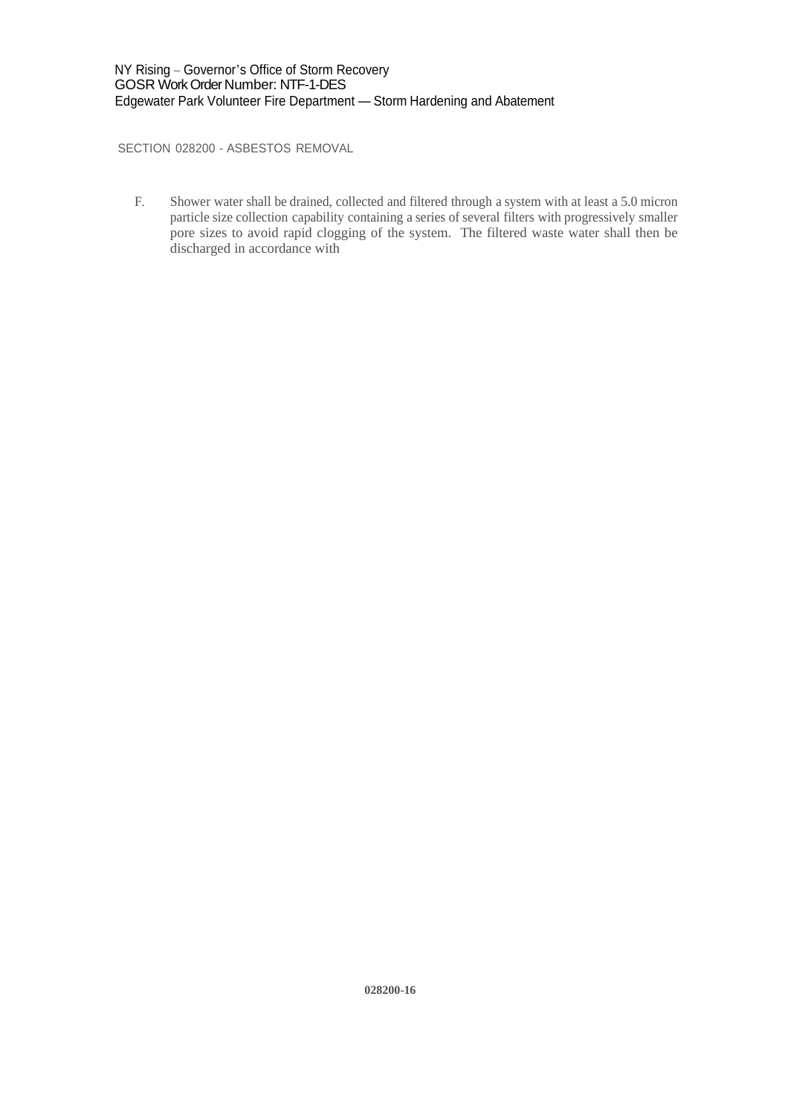

**KATHY HOCHUL** Governor

#### **INVITATION FOR BID: Storm Hardening at Edgewater Park Volunteer Fire Department – IFB # GOSR-IFB-2022-01**

Location: Edgewater Park Volunteer Fire Department

1 Adee Drive, Edgewater Park, NY

Bidders are responsible for fully acquainting themselves with the conditions of the Project site (which may include more than one site), as well as those relating to the construction and labor of the Project, and for informing themselves with respect to local labor availability, means of transportation, necessity for security, laws and codes, local permit requirements, wage scales, local tax structure, contractors' licensing requirements, availability of required insurance, and other factors that could affect the Work. It the responsibility of each Bidder to fully understand the facilities, difficulties and restrictions which may impact the cost or effort required to complete the Project. Existing restrictions and regulations will not be considered as grounds for any additional cost over the Contract sum.

The Successful Contractor will be expected to assume the risk of encountering any subsurface or other latent physical condition which can be reasonably anticipated on the basis of documentary information provided by the Construction Documents and from inspection and examination of the site.

## **C. INTERPRETATION OF DRAWINGS AND DOCUMENTS**

Bidders unclear as to the true meaning of any part of the Drawings, Specifications or other proposed Contract Documents may submit to GOSR a timely written request for interpretation. The request must be no later than the deadline for Questions. Interpretation of the Drawings, Specifications or other proposed Contract Documents will be made only by a written Addendum. GOSR will not be responsible for any other explanation or interpretations of the proposed documents. If a prospective Bidder becomes aware of any errors or omissions in any part of the Contract Documents, it is the obligation of the prospective Bidder to promptly bring it to the attention of GOSR and in no case later than the deadline for Questions.

## **D. QUESTIONS**

Prospective Bidders are strongly encouraged to check the "Procurement Opportunities" webpage frequently for updates and additional information pertaining to this IFB. All questions and correspondence must be sent to [GOSRProcurement@stormrecovery.ny.gov.](mailto:GOSRProcurement@stormrecovery.ny.gov) All questions must reference this specific IFB in the subject line of the email. For example, the subject line for questions related to this IFB should read **Bid Question – Edgewater Firehouse**. Any correspondence or questions sent to any other email address regarding this IFB will not receive a response.

It is the sole responsibility of the Bidder to check for any addenda and/or additional information on the "Procurement Opportunities" webpage:<http://stormrecovery.ny.gov/doing-business-with-gosr/rfps>

It is the responsibility of each Bidder to examine the entire IFB package, seek clarification in writing, and review their Bid for accuracy before submitting. It is the responsibility of each Bidder, before submitting a Bid, to:

- 1. Examine the Invitation for Bid Documents thoroughly;
- 2. Visit the site or structure to become familiar with conditions that may affect costs, progress, performance or furnishing of the Work; and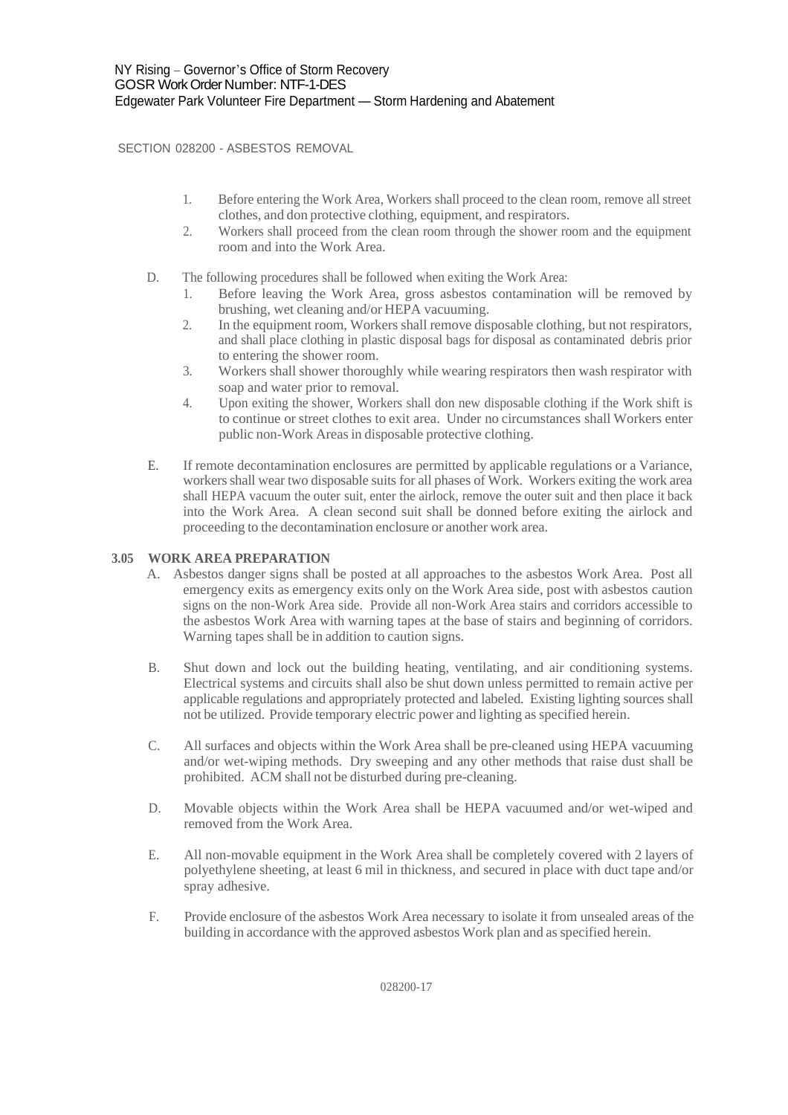

#### **INVITATION FOR BID: Storm Hardening at Edgewater Park Volunteer Fire Department – IFB # GOSR-IFB-2022-01**

3. Take into account GOSR, Federal, State, and local laws, regulations, ordinances, and requirements that may affect costs, progress, performance, furnishing of the Work, or award.

The deadline for submission of questions relating to this IFB is **July 1st 2022 no later than 2:00 PM EDT.**

All questions submitted in writing prior to the deadline will be compiled and answered in writing via an Addendum. A copy of all questions and answers via Addendum will be published online and/or forwarded in an email to all firms. GOSR will not be bound by any information conveyed verbally.

The submission of a Bid shall constitute an incontrovertible representation by Bidder that Bidder has complied with the IFB requirements and that without exception, the Bid is premised upon performing and furnishing the Work detailed in the Invitation for Bid Documents and that the provided documents are sufficient in scope and detail to indicate and convey understanding of all terms and conditions for performance and furnishing of the Work.

## **E. ADDENDA**

Prior to the Bid submission deadline, GOSR may wish to amend, add to, or delete from the IFB or Contract Documents. GOSR may also issue clarifications resulting from any pre-bid conferences or questions submitted. In such situations, GOSR shall issue an Addendum to the IFB setting forth the nature of the modification. Once an Addendum is issued, all Bidders will be notified via email that an Addendum has been issued.

Please Note: Bidders are responsible for ensuring that they have received any and all Addenda.

## **F. EXTENSIONS**

GOSR reserves the right to extend the bid due date and time prescribed above. However, unless GOSR issues a written Addendum to this IFB that extends the Bid due date and time for all Bidders, the bid due date and time prescribed above shall remain in effect.

## **G. PUBLIC BID OPENING**

All bids will be opened at the time and place prescribed in this IFB, and the sealed Bids shall be opened publicly on **July 13th, 2022– 2:00 PM EDT.** The public bid opening will take place on Zoom. Bidders can join one of two ways:

- 1. Join online: <https://us06web.zoom.us/j/87338870499?pwd=THF3SGoxYS81cHBKU3J6RkNuSUtwZz09> Meeting ID: 873 3887 0499 Passcode: 766837
- 2. Join by phone: 1(646) 558-8656 Meeting ID: 873 3887 0499 Passcode: 766837

## **H. SCHEDULE SUMMARY**

The following is the estimated timetable and is provided to assist responding Bidders in planning: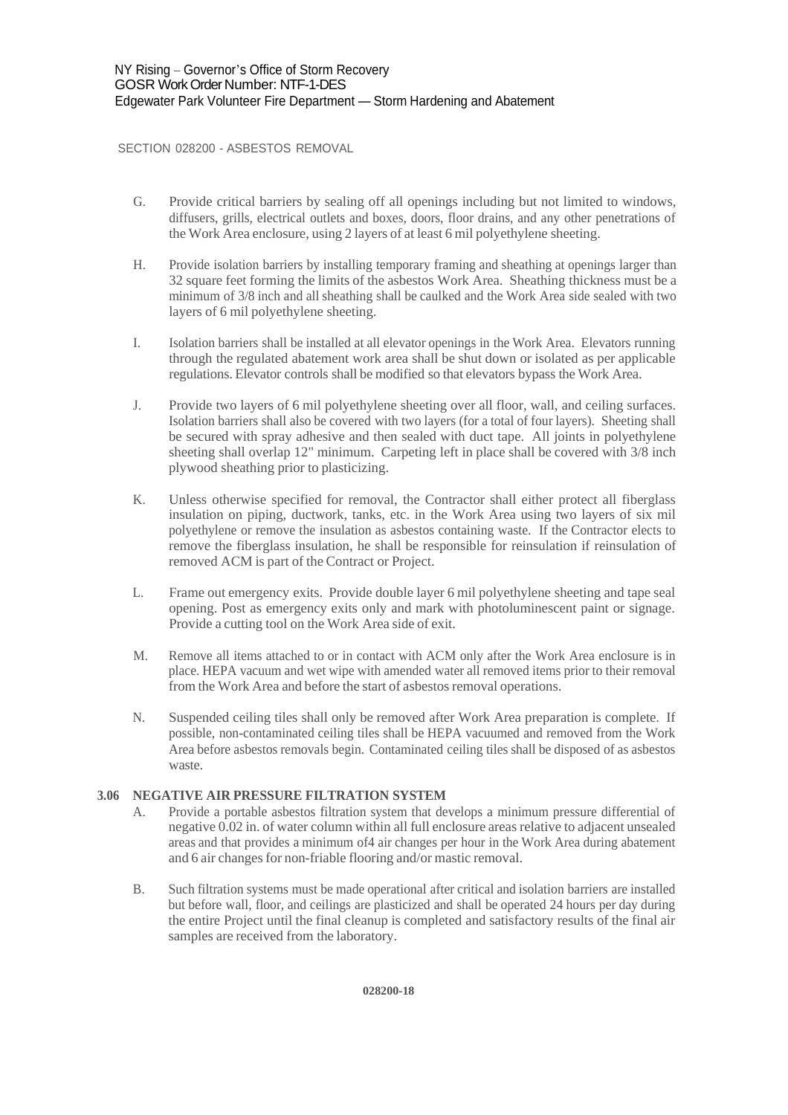

## **INVITATION FOR BID: Storm Hardening at Edgewater Park Volunteer Fire Department – IFB # GOSR-IFB-2022-01**

| <b>Bid Issuance Date</b>                                                            | June 14 <sup>th</sup> , 2022                         |
|-------------------------------------------------------------------------------------|------------------------------------------------------|
| <b>Pre-Bid Conference Date</b>                                                      | June $17^{\text{th}}$ , $2022 - 2:00$ PM EDT         |
| <b>Pre-Bid Site Visit Date</b>                                                      | June $23^{rd}$ , $2022 - 12:00$ PM EDT               |
| <b>Questions Due Date</b>                                                           | July $1st$ , 2022 – 2:00 PM EDT                      |
| $\boldsymbol{\alpha}$<br>SUBMISSION DATE<br><b>BID</b><br><b>PUBLIC BID OPENING</b> | July 13th, 2022-2:00 PM EDT<br><b>NO EXCEPTIONS.</b> |
| <b>Notice to Proceed</b>                                                            | Upon notice from GOSR                                |

GOSR reserves the right to modify this schedule at its discretion. Notification of changes in connection with this IFB will be made available to prospective Bidders via electronic email. It is the sole responsibility of Bidders to periodically review the GOSR website for regular updates to the IFB which may alter the terms or requirements of this IFB.

## **I. ANTICIPATED CONTRACT TERM**

Any contract that is awarded from the IFB is anticipated to be for an initial period of two (2) year(s) with three (3) one (1) year options, not to exceed a total contract term of five (5) years.

# <span id="page-6-0"></span>IV. SUBMISSION INSTRUCTIONS

## **A. BID & ADDENDA ACKNOWLEDGEMENTS**

By submitting a Bid in response to this IFB, Bidders accept the solicitation process as it has been outlined in this IFB.

All bids are required to remain in effect for at least 120 days from the date of submission. This effective period should be taken into account when preparing the bid.

GOSR will not be liable for any costs incurred by the Bidder in preparing a response to this IFB. Bidders submit Bid(s) at their own risk and expense. GOSR makes no guarantee that any products or services will be purchased as a result of this IFB and reserves the right to reject any and all Bids. All Bids and accompanying documentation will become the property of GOSR. By submitting a Bid, Bidders acknowledge and accept that reference checks and/or background investigation may be conducted as a part of the due-diligence process. Award will be made to the lowest, responsible, and responsive Bidder who submits a response to this IFB.

In cases where Addenda are issued under this solicitation, Bidder must sign and submit the actual Addenda documents with their Bid. All Addenda shall become a part of the requirements for this IFB. In signing and submitting Addenda with its Bid, Bidder acknowledges that it has examined all documents, attachments, forms, specifications, addenda, and all instructions. GOSR may deem a bid non-responsive for failure of Bidder to acknowledge any and all Addenda.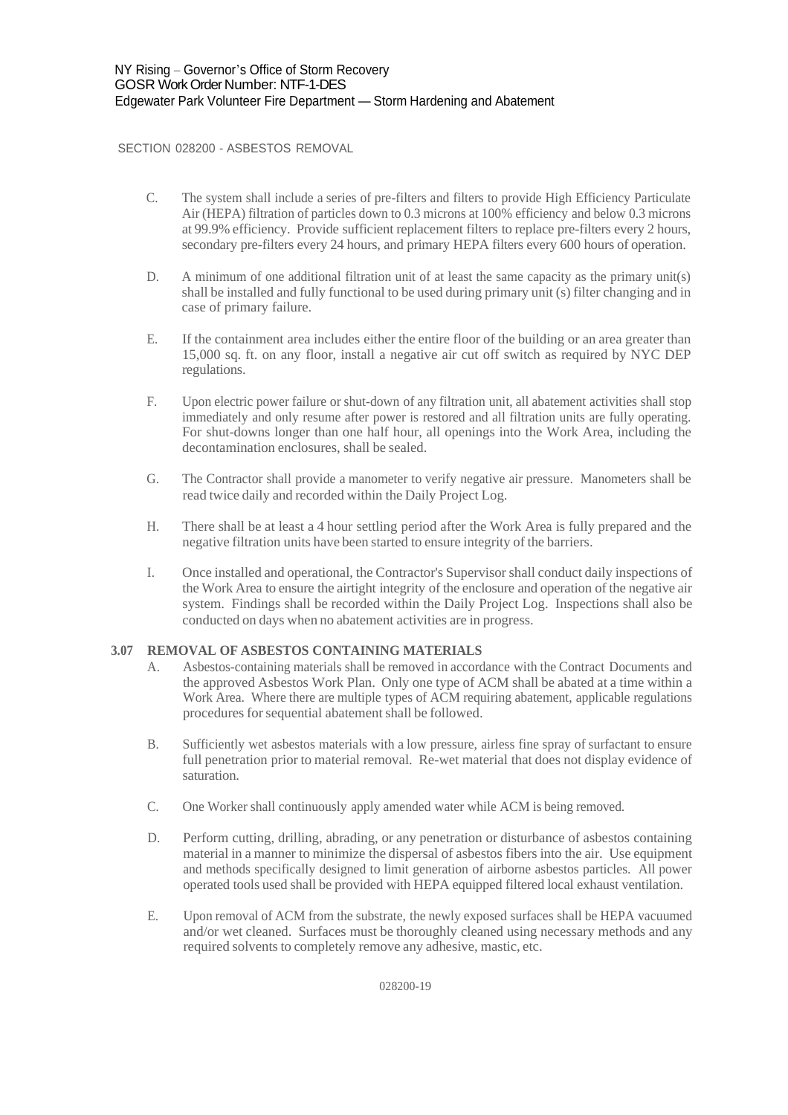

**KATHY HOCHUL** Governor

#### **INVITATION FOR BID: Storm Hardening at Edgewater Park Volunteer Fire Department – IFB # GOSR-IFB-2022-01**

Bidders are responsible for consulting the standards referenced in this IFB. Failure of Bidder to so examine and inform itself shall be at its sole risk, and no relief for error or omission will be given except as required under State law.

## **READ THIS ENTIRE DOCUMENT CAREFULLY AND FOLLOW ALL INSTRUCTIONS. THE BIDDER IS RESPONSIBLE FOR FULFILLING ALL REQUIREMENTS AND SPECIFICATIONS. B. BID SUBMISSION**

Bids must be submitted electronically as detailed below:

- 1. Bidders must submit ONE (1) complete Bid as ONE (1) PDF document.
- 2. Bids must be submitted by email to: [GOSRProcurement@stormrecovery.ny.gov](mailto:GOSRProcurement@stormrecovery.ny.gov)
- 3. Bidders must indicate for which contract opportunities the Bidder is submitting. For this IFB, the email subject shall indicate **Bid Submission for Edgewater Firehouse – Bid and Attachments**.
- 4. Bids must be delivered by email no later than the Bid submission deadline.

Bids that can only be viewed, downloaded, or otherwise accessed via file sharing, file hosting, or other file storage platforms will not be accepted.

Bid font size shall not be any less than 12 point, with 1-inch margins, with the exception of tables and charts, but such text must be clearly legible. Bidders are encouraged to submit only relevant and necessary information. The Bidder shall not make any aspect of its submission contingent upon the use of State of New York personnel, property, or equipment.

GOSR will consider Bids to this IFB which are submitted in a consistent and easily comparable format. Bids not organized in the manner set forth in this IFB may be considered nonresponsive at the sole discretion of GOSR. Bidders should not refer to other parts of their submission to information that may be publicly available elsewhere, or to the Bidder's website or any other website, in lieu of presenting the information in the Bid.

It is the responsibility solely of Bidder to see that its Bid is properly submitted in proper form and prior to the stated closing time. GOSR will only consider bids that have transmitted successfully. Bidders shall be solely responsible for informing themselves with respect to the accepted bid submission method, for ensuring the capability of their computer system to upload the required documents, and for the stability of their internet service. Failure of the Bidder to successfully submit an electronic Bid shall be at the Bidder's sole risk, and no relief will be given for late and/or improperly submitted Bids.

## **C. DIGITAL FORMAT**

GOSR will accept Bids in digital format. Bids must be submitted via email to [GOSRProcurement@stormrecovery.ny.gov.](mailto:GOSRProcurement@stormrecovery.ny.gov)

Submissions of this IFB must be filed electronically in Portable Document Format (pdf) file. Unless otherwise noted, Bidders must complete and submit all forms, information, and other documentation listed herein (including, without limitation, any Attachments and Appendices to this IFB) as part of their electronic submissions. Bidder is responsible to ensure that emails and attachments are delivered in a legible format.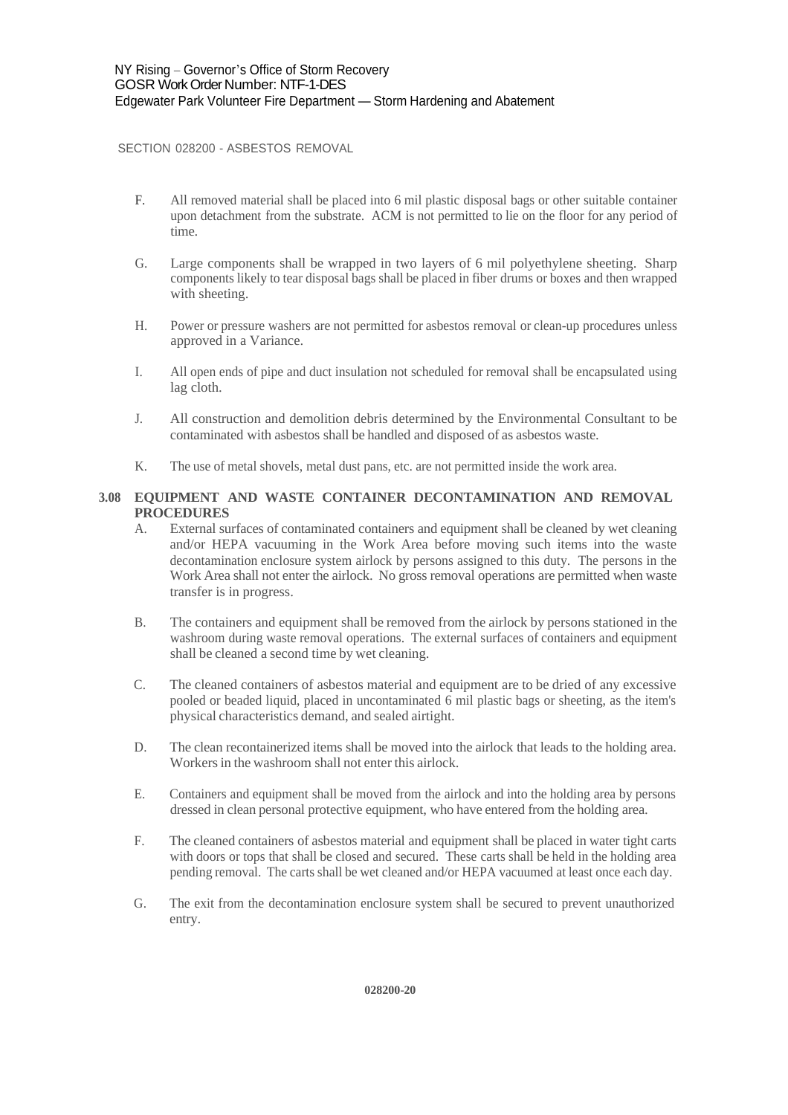

**KATHY HOCHUL** Governor

#### **INVITATION FOR BID: Storm Hardening at Edgewater Park Volunteer Fire Department – IFB # GOSR-IFB-2022-01**

Only complete and responsive Bids will be evaluated. In all instances, GOSR's determination regarding the completeness/responsiveness of any Bids shall be final.

If, in its Bid response, Bidder makes any changes whatsoever to GOSR's published IFB specifications, GOSR's IFB specifications, *as published,* shall control. Furthermore, if a Bidder has been found to have made an alteration of any kind to GOSR's published IFB specifications, or the work under the Contract is not being performed, the Contract is subject to immediate cancellation.

## **D. LATE BIDS; BID RETURNS**

Bids are due to the GOSR Procurement Department by the date and time specified on the cover sheet and as listed under **Section II - Timetable**. GOSR will not accept late bids. Late bids will be rejected. If a solicitation is cancelled, submitted bids will not be returned.

## **E. SCANNED OR RE-TYPED RESPONSE**

If in its response, Bidder either electronically scans, re-types, or in some way reproduces the GOSR's published IFB package, then in the event of any conflict between the terms and provisions of GOSR's published IFB package, or any portion thereof, and the terms and provisions of the response made by Bidder, the GOSR's IFB package as published shall control. Furthermore, if an alteration of any kind to the GOSR's published IFB package is only discovered after the Contract is executed and is or is not being performed, the Contract is subject to immediate cancellation.

## **F. PRICING**

Bidder must provide the pricing as requested for all services and/or items specified within the *Bid Schedule*  (Attachment A). Pricing must be all-inclusive. No price or rate changes, additions, or subsequent qualifications will be honored during the course of the Contract.

Any rates provided to GOSR must be all-inclusive. "All-inclusive" shall be construed as costs incorporating all charges for service, labor, material, equipment, overhead, and any other costs. No separate line item rates or charges for services listed in the scope of work will be accepted.

## **G. BID BOND**

If the Contract is for the construction of public works, or the Contract value is anticipated to exceed \$100,000. Bid bonds must be submitted with the Bid package:

- 1. Bidder must furnish a good and sufficient bid guarantee in the amount of five (5) percent of the total Contract price.
- 2. The bid guarantee shall consist of a firm commitment such as a bid bond, certified check, or other negotiable instrument as assurance that the Bidder will, upon acceptance of its bid, execute such contractual documents as may be required within the time specified.
- 3. The bid bond must be executed with a surety company authorized to do business in this State.

## **H. REQUIRED BID DOCUMENTS**

Bidder's IFB submission package must include the components checked below, in the order in which they are listed. If the item is "X" checked, the item must be included in Bidder's submission in order for the submission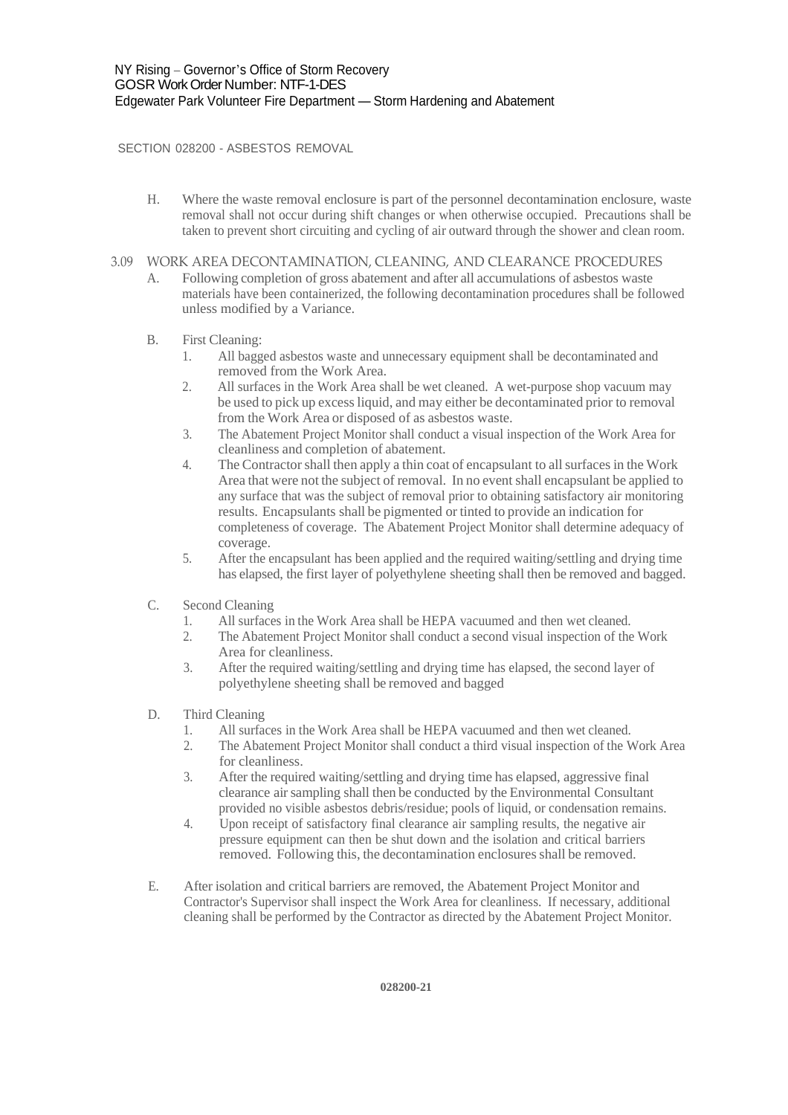

**KATHY HOCHUL** Governor

#### **INVITATION FOR BID: Storm Hardening at Edgewater Park Volunteer Fire Department – IFB # GOSR-IFB-2022-01**

to be considered complete. Bidders are asked to review the documentation to ensure all applicable parts are included. If any portion of this IFB or its attachments are missing, notify the Purchasing Department immediately. Bidder should be thoroughly familiar with all of the following items applicable to the bid submission before submitting a bid:

| 図 | IFB Cover Sheet - Bidder must complete and submit the Invitation for Bid Cover Sheet,<br>providing its Company Name and Bid amount.                                                                                                                                                                                                                                                                                                                                                                                                |  |  |
|---|------------------------------------------------------------------------------------------------------------------------------------------------------------------------------------------------------------------------------------------------------------------------------------------------------------------------------------------------------------------------------------------------------------------------------------------------------------------------------------------------------------------------------------|--|--|
| ⊠ | Bid Schedule – Bidder must complete and submit the Bid Schedule, included as Attachment<br>А.                                                                                                                                                                                                                                                                                                                                                                                                                                      |  |  |
| 図 | <b>Bid Bond</b> – If contract value exceeds \$100,000, Bidder must furnish a good and sufficient<br>bid guarantee in the amount of five (5) percent of the total contract price.                                                                                                                                                                                                                                                                                                                                                   |  |  |
| ⊠ | <b>Contractor Responsibility Questionnaire - Contractor Responsibility Questionnaire for</b><br><b>Bidder</b><br>and<br>proposed<br>subcontractors,<br>which<br>its<br>can<br>be<br>found<br>at<br>http://www.osc.state.ny.us/vendrep/forms_Contractor.htm . Select the questionnaire that<br>best matches the business type (either For-Profit or Not-For-Profit) and business activity<br>(Construction or Other). Do not send the completed form to the Office of the State<br>Comptroller (OSC) unless specifically requested. |  |  |
| ⊠ | Certification Regarding Lobbying - Bidder must sign and submit the Certification<br>Regarding Lobbying form.                                                                                                                                                                                                                                                                                                                                                                                                                       |  |  |
| ⊠ | <b>Statement of Conflicts</b> – A statement of conflicts (if any) the Bidder or key employees may<br>have regarding this Project.                                                                                                                                                                                                                                                                                                                                                                                                  |  |  |
| 区 | <b>Respondent Overview &amp; Certification</b> – Bidder must sign and submit this form.                                                                                                                                                                                                                                                                                                                                                                                                                                            |  |  |
| 区 | Affirmation of Understanding of and Agreement Pursuant to State Finance Law §139-<br>$j(3)$ and §139- $j(6)(b)$ – Bidder must sign and submit this form.                                                                                                                                                                                                                                                                                                                                                                           |  |  |
| 図 | Offeror Disclosure of Prior Non-Responsibility Determinations - Bidder must sign and<br>submit this form.                                                                                                                                                                                                                                                                                                                                                                                                                          |  |  |
| ⊠ | Non-Collusive Bidding Certification – Bidder must sign and submit this form.                                                                                                                                                                                                                                                                                                                                                                                                                                                       |  |  |
|   | Diversity Forms - Bidder must complete and submit all required diversity forms                                                                                                                                                                                                                                                                                                                                                                                                                                                     |  |  |
|   | Equal Employment Opportunity Staffing Plan (PROC-1)                                                                                                                                                                                                                                                                                                                                                                                                                                                                                |  |  |
|   | <b>MWBE Utilization Plan (PROC-2)</b>                                                                                                                                                                                                                                                                                                                                                                                                                                                                                              |  |  |
| 冈 | Minority and Women-Owned Business Enterprises - Equal Employment<br><b>Opportunity Policy Statement (PROC-4)</b>                                                                                                                                                                                                                                                                                                                                                                                                                   |  |  |
|   | Equal Employment Opportunity Statement (PROC-8)                                                                                                                                                                                                                                                                                                                                                                                                                                                                                    |  |  |
|   | <b>SDVOB Utilization Plan</b>                                                                                                                                                                                                                                                                                                                                                                                                                                                                                                      |  |  |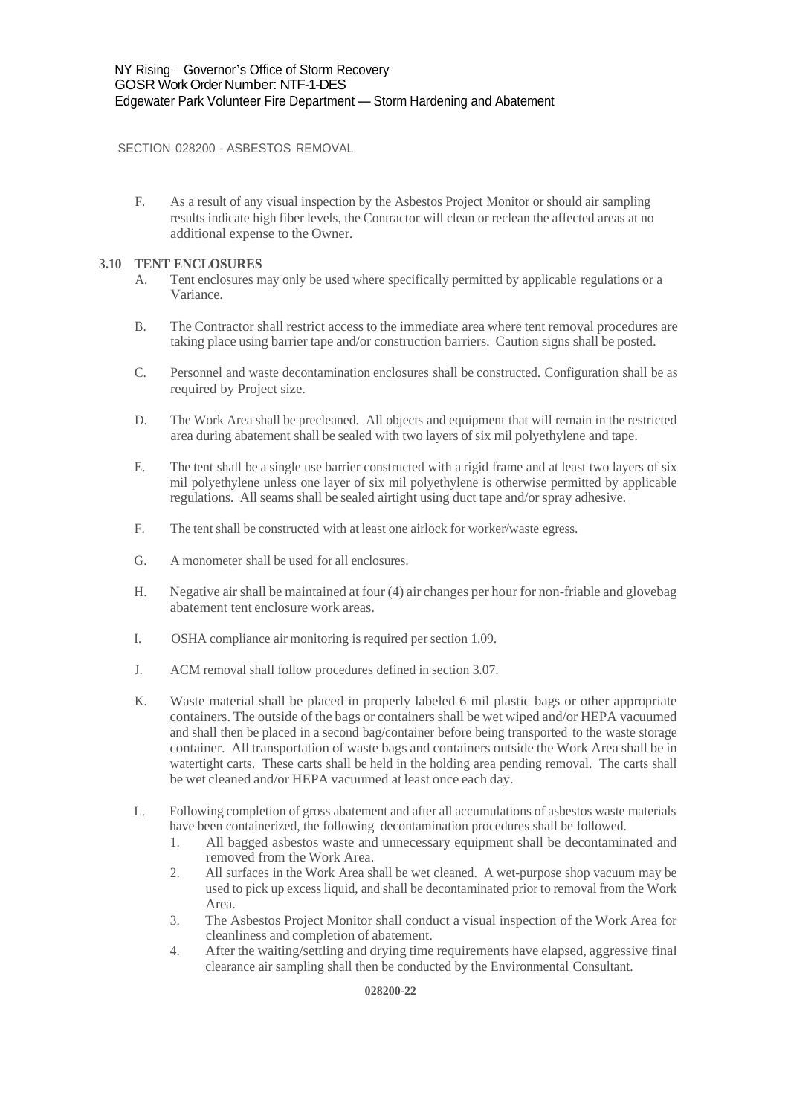

**KATHY HOCHUL** Governor **INVITATION FOR BID: Storm Hardening at Edgewater Park Volunteer Fire Department – IFB # GOSR-IFB-2022-01**

• Section 3 Plan

# <span id="page-10-0"></span>V. EVALUATION & AWARD PROCEDURES

## **A. NONCONFORMING BIDS**

Bids that are incomplete, contain material irregularities or include alterations to or terms and conditions that do not conform to the terms and conditions of the IFB, or otherwise do not comply with the requirements of the IFB are subject to rejection as non-responsive. In accordance with New York State Finance Law, GOSR reserves the right to waive any informality or irregularity, to make awards to more than one Bidder, and/or to reject any or all bids if there is a sound documented reason.

#### **B. EVALUATION PROCESS**

GOSR will select the responsive and responsible Bidder that, in the opinion of GOSR, has been determined to have submitted the lowest bid based on all identified factors.

Prices proposed by Bidder shall be irrevocable until Contract award unless the bid is withdrawn. A Bid may be withdrawn by a Bidder, provided an authorized representative of the Bidder submits a written request to withdraw the Bid prior to the time set for opening the Bids.

#### **C. BASIS OF AWARD**

Award will be made to the lowest, responsible, and responsive Bidder who submits a response to this IFB. GOSR shall evaluate Bids in response to this solicitation, and intends to award a firm fixed price contract to the responsive and responsible bidder, whose Bid, considering price and any price-related factors specified in the solicitation, is the lowest.

Where specified in these bidding documents, factors such as discounts, transportation cost, and life cycle costs shall be considered in determining which bid is lowest. Payment discounts will only be used to determine the low bid when prior experience indicates that such discounts are usually taken advantage of.

## **D. UNBALANCED BID**

To the extent applicable, GOSR may reject any Bid as nonresponsive if it is materially unbalanced as to the prices for the various items of work to be performed. A Bid is "materially unbalanced" when it is based on prices significantly less than cost for some work and prices which are significantly overstated for other work.

#### **E. CONTRACT OBLIGATION**

Binding agreements shall remain in effect until all products and/or services covered by this procurement have been satisfactorily delivered and accepted. This IFB does not obligate GOSR to the eventual purchase of any services described, implied or which may be proposed. Progress toward this end is solely at the discretion of GOSR and may be terminated at any time prior to execution of a contract.

## **F. RESPONSIBILITY**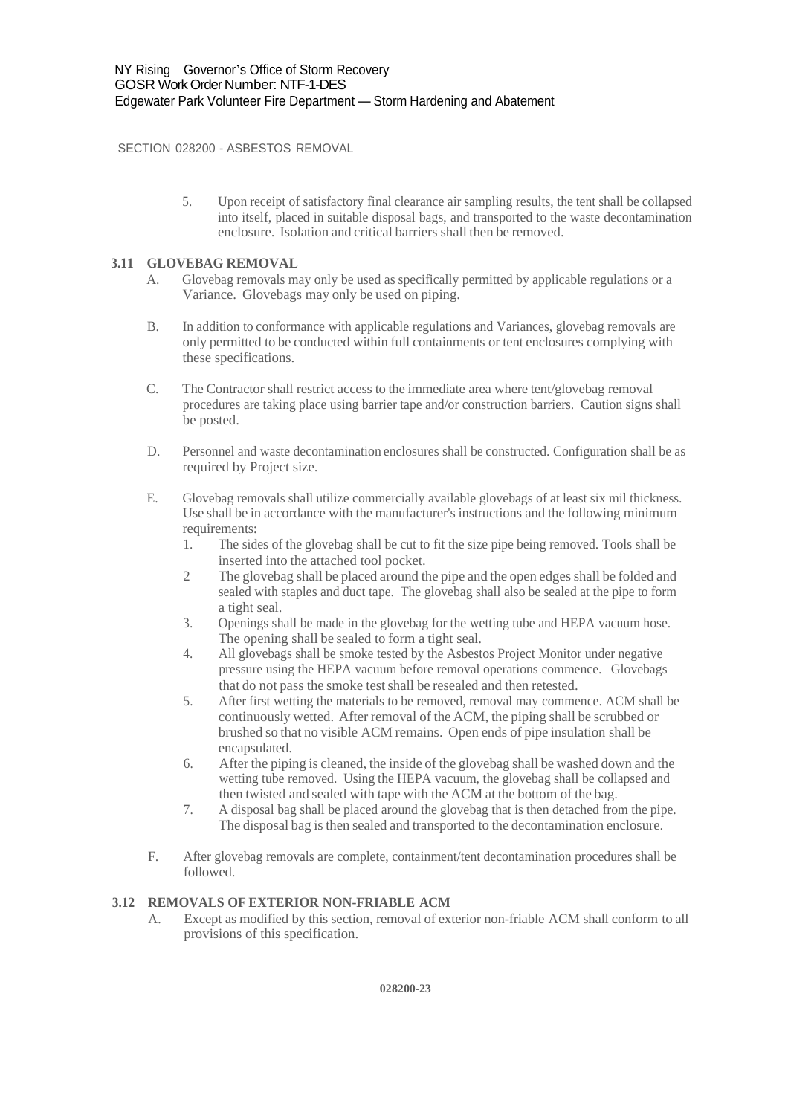

**KATHY HOCHUL** Governor

#### **INVITATION FOR BID: Storm Hardening at Edgewater Park Volunteer Fire Department – IFB # GOSR-IFB-2022-01**

GOSR shall award contracts only to responsible Bidders who have the ability to perform successfully under the terms and conditions of the proposed contract. Information provided by the Bidder may be used, in part, by GOSR to assess Bidders' responsibility.

To be considered responsible, a Bidder must:

- Have adequate financial resources to perform the contract, or the ability to obtain them;
- Be able to comply with the required or proposed delivery or performance schedule, taking into consideration all existing business commitments;
- Have a satisfactory performance record;
- Have a satisfactory record of integrity and business ethics;
- Have the necessary organization, experience, accounting and operational controls, and technical skills, or the ability to obtain them;
- Have the necessary production, construction, and technical equipment and facilities, or the ability to obtain them; and
- Be otherwise qualified and eligible to receive an award under applicable laws and regulations.

Before being considered for award, the Bidder may be requested by GOSR to submit a statement or other documentation regarding any of the items above. Failure by the Bidder to provide such additional information shall render the Bidder nonresponsive and ineligible for award.

Responsible Bidders must have the experience necessary to complete the Scope of Work and ability to comply with New York and GOSR requirements and all Federal codes, policies and regulations applicable to this project.

GOSR shall conduct research to determine that a Bidder is responsible. Some methods to determine responsibility include:

- Compliance with Delivery and Performance Schedules: GOSR may request information on other active contracts the Bidder is performing and verify the status with those buyers;
- Performance Record: GOSR may require Bidders to submit contact information for recent contracts they have performed for other customers and contact them to ascertain the Bidder's quality of performance, including timeliness of delivery/completion, quality of work, compliance with terms and conditions of the contract, and cost control, if applicable.
- Integrity and Business Ethics: GOSR may check local offices of Code Compliance and Business Licenses or other regulatory agencies for business ethics record and compliance with public policy. GOSR may verify the Bidder's compliance with payments, wage rates, and affirmative action requirements with other customers and with applicable State and Federal Government offices, e.g., DOL Wage and Hour Division;
- Necessary Organization, Experience, Operational Controls, and Technical Skills: GOSR may verify experience with other customers, request copies of audits, or verify that necessary personnel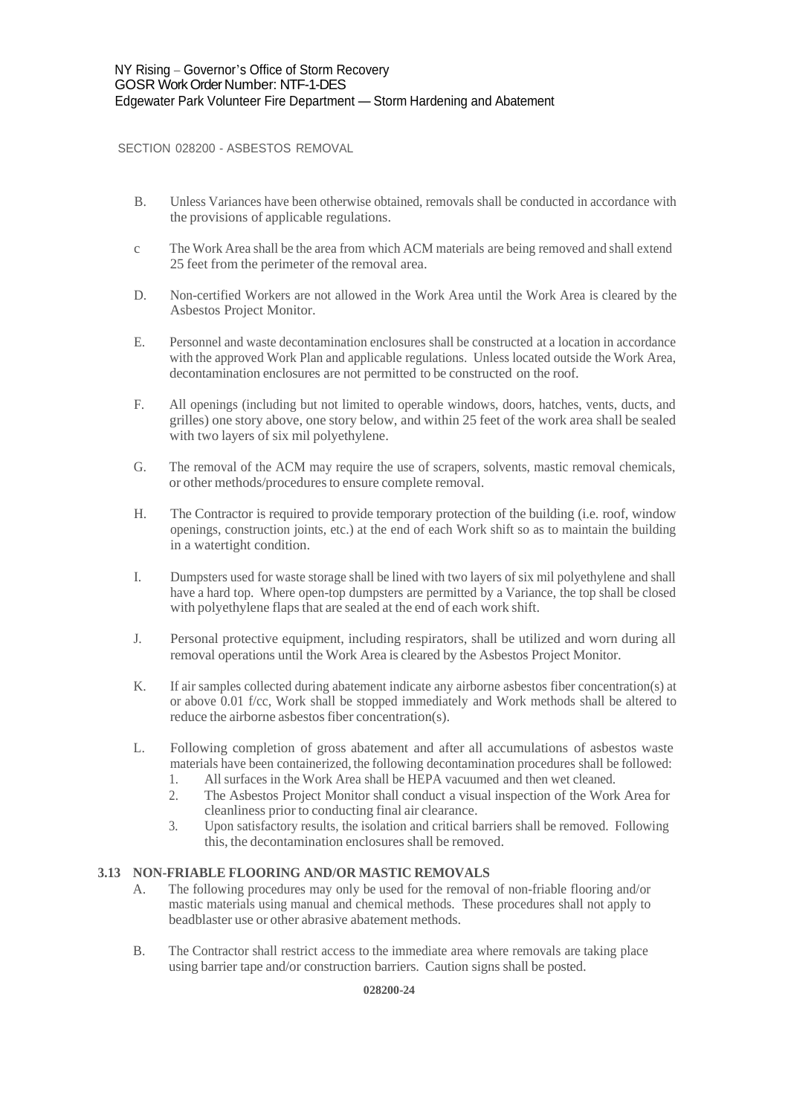

**KATHY HOCHUL** Governor

#### **INVITATION FOR BID: Storm Hardening at Edgewater Park Volunteer Fire Department – IFB # GOSR-IFB-2022-01**

will be available to work on GOSR's contract:

- Necessary Production, Construction, and Technical Equipment and Facilities: GOSR may request evidence that the Bidder has all the equipment and facilities he/she will need or the capability to obtain them; and
- System for Award Management: GOSR shall verify that the Bidder is not debarred through the System for Award Management [\(www.SAM.gov\)](http://www.sam.gov/).

Bidders are responsible for determining the responsibility of their prospective subcontractors. Bidders shall be required to provide information on any prospective subcontractors to be used in completion of the Project. Determinations of prospective subcontractor responsibility may affect GOSR's determination of the Bidder's responsibility. A Bidder may be required to provide written evidence of a proposed subcontractor's responsibility.

GOSR may directly determine a prospective subcontractor's responsibility. In this case, the same standards used to determine a Bidders responsibility shall be used by GOSR to determine subcontractor responsibility.

# <span id="page-12-0"></span>VI. STATEMENT OF WORK

The successful Bidder shall perform the Statement of Work to the extent necessary (a) for the proper execution and completion of the Work under the Contract; (b) to supervise and direct the Work in a safe manner and perform all Work in accordance with the Contract, applicable law, applicable permits and industry standards; (c) to achieve Final Completion of the project; and (d) in conformance with the Contract Documents and the Technical Specifications and such that the Work is in compliance with the Contract, industry standards, applicable codes, applicable laws and applicable permits.

The successful Bidder is responsible for identifying, coordinating, and conforming scope, specifications, and recommendations of assigned project(s) to meet legal and regulatory parameters/constraints, codes and applicable requirements set forth by agencies, including, but not limited to the State of New York, the U.S. Environmental Protection Agency (EPA), the Federal Emergency Management Agency (FEMA), the New York State Department of Environmental Conservation (DEC), the New York State Department of Labor (NYSDOL), and any other local codes or agencies as they may apply.

## **A. SCOPE**

The scope of this project shall include furnishing all qualified personnel, supervision, labor, services, materials, equipment, facilities, travel, overhead and incidentals necessary for Storm Hardening of the Edgewater Park Volunteer Fire Department. The work to be performed by the Bidder for this project shall include, but is not limited to:

- 1. Construction services for Storm Hardening of the Edgewater Park Volunteer Fire Department.
- 2. New windows installed throughout the entire building
- 3. Improvements to the roof and building envelope that includes new roofing, flashings, and waterproofing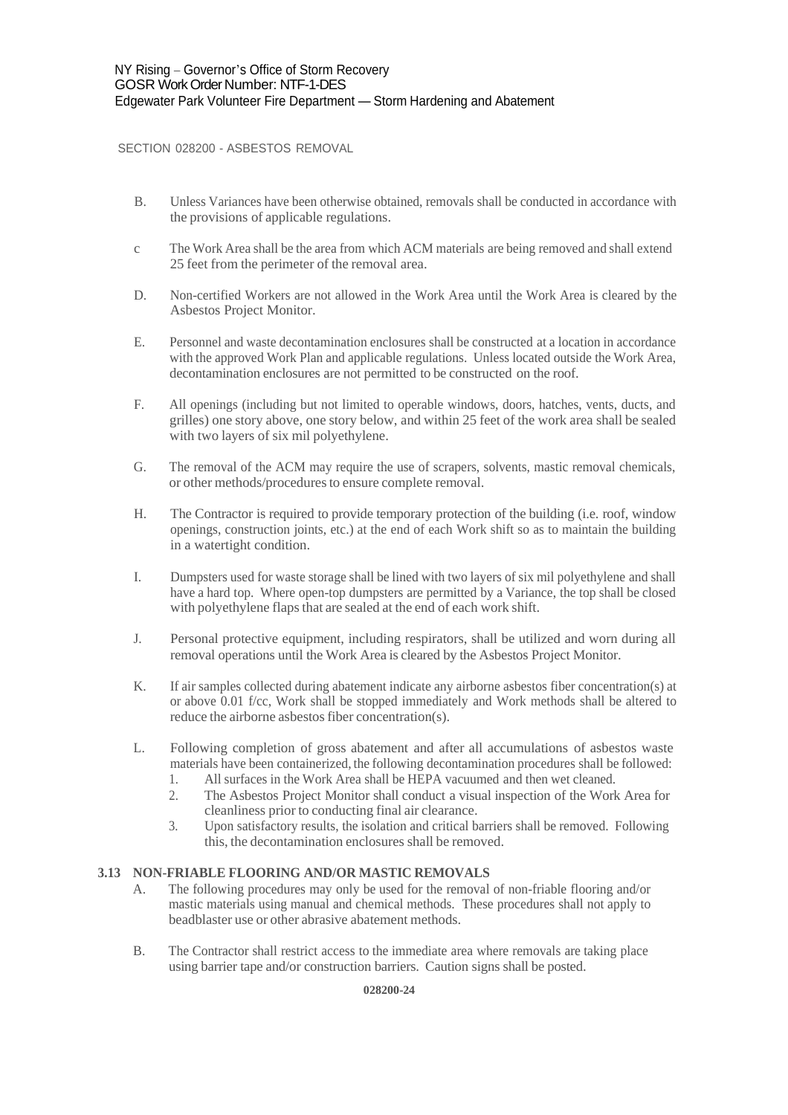

#### **INVITATION FOR BID: Storm Hardening at Edgewater Park Volunteer Fire Department – IFB # GOSR-IFB-2022-01**

- 4. Installation of a backup generator to provide emergency power and allow the facility to serve as a shelter during emergencies. The generator will be of sufficient capacity to provide accessory usage for emergency equipment
- 5. Upgraded HVAC installed in the community center
- 6. Complete renovation of the community center, including modern lighting, finishes, upgraded HVAC, and ADA-compliant bathrooms so that the facility can function as a generator-driven emergency shelter and build community resilience.
- 7. Furnish and install construction signage per Appendix G "Construction Signage Requirements"
- 8. The contractor shall perform all contract work such that on-going use of the firehouse remain unaffected and shall be operational at all times. This shall include all MEP systems, access to egress points, or otherwise approved in the site logistics plans.
- 9. Warranty period shall not be less than one (1) year, to include labor and materials.

Bidders must refer to all attachments, including the Standards & Specifications and Plans & Drawings for further details and information.

#### **B. STANDARDS & SPECIFICATIONS**

Applicable standards and specifications required under this IFB are included under the Standards & Specifications attachment:

- 1. Technical Specifications
- 2. Environmental Inspection Report

It is the responsibility of the Bidder to ensure that each worker provided by the Bidder shall be fully trained and qualified to provide any assigned work. Accordingly, all work provided shall be guaranteed by the Bidder to be performed in a workmanlike, skillful, and competent manner and in accordance with all applicable laws, codes, and/or regulations, including those issued by, but not limited to, the State of New York (and/or, if applicable, any city jurisdiction therein in which work will be performed) and/or any applicable Federal laws, codes, and regulations.

## **C. PLANS & DRAWINGS**

Applicable plans and drawings pertinent to this IFB are included under the Plans & Drawings attachment:

- a. Approved GC.FO- X00735640-I1
- b. Approved Electrical Drawings
- c. Approved Mechanical Plans X00736087-I1
- d. Approved Plumbing Plans- X00736306-I1
- e. Fire Alarm Plans

#### **D. COMMENCEMENT OF SERVICES**

The Successful Bidder must be prepared to commence these services within thirty (30) days of the issuance of a Task Order, at the direction of GOSR.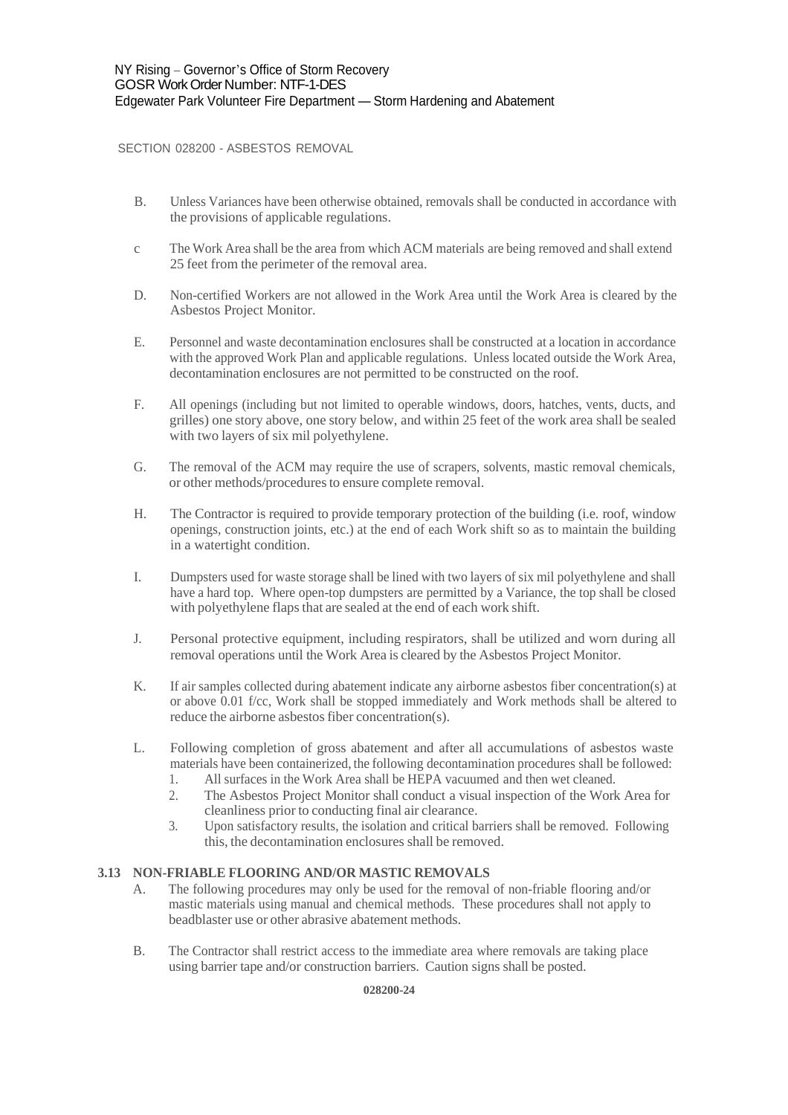

**KATHY HOCHUL** Governor **INVITATION FOR BID: Storm Hardening at Edgewater Park Volunteer Fire Department – IFB # GOSR-IFB-2022-01**

## **E. TIME FOR PERFORMANCE**

Time is of the essence in the performance of the Work. Upon issuance of the Notice To Proceed (NTP), the Successful Bidder will have three (3) days to commence initiation of work and a maximum of six (6) months from NTP to Complete all Work required by the Contract Documents to the satisfaction of the GOSR Project Manager, Engineer and Authority(ies) Having Jurisdiction, as well as written acceptance from GOSR and its designees. Work milestones provided below:

| <b>Deliverable</b>                                                                                                                                    | <b>Completion Milestone Date</b> |
|-------------------------------------------------------------------------------------------------------------------------------------------------------|----------------------------------|
| Commencement of Work (NTP plus three (3) days)                                                                                                        | August 15, 2022                  |
| Substantial Completion (complete all scopes of work,<br>and pass all controlled inspections)                                                          | December 13, 2022                |
| Work Order Closeout: Complete Punchlist, obtain all<br>authority having jurisdiction sign-offs, in order to<br>complete final requisition of services | February 11, 2023                |

#### **F. SITE ACCESS**

The Work described in Section VI – Statement of Work will be conducted at locations and entities under an Agreement with the Governor's Office of Storm Recovery. The Successful Bidder, in coordination with GOSR, will be responsible for scheduling access to the project location(s) and will work directly with the GOSR Project Manager to ensure that all necessary preparations and access to the project location(s) are made in accordance with the approved project construction schedule.

#### **G. CRITICAL PATH METHOD (CPM) SCHEDULE REQUIREMENTS**

A detailed Baseline construction schedule utilizing the Critical Path Method, with appropriate work breakdown structure to coordinate all trade work, is required to be submitted by the awarded Contractor fourteen (14) calendar days following award. Schedule updates indicating original baseline and revised actual schedule must be submitted, when one of the following occurs:

- The schedule experiences delay or acceleration
- Once (1) every 30 calendar days
- At the discretion of the GOSR Project Manager.

#### **H. KEY DELIVERABLES**

The Key Deliverables to be provided by the Successful Contractor shall include the following:

- 1. Phasing Plan
- 2. Submit a site security and logistics plan indicating work sequencing, staging, delivery and storage area(s) for Project Manager approval, within ten (10) days following award.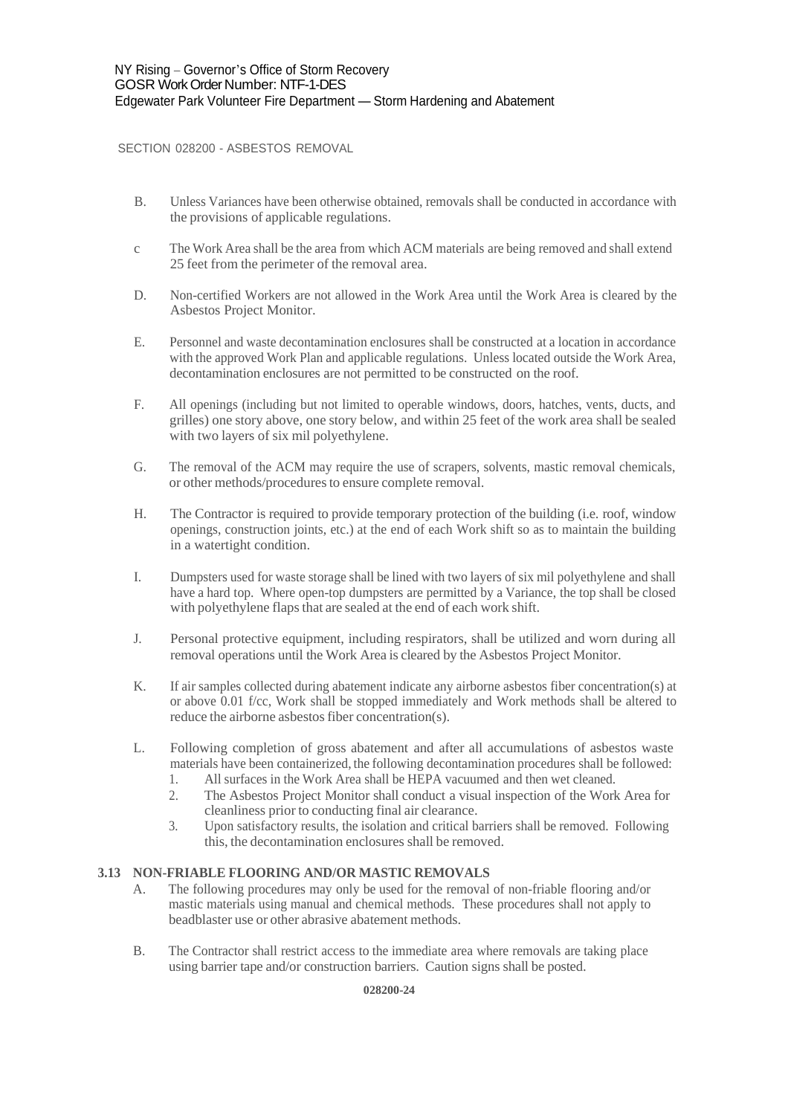

#### **INVITATION FOR BID: Storm Hardening at Edgewater Park Volunteer Fire Department – IFB # GOSR-IFB-2022-01**

- 3. Baseline CPM Schedule and Updates baseline schedule with monthly updates, listing all inspections, and coordination of work. Baseline schedule must be submitted and approved by the GOSR Project Manager prior to on-site construction start for each project.
- 4. Project Specific Site Health and Safety Plan (HASP) shall be submitted within fifteen (15) days of NTP and prior to any work beginning for each project.
- 5. Contractor Submittals and Requests for Information shall be submitted timely by the Contractor and must be included in the schedule.
- 6. Reporting of daily field activity, fabrication progress including count of labor force by trade classification, material lead times, deliveries and installation metrics, and notification of inspections and when work is completed.
- 7. Successfully coordinate, request, and pass all progress, quality, and final inspections as required by governing agencies noted on bid documents, including but not limited to the Authority(ies) Having Jurisdiction, municipality(ies), Engineer of Record, and GOSR Project Manager.

## **I. ELECTRONIC PROJECT MANAGEMENT**

GOSR utilizes an Oracle Primavera based project controls system. By submitting its bid, Bidder commits to comply with reporting, data provision, updating and other requirements of the program at the direction of project manager and GOSR program controls personnel. This includes weekly reporting on status of projects, significant milestone progress reporting and other information regarding the progress of the work. Failure to comply with reporting requirements may result in a delay of payment until remedied.

# <span id="page-15-0"></span>VII. GENERAL PROVISIONS

## **1. AUTHORIZATION TO DO BUSINESS IN NEW YORK**

All Bidders are required to have and maintain any licenses, certifications, and registrations required by the State of New York, GOSR, or municipality in which the work takes place, or as required by recognized professional organization governing the services performed under this contract (such as professional licensing requirements i.e. licensed plumbers).

A Sole Proprietorship, General Partnership, and all business entities (SP, LLC, INC, etc.) doing business under a name other than the name of the owner requires a DBA (Doing Business As) Certificate, which must be filed within the state or locality in which they are doing business. If a Bidder's business isn't located in New York, Bidders must submit the licenses, certifications, and other documentation required by the locality in which their business is based.

## **2. PERFORMANCE & PAYMENT BONDS**

(Applicable to construction and facility improvement contracts exceeding \$100,000)

The Contractor shall comply with New York State bonding requirements under Section 137 of the State Finance Law, which requires the following minimum bonding requirements:

• A performance bond on the part of the Contractor for 100 percent of the contract price. A "performance"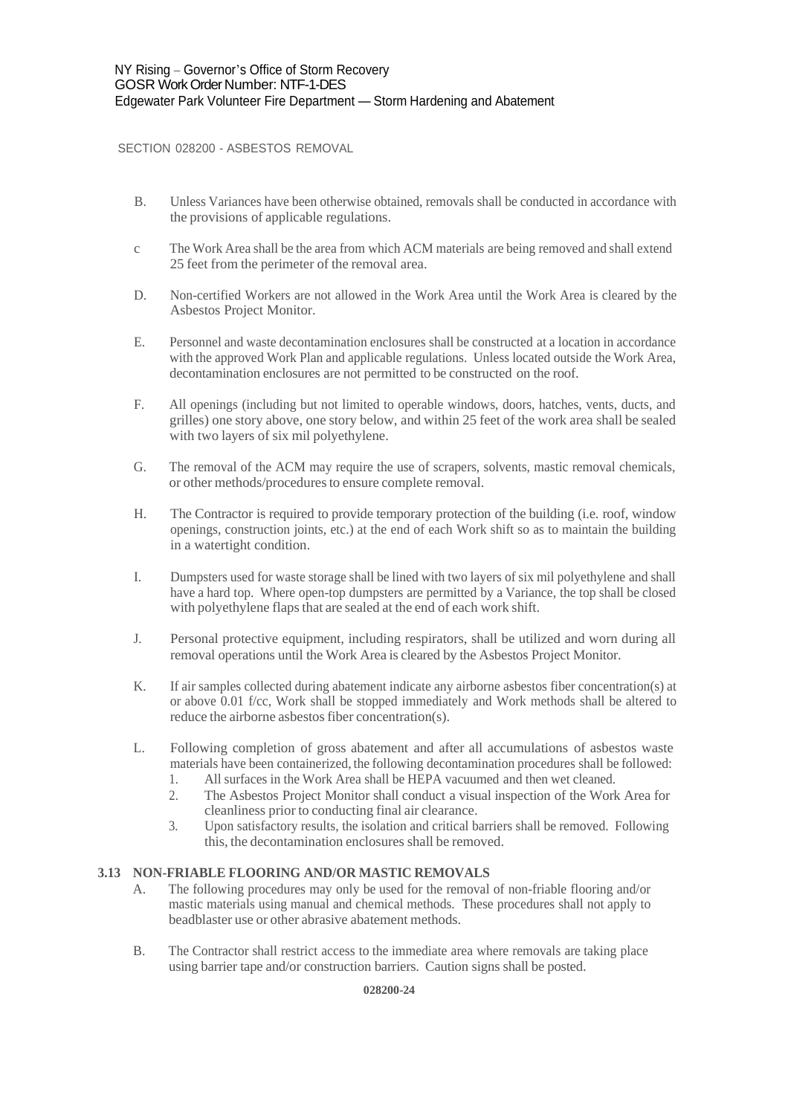

#### **INVITATION FOR BID: Storm Hardening at Edgewater Park Volunteer Fire Department – IFB # GOSR-IFB-2022-01**

bond" is one executed in connection with a contract to secure fulfillment of all the Contractor's obligations under such contract.

• A payment bond on the part of the Contractor for 100 percent of the contract price. A "payment bond" is one executed in connection with a contract to assure payment as required by law of all persons supplying labor and material in the execution of the work provided for in the contract.

## **3. COMPLIANCE WITH STATE, FEDERAL, AND LOCAL LAWS**

Bidder**s** should refer to Appendix I – Federal Contract Provisions and Appendix II – Standard Clauses for Contracts with HTFC for more detailed information on the requirements and regulations applicable to this contract opportunity:

- New York State Finance Law
- New York State Executive Law
- New York State Economic Development Law
- New York State Public Authorities Law
- New York State Labor Law
- 2 CFR 200 Uniform Administrative Requirements, Cost Principles, and Audit Requirements for Federal Awards
- 24 CFR Part 570 Community Development Block Grants
- 24 CFR Part 75 Economic Opportunities for Low- and Very Low-Income Persons, which implements Section 3 of the Housing and Urban Development Act of 1968.

Bidder shall follow all Federal, State, and local laws, rules, codes, ordinances, and regulations applicable to Bidder's services.

GOSR operates its business ethically and in compliance with the law. We ask that any Bidder or Bidder's employee doing business with GOSR who believes he or she has witnessed any suspected ethical violation or fraud immediately report the allegations to:

Toll-Free Telephone: 855-861-0003

E-mail: [fraud@stormrecovery.ny.gov](mailto:fraud@stormrecovery.ny.gov) (must include company name with report)

Fax: (215) 689-3885 (must include company name with report)

For Free Interpretation/Language Assistance: 1-844-694-7163

All suspected criminal conduct will be investigated and reported to the appropriate law enforcement agency. Bidders who report suspected ethical violations or fraud can do so without fear of retaliation. Retaliating against any Bidder or Contractors for reporting suspected ethical violations or fraud is strictly prohibited.

By submitting this Bid, neither contractor nor any substantially owned or affiliated person, firm, partnership or corporation has participated or is participating or shall participate in an international boycott in violation of the provisions of the United States export administration act of nineteen hundred sixty-nine, as amended, or the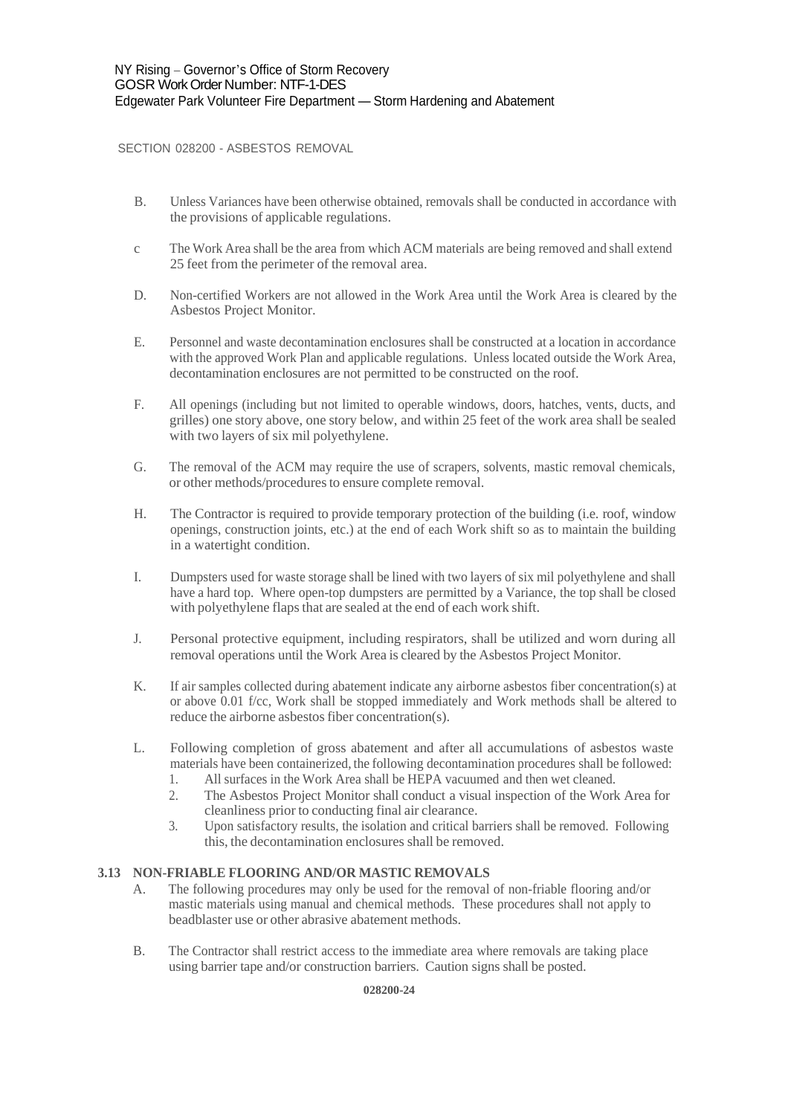

**KATHY HOCHUL** Governor

#### **INVITATION FOR BID: Storm Hardening at Edgewater Park Volunteer Fire Department – IFB # GOSR-IFB-2022-01**

export administration act of nineteen hundred seventy-nine, as amended, or the regulations of the United States department of commerce promulgated thereunder.

## **4. DISQUALIFICATION OF BIDDER**

Upon signing its Bid, Bidder certifies that Bidder has not violated the antitrust laws of this State or of Federal antitrust laws. Any or all bids may be rejected if GOSR believes that collusion exists among Bidders. If multiple bids are submitted by a Bidder and after the bids are opened, one of the bids is withdrawn, the result will be that all of the bids submitted by that Bidder will be withdrawn; however, nothing herein prohibits Bidders from submitting multiple bids for different products or services.

## **5. FUNDING**

GOSR anticipates that all or partial funding for the project subject to this IFB will consist of Federal grant funding. The Federal agencies providing this funding may include, but shall not be limited to, the U.S. Department of Housing and Urban Development (HUD). As such, Bidder acknowledges and is responsible for ensuring compliance with the general procurement standards applicable to Contractors, as detailed in 2 C.F.R. 200. Any Contract awarded pursuant to this IFB shall include all required Contract clauses in all solicitation and contract awards for services and work associated with this project, and the selected Bidder shall include the applicable clauses in its subcontracts (see Appendix I – Federal Contract Provisions).

Additionally, any contract entered into by GOSR that is to be paid in whole or in part from grant funds will be subject to termination for convenience by GOSR should grant funding become unavailable at any time for the continuation of services paid for by the grant, and further funding cannot be obtained for the contract. Such termination will be without liability to GOSR, other than for payment of services rendered prior to the date of termination.

## **6. SECTION 3 ACT OF 1968 COMPLIANCE**

Bidder acknowledges and is responsible for ensuring compliance with Section 3 of the Housing and Urban Development Act of 1968 (12 U.S.C. 1701u) ("Section 3"). The purpose of Section 3 is to ensure that economic opportunities, most importantly employment, generated by certain HUD financial assistance shall, to the greatest extent feasible, be directed to low- and very low-income persons, particularly those who are recipients of government assistance for housing or residents of the community in which the Federal assistance is spent. The implementing regulations for Section 3 are found at 24 C.F.R. 75.

24 C.F.R. 75.19(a) requires that, to the greatest extent feasible, and consistent with existing Federal, State, and local laws and regulations, contractors and subcontractors shall ensure that employment and training opportunities arising in connection with Section 3 projects are provided to Section 3 workers within the metropolitan area (or nonmetropolitan county) in which the project is located.

Where feasible, priority for employment opportunities and training should be given to:

- 1. Section 3 workers residing within the service area or the neighborhood of the project, and
- 2. Participants in YouthBuild programs.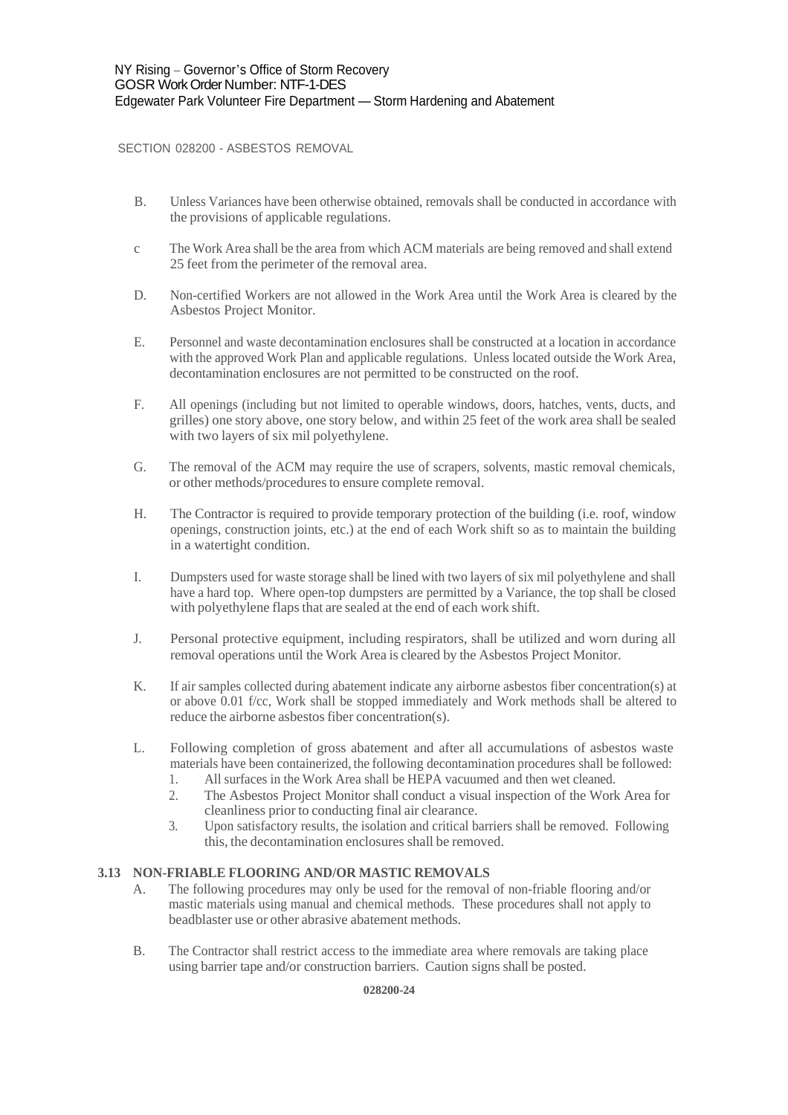

#### **INVITATION FOR BID: Storm Hardening at Edgewater Park Volunteer Fire Department – IFB # GOSR-IFB-2022-01**

24 C.F.R. 75.19(b) requires that, to the greatest extent feasible, and consistent with existing Federal, State, and local laws and regulations, contractors and subcontractors shall ensure contracts for work awarded in connection with Section 3 projects are provided to business concerns that provide economic opportunities to Section 3 workers residing within the metropolitan area (or nonmetropolitan county) in which the project is located.

Where feasible, priority for contracting opportunities should be given to:

- 1. Section 3 business concerns that provide economic opportunities to Section 3 workers residing within the service area or the neighborhood of the project, and
- 2. YouthBuild programs.

Contractors or subcontractors that employ Section 3 workers must maintain documentation to ensure that workers meet the definition of a Section 3 worker or Targeted Section 3 worker, at the time of hire or the first reporting period. Please refer to 24 C.F.R. 75.31 regarding acceptable documentation for a Section 3 worker or Targeted Section 3 worker.

Bidders must complete and submit the Section 3 Utilization Plan & Statement of Compliance (See Bid Forms – Article 41) with their Bid. The Section 3 Utilization Plan & Statement of Compliance should detail the Bidder's goals to hire new Section 3 residents and/or subcontract with Section 3 Business Concerns. Bidders should indicate all firms proposed as subcontractors on this project, and whether any of the firms are Section 3 Business Concerns. Section 3 Business Concerns can be found on the HUD Section 3 website at https://portalapps.hud.gov/Sec3BusReg/BRegistry/What.

Businesses which fit the definition of a Section 3 Business Concern, and would like to self-perform in order to comply with Section 3 requirements, must submit Section 3 Self-Certification documentation. At GOSR's discretion, GOSR may accept the GOSR Section 3 Business Concern Self-Certification, or equivalent Section 3 Self-Certification forms from HUD, or other Section 3 programs in the Bidder's local jurisdiction.

## **7. MWBE UTILIZATION AFFIRMATIVE STEPS**

2 C.F.R. 200.321 requires that Contractors take all necessary affirmative steps to assure that minority businesses, women's business enterprises, and labor surplus area firms are used when possible. Contractors are required to facilitate Historically Underutilized Business (HUB) and/or Minority & Women-Owned Business Enterprise (MWBE) participation. Affirmative steps must include:

- 1. Placing qualified small and minority businesses and women's business enterprises on solicitation lists;
- 2. Assuring that small and minority businesses, and women's business enterprises are solicited whenever they are potential sources;
- 3. Dividing total requirements, when economically feasible, into smaller tasks or quantities to permit maximum participation by small and minority businesses, and women's business enterprises;
- 4. Establishing delivery schedules, where the requirement permits, which encourage participation by small and minority businesses, and women's business enterprises; and
- 5. Using the services and assistance, as appropriate, of such organizations as the Small Business Administration and the Minority Business Development Agency of the Department of Commerce.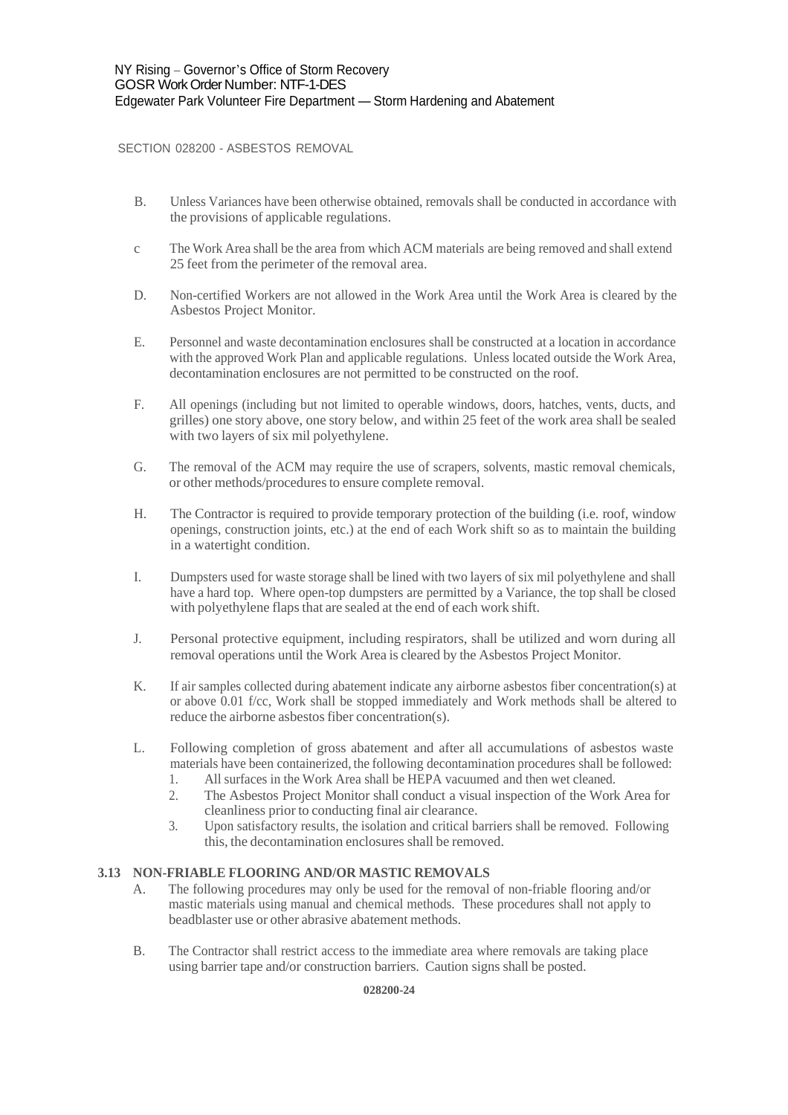

#### **INVITATION FOR BID: Storm Hardening at Edgewater Park Volunteer Fire Department – IFB # GOSR-IFB-2022-01**

GOSR shall monitor and evaluate the successful Contractor's MWBE compliance throughout the contract period. Upon award, successful Contractor shall be responsible for providing reports in the format and frequency required by GOSR.

## **8. NEW YORK EXECUTIVE LAW ARTICLE 15-A - PARTICIPATION BY MINORITY GROUP MEMBERS AND WOMEN WITH RESPECT TO STATE CONTRACTS**

GOSR is committed to awarding contracts minority and women-owned business enterprises ("MWBEs") and to firms that are dedicated to diversity and provide high-quality services. GOSR strongly encourages firms that are certified as MWBEs by the State's Empire State Development ("ESD") to submit responses to this IFB. GOSR strongly encourages joint ventures of MWBE firms with majority firms and with other MWBE firms.

GOSR is committed to achieving significant MWBE participation in its contracts and will use good faith efforts to ensure that qualified MWBE firms are included in the selection of firms to provide the above described services. For purposes of this solicitation, HTFC hereby establishes an overall goal of 30% for MWBE participation - 15% for New York State certified minority-owned business enterprises ("MBE") participation and 15% for New York State certified women-owned business enterprises ("WBE") participation (based on the current availability of qualified MBEs and WBEs). A Contractor who is selected for the subject Contract must document its good faith efforts to provide meaningful participation by MWBEs as subcontractors or suppliers in the performance of the Contract and the Contractor agrees that GOSR may withhold payment pending receipt of the required MWBE documentation. The directory of MWBEs can be viewed at: https://ny.newnycontracts.com. For guidance on how GOSR will determine a Contractor's "good faith efforts," refer to 5 NYCRR §142.8.

Bidders that are not MWBEs are strongly encouraged to consider partnering, or making other joint venture arrangements, with certified MWBE firms to achieve the prescribed goals and to give M/WBE firms the opportunity to participate in the above-described services performed under the contract(s) awarded to the successful Bidder(s).

Include the following in the Bidder's submission:

- 1. If the Bidder is a New York State-certified M/WBE firm, provide documentation evidencing registration. For M/WBE firms that are not certified but have applied for certification, provide evidence of filing, including the filing date.
- 2. A description of the instances, if any, in which the Bidder has worked with M/WBE firms on previous transactions by engaging in joint ventures or other partnering or subcontracting arrangements. Submissions should include the nature of the engagement, how such arrangement was structured, and a description of how the services and fees were allocated.
- 3. A statement of the Bidder's willingness, if any, to engage in M/WBE partnering or mentoring arrangements with an M/WBE firm selected by the Bidder. Such statement should include an explanation of how the Bidder would suggest structuring such an arrangement and allocating services and fees between the firms participating in the arrangement.
- 4. Provide a plan for ensuring the participation of minority group members and women in accordance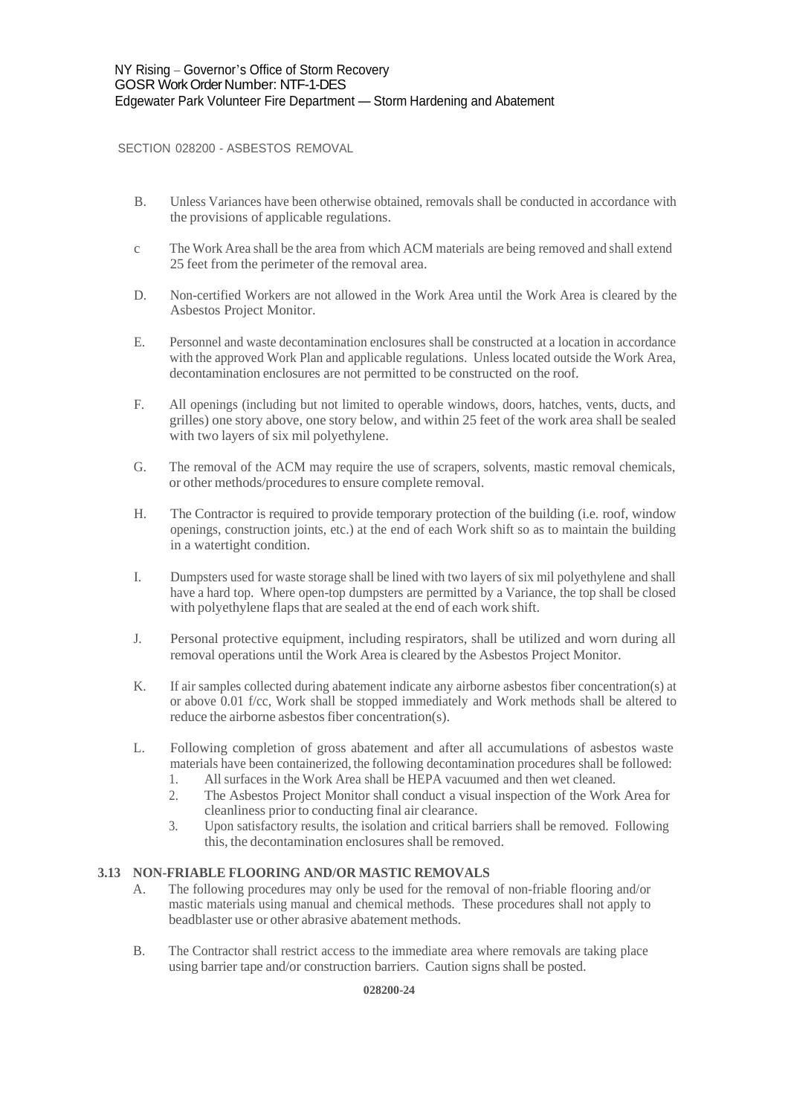

#### **INVITATION FOR BID: Storm Hardening at Edgewater Park Volunteer Fire Department – IFB # GOSR-IFB-2022-01**

with the Participation by Minority Group Members and Women Requirements and Procedures for Contracts with HTFC, attached hereto as Appendix II – Standard Clauses for Contracts with HTFC.

For assistance identifying MWBE partners, review the NYS MWBE Directory of Certified Firms. Upon award, successful Contractor shall be responsible for providing reports in the format and frequency required by GOSR.

## **9. NEW YORK EXECUTIVE LAW ARTICLE 17-B. PARTICIPATION BY SERVICE-DISABLED VETERANS WITH RESPECT TO STATE CONTRACTS**

GOSR is committed to awarding contracts to service-disabled veteran-owned business ("SDVOBs") that provide high-quality services. HTFC strongly encourages firms that are certified as SDVOBs by the State's Office of General Services ("OGS"), to submit responses to this IFB.

GOSR is committed to achieving significant SDVOB participation in its contracts and will use good faith efforts to ensure that qualified SDVOB firms are included in the selection process. Bidders for this IFB and any subsequent contracts will be strongly encouraged and expected, to the maximum extent practical and consistent with the legal requirements of the State Finance Law and the Executive Law, to use responsible and responsive SDVOBs in the fulfilment of the requirements of the contract that are of equal quality and functionality to those that may be obtained from non-SDVOBs. A Contractor who is selected for the subject Contract must document its good faith efforts to provide meaningful participation by SDVOBs in the performance of the contract and the Contractor agrees that GOSR may withhold payment pending receipt of the required SDVOB documentation.

For assistance identifying SDVOB partners, refer to the Directory of New York State Certified Service-Disabled Veteran-Owned Businesses. Upon award, successful Contractor shall be responsible for providing reports in the format and frequency required by GOSR.

## **10. MINIMUM EFFECTIVE PERIOD OF BID**

All bids are required to remain in effect for at least 120 days from the date of submission. This effective period should be taken into account when preparing the bid.

## **11. SUPPLEMENTAL MATERIALS**

Bidders are responsible for including all pertinent product data in the returned bid package. Literature, brochures, data sheets, specification information, completed forms requested as part of the bid package and any other facts which may affect subsequent contract award should be included. Failure to include all necessary and proper supplemental materials may be cause to reject the entire Bid.

## **12. BRAND NAMES / SUBSTITUTION**

Brand names and model numbers that may appear in the documents of this IFB are for reference only and shall serve as an example of functional, design, and/or quality standards and requirements for the product or service identified. It is not the intent of GOSR to restrict bids in such cases, but rather to establish a desired quality or level of merchandise or to meet a pre-established standard due to existing items. Herein, or within the attached specifications, whenever GOSR has listed a specific brand name, the words "or equal" shall automatically apply thereto. This term "or equal" means that Contractor may propose to provide an alternate product as long as such proposed alternate product, in the opinion of GOSR, meets the minimum specifications.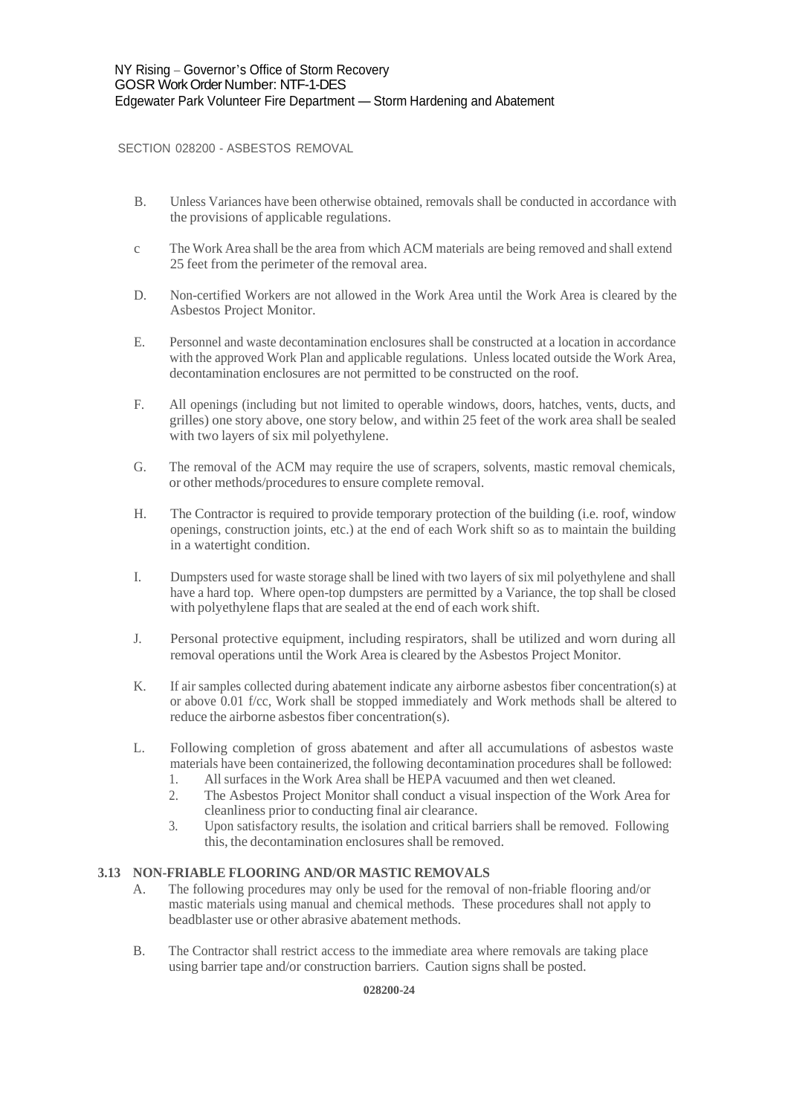

#### **INVITATION FOR BID: Storm Hardening at Edgewater Park Volunteer Fire Department – IFB # GOSR-IFB-2022-01**

If Bidder wishes to provide a different product than the product GOSR has identified within this IFB, Bidder may propose different products or items within their Bid submission, provided the products or items provide the same essential characteristics and are of equal or better quality. The burden of proof of such rests with Bidders. GOSR shall act as sole judge in determining equality and acceptability of products offered. After opening of bid, but prior to award recommendation, GOSR may require documentation demonstrating equal or superior products as compared to products required.

## **13. REGULATORY REQUIREMENTS & PERMITS**

Bidders awarded pursuant to this IFB shall comply with all applicable Federal, State, and local laws, rules, regulations, ordinances, and codes and shall identify, prepare and/or obtain all licenses, documentation, coordination, testing, inspections, plans, reports, forms, and permits required to provide the services under this IFB and as required by Local, State, and Federal Agencies, Departments, Boards, and Commissions at his/her own expense. Bidder shall be responsible for supplying necessary reports and studies (if applicable) to the agencies as required and provide responses to their comments, as necessary.

## **14. CONFLICTS OF INTEREST**

Prior to responding to this IFB, the Bidder must perform a conflict of interest inquiry and disclose to GOSR in its bids of any and all potential conflicts of interest that exist or may exist for its organization and/or subcontractors or affiliates in relation to the scope of work contained in this document.

In the event of real or apparent of conflicts of interest, GOSR reserves the right to impose additional conditions upon Bidders. The successful Contractor will be subject to the provisions on conflicts of interest set forth in section 74 of the New York State Public Officers Law. Contractor shall immediately inform GOSR in writing of actual or potential conflict of interest that arises under a contract. GOSR reserves the right to cancel any contract awarded pursuant to this IFB upon thirty (30) days written notice in the event that an actual conflict of interest, or the appearance of such conflict, is not cured to GOSR's satisfaction.

## **15. FEDERAL PROVISIONS & REQUIREMENTS**

Because the Contract is being funded with Federal funds, the Contract shall be governed by certain Federal terms and conditions for Federal grants, attached hereto as Appendix I of the IFB. Submission of a Bid shall affirmatively represent and certify that the Bidder understands and shall adhere to all applicable Federal requirements. Any funds disallowed by any Federal government entity shall be disallowed from the fee or compensation to Contractor.

Upon award, successful Contractor shall be responsible for providing reports in the format and frequency required by GOSR to maintain its compliance with its funding sources.

## **16. STANDARD CLAUSES FOR CONTRACTS WITH HTFC**

Because the Contract will be between the Bidder and HTFC, the contract shall be governed by certain standard HTFC terms and conditions, attached hereto as Appendix II of the IFB Appendices. Bidder shall provide a description of experience with such requirements and affirmatively represent and certify that the Bidder shall adhere to the terms and conditions set forth at Appendix II, and any subsequent changes deemed appropriate by HTFC.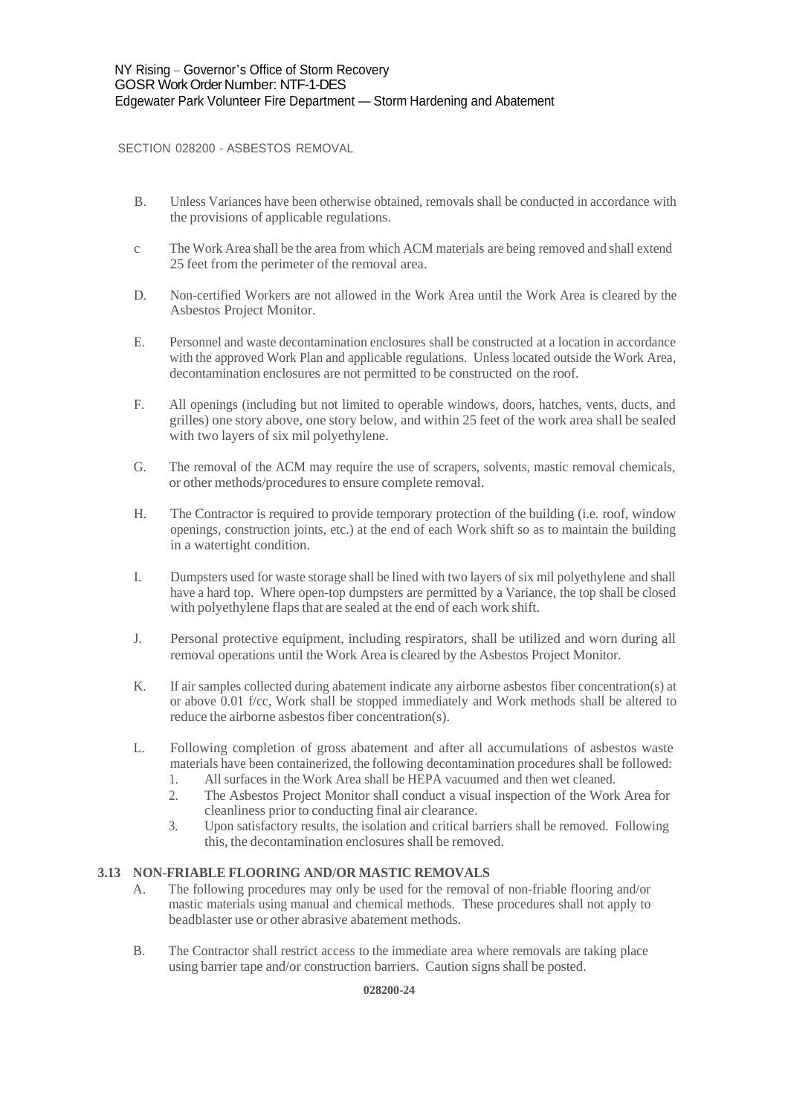

**KATHY HOCHUL** Governor

#### **INVITATION FOR BID: Storm Hardening at Edgewater Park Volunteer Fire Department – IFB # GOSR-IFB-2022-01**

## **17. IRAN DIVESTMENT ACT**

Every bid made to HTFC/GOSR pursuant to a competitive solicitation must contain the following statement, signed by the Bidder on company letterhead and affirmed as true under penalty of perjury:

"By submission of this bid, Bidder and each person signing on behalf of any Bidder certifies, and in the case of a joint bid or proposal each party thereto certifies as to its own organization, under penalty of perjury, that to the best of its knowledge and belief that each Bidder is not on the list created pursuant to paragraph (b) of subdivision 3 of section 165-a of the State Finance Law."

The list in question is maintained by the Office of General Services. A Bid that fails to certify compliance with this requirement may not be accepted as responsive.

## <span id="page-22-0"></span>VIII. ATTACHMENTS & APPENDICES **ATTACHMENTS:**

- Attachment A Bid Schedule (REQUIRED)
- Attachment B Insurance Requirements
- Attachment  $C -$  Standards & Specifications
- Attachment  $D -$ Plans & Drawings
- Attachment E Prevailing Wage and Other Labor Requirements

## **APPENDICES:**

- Appendix I Federal Contract Provisions
	- o Certification Regarding Lobbying
- Appendix II Standard Clauses for Contracts with the Housing Trust Fund Corporation
	- o HTFC Construction Agreement
	- $\circ$  Appendix A Affirmation of Understanding of and Agreement Pursuant to State Finance Law §139-j (3) and §139-j (6)(b)
	- o Appendix B Offeror Disclosure of Prior Non-Responsibility Determinations
	- o Non-Collusive Bidding Certification
	- o New York State Vendor Responsibility Questionnaire For-Profit Construction (CCA-2)
- Appendix III Diversity Forms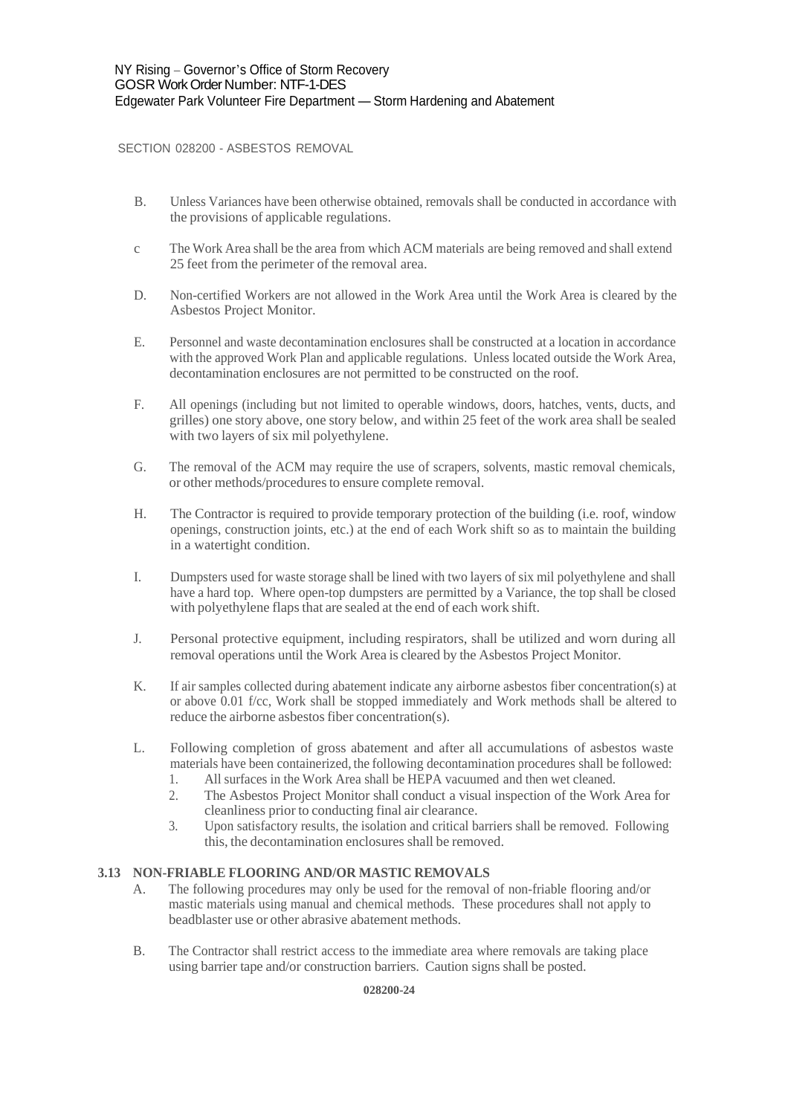

**KATHY HOCHUL** Governor

#### **INVITATION FOR BID: Storm Hardening at Edgewater Park Volunteer Fire Department – IFB # GOSR-IFB-2022-01**

- o Equal Employment Opportunity Staffing Plan (PROC-1)
- o MWBE Utilization Plan (PROC-2)
- o Minority and Women-Owned Business Enterprises Equal Employment Opportunity Policy Statement (PROC-4)
- o SDVOB Utilization Plan
- o Equal Employment Opportunity Statement (PROC-8)
- o Section 3 Plan
- Appendix IV– Construction Requirements and Procedures for Contracts with Housing Trust Fund Corporation
	- o Affirmation of Income Payments to MBE/WBE
	- o Monthly Employment Utilization Report
	- o Appendix A Standard Clauses for NYS Contracts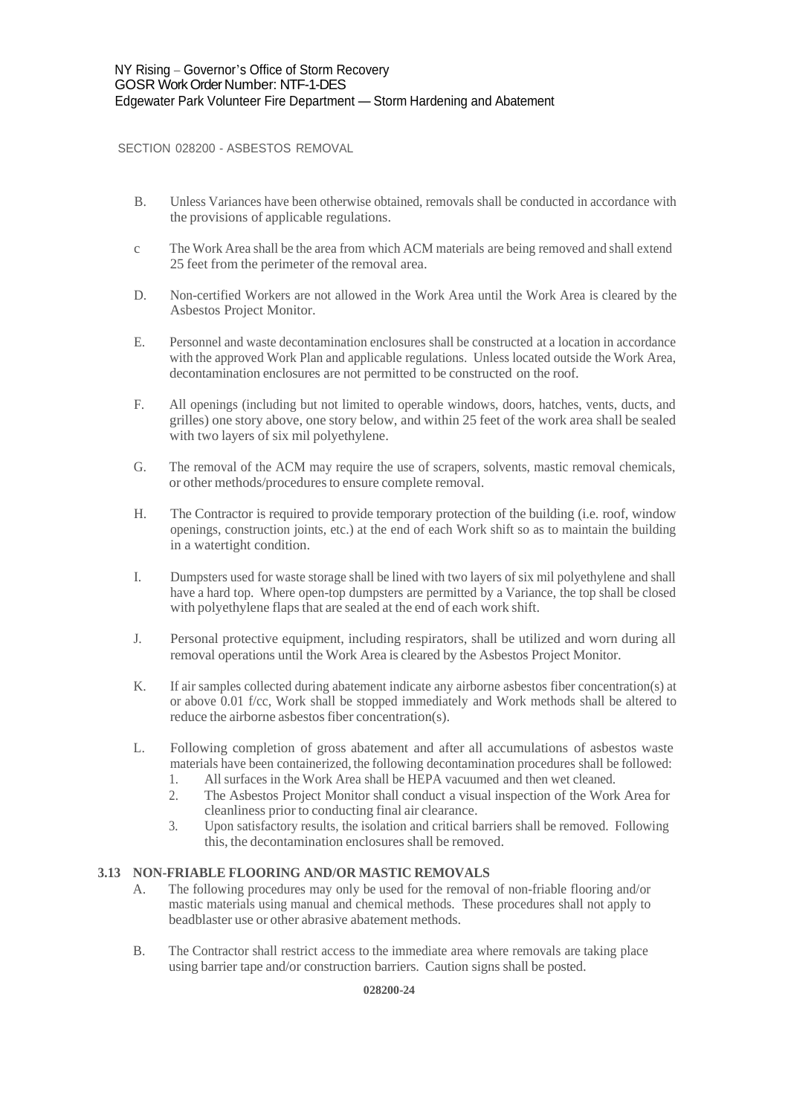

**KATHY HOCHUL** Governor

## **INVITATION FOR BID: Storm Hardening at Edgewater Park Volunteer Fire Department – IFB # GOSR-IFB-2022-01**

## **ATTACHMENT A – BID SCHEDULE**

The costs for any Work shown or required in the Contract Documents, but not specifically identified as a line item are to be included in the related line items and no additional compensation shall be due to Contractor for the performance of the Work.

All blank spaces in the attached Bid Schedule must be filled in. Failure to fill in any blank spaces may render the bid non-responsive. In case of discrepancy between the Unit Price and Item Cost set forth for a unit basis item, the Unit Price shall prevail and shall be utilized as the basis for determining the lowest responsive, responsible Bidder. However, if the amount set forth as a Unit Price is ambiguous, unintelligible or uncertain for any cause, or is omitted, or is the same amount as the entry in the Item Cost column, then the amount set forth in the Item Cost column for the item shall prevail and shall be divided by the estimated quantity for the item and the price thus obtained shall be the Unit Price.

For purposes of evaluating Bids, GOSR will correct any apparent errors in the extension of Unit Prices and any apparent errors in the addition of lump sum and extended prices.

The estimated quantities for Unit Price items are for purposes of comparing Bids only and GOSR makes no representation that the actual quantities of work performed will not vary from the estimates. Final payment shall be determined by the Engineer from measured quantities of work performed based upon the Unit Price.

The undersigned agrees that this Bid Schedule constitutes a firm offer to GOSR which cannot be withdrawn for the number of calendar days indicated in the Invitation for Bids from and after the Bid opening, or until a Contract for the Work is fully executed by GOSR and a third party, whichever is earlier.

In submitting this Bid, Bidder acknowledges and commits to comply with all applicable legal and regulatory requirements.

By submission of this bid, Bidder and each person signing on behalf of any Bidder certifies, and in the case of a joint bid each party thereto certifies as to its own organization, under penalty of perjury, that to the best of its knowledge and belief that each Bidder is not on the list created pursuant to paragraph (b) of subdivision 3 of section 165-a of the State Finance Law.

Authorized Bidder Signature Date

Printed Name (First & Last): \_\_\_\_\_\_\_\_\_\_\_\_\_\_\_\_\_\_\_\_\_\_\_\_\_\_\_\_\_\_\_\_\_\_\_\_\_\_\_\_\_\_\_\_\_\_\_\_\_\_\_

Company Name: \_\_\_\_\_\_\_\_\_\_\_\_\_\_\_\_\_\_\_\_\_\_\_\_\_\_\_\_\_\_\_\_\_\_\_\_\_\_\_\_\_\_\_\_\_\_\_\_\_\_

\_\_\_\_\_\_\_\_\_\_\_\_\_\_\_\_\_\_\_\_\_\_\_\_\_\_\_\_\_\_\_\_\_\_\_\_\_\_\_\_\_\_\_\_\_\_\_\_\_\_\_ \_\_\_\_\_\_\_\_\_\_\_\_\_\_\_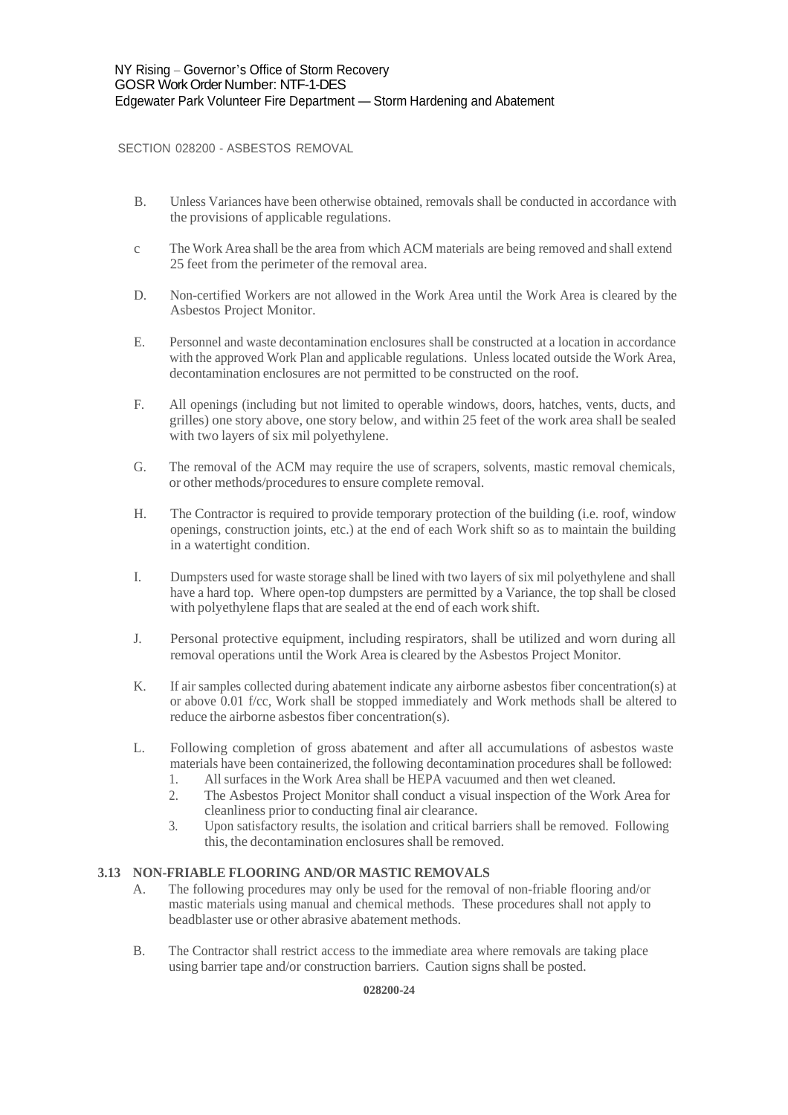

**KATHY HOCHUL** Governor

## **INVITATION FOR BID: Storm Hardening at Edgewater Park Volunteer Fire Department – IFB # GOSR-IFB-2022-01**

## **ATTACHMENT B – INSURANCE REQUIREMENTS**

Prior to commencing any work but no later than ten (10) days after receipt of the Notice of Award, the Contractor shall submit or cause to be submitted any and all Certificates of Insurance and Endorsements, showing that the Contractor has the required insurance, to the attention of GOSR. Such insurance is to be provided at the sole cost and expense of the Contractor. No Work shall be performed until all of the required insurance has been received and approved.

Contractor shall procure and maintain, at its sole cost and expense, in full force and effect without interruption during all periods of services covered by this Contract, the Statement of Work, or any Work Order(s), insurance naming HTFC as an additional insured against claims for injuries to persons or damages to property which may arise from or in connection with the performance of the Contract by the Contractor, its agents, representatives, employees, or subcontractors, and shall be of the type, and with the limits and deductibles, listed below.. It shall be in GOSR's sole discretion to accept or reject alternative insurance requirements. Contractor shall require all of its Subcontractors to procure and maintain the same insurance for the duration of the Contract. Such insurance shall meet at least the following minimum levels of coverage:

Commercial General Liability Insurance. In an amount not less than One Million Dollars (\$1,000,000.00) per occurrence, bodily injury (including death) and property damage combined; One Million Dollars (\$1,000,000.00) per occurrence for personal and advertising injury; Two Million Dollars (\$2,000,000.00) products/completed operations aggregate; and Two Million Dollars (\$2,000,000.00) per location aggregate. Such insurance shall be written on an "occurrence" basis and shall apply on a primary, non-contributory basis irrespective of any other insurance, whether collectible or not. The policy(ies) shall be endorsed to name HTFC, the State of New York, and all "benefitted parties" as "Additional Insureds".

Comprehensive Automobile Liability. In an amount not less than One Million Dollars (\$1,000,000.00) combined single limit for both bodily injury and property damage covering all owned, non-owned and hired vehicles utilized in or related to Contractor's activity or performance under the Contract, the Statement of Work, or any Work Order(s).

Workers' Compensation Insurance and Disability Benefits Insurance. Covering employers' liability, workers compensation coverage, and disability benefits coverage as required by the provisions of the Workers' Compensation Law (WCL) of the State of New York.

Standard "All Risk" Property Insurance covering all equipment and material (owned, borrowed or leased by Contractor or its employees) utilized and/or related to Contractor's activity or performance under the Agreement, the Services or Scope of Services, or any Work Order(s), to the full replacement value, and which shall allow for a waiver of subrogation in favor of HTFC. Contractor hereby agrees to waive its right of subrogation against HTFC. Failure of the Contractor to secure and maintain adequate coverage shall not obligate HTFC, its agents of employees, for any losses.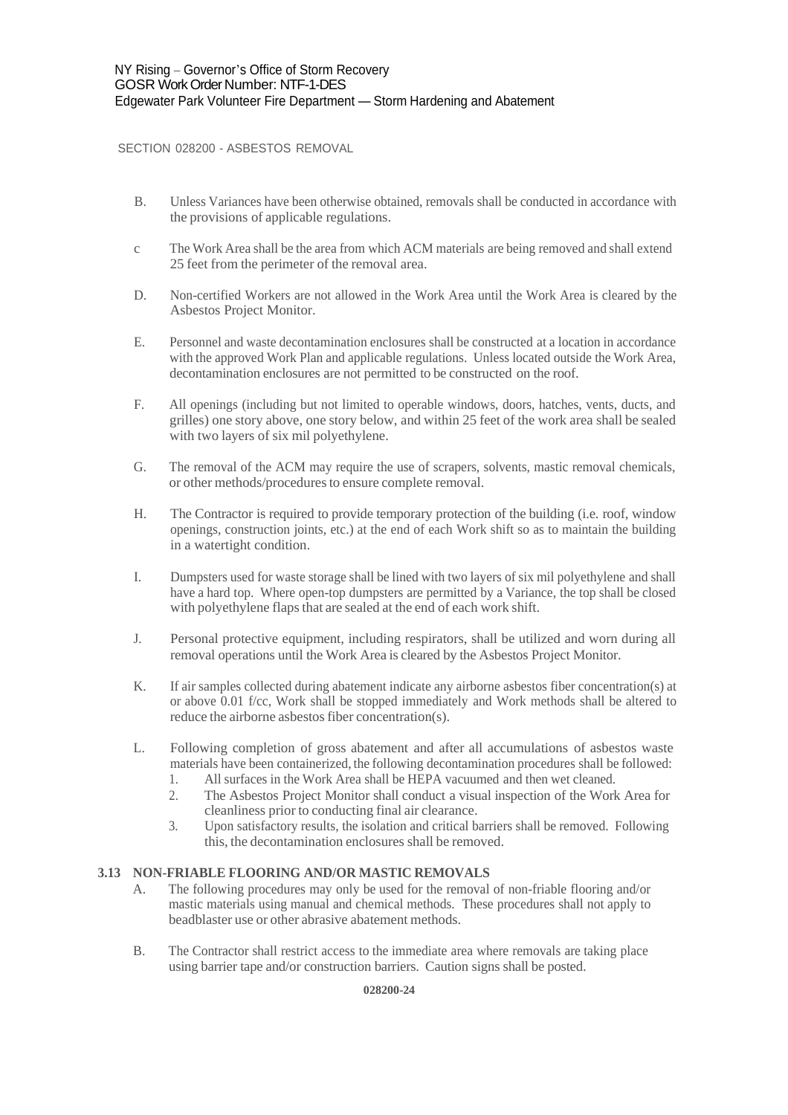

**KATHY HOCHUL** Governor

#### **INVITATION FOR BID: Storm Hardening at Edgewater Park Volunteer Fire Department – IFB # GOSR-IFB-2022-01**

Excess Liability Insurance. In an amount not less than Eight Million Dollars (\$8,000,000.00) per occurrence and Eight Million Dollars (\$8,000,000.00) per location aggregate limit, applying on a primary, non-contributory basis irrespective of any other insurance, whether collectible or not, and applying in excess over all limits and coverages noted in paragraphs (i) and (ii) above. This policy shall be written on an "occurrence" basis and shall be endorsed to name HTFC and the State of New York as "Additional Insureds".

In addition-If Contractor will be hauling hazardous material, Contractor's Pollution Liability (CPL) Coverage. In an amount not less than Five Million Dollars (\$5,000,000.00) covering pollution related claims and also including Non-owned disposal site(s) liability, Transportation pollution liability coverage endorsement, Additional Insured Endorsement, and Additional Insured Endorsement-Products-Completed Operations Hazard. Such insurance shall be written on an "occurrence" basis and shall apply on a primary, non-contributory basis.

If Contractor is providing Professional Services as a Pollution Mitigation and/or Abatement Contractor, Professional Liability Including Pollution Legal Liability Insurance. In an amount not less than Two Million Dollars (\$2,000,000.00) per claim limit, providing coverage for damages arising out of the acts, errors or omissions of the Contractor and/or those acting under the Contractor's direction or control and/or those for whose acts the Contractor may be liable, and relating to the professional services rendered. In the event that coverage under such policy is terminated upon or after completion of the project, then an extended reporting period of not less than two (2) years will be purchased by the Contractor. HTFC, the State of New York, and all "benefitted parties" shall be named as "Additional Insureds" on the Pollution Legal Liability coverage.

All policies shall be written with insurance companies licensed to do business in New York and rated not lower than A+ in the most current edition of AM Best's Property Casualty Key Rating guide. All policies will provide primary coverage for obligations assumed by Contractor under this Agreement, the Services or Scope of Services, or any Work Order(s), and shall be endorsed to provide that HTFC shall receive thirty (30) days prior written notice in the event of cancellation, non-renewal or material modification of such insurance.

The Contractor shall provide Certificates of Insurance to HTFC prior to the commencement of work, and prior to any expiration or anniversary of the respective policy terms, evidencing compliance with all insurance provisions set forth above, and shall provide full and complete copies of the actual policies and all endorsements upon request. Failure to provide adequate or proper certification of insurance, specifically including HTFC, the State of New York, and all "benefitted parties" as "Additional Insureds", shall be deemed a breach of contract.

An Accord Certificate of Insurance is an acceptable form to submit evidence of all forms of insurance coverage except Workers' Compensation Insurance and Disability Benefits Insurance. For evidence of Workers' Compensation Insurance, the Contractor must supply one of the following forms: Form C-105.2 (Certificate of Workers' Compensation Insurance issued by a private carrier), Form U-26.3 (Workers Compensation Insurance issued by the State Insurance Fund), Form SI-12 (Certificate of Workers' Compensation Self- insurance), Form GSI-105.2 (Certificate of Participation in Workers' Compensation Group Self-Insurance), or CE-200 (Certificate of Attestation of Exemption from NYS Workers' Compensation and/or Disability Benefits Coverage). For evidence of Disability Benefits Insurance, the Contractor must supply one of the following forms: Form DB-120.1 (Certificate of Disability Benefits Insurance), Form DB-155 (Certificate of Disability Benefits Self-Insurance), or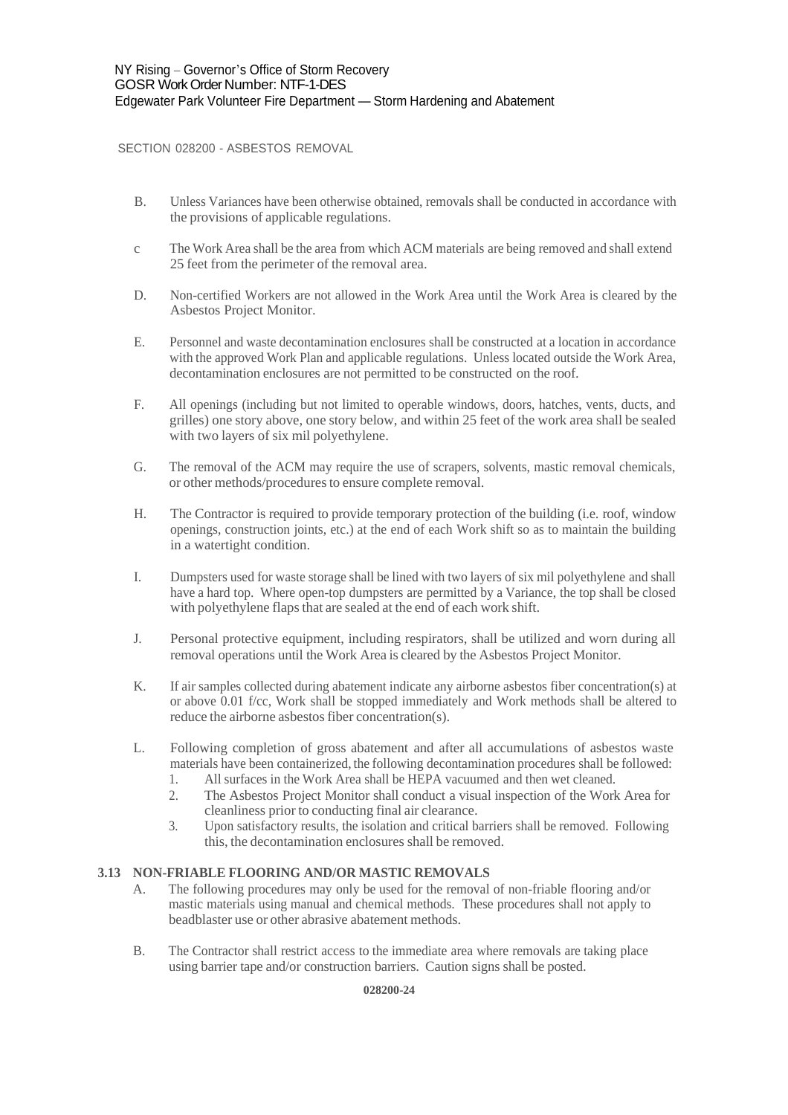

**KATHY HOCHUL** Governor **INVITATION FOR BID: Storm Hardening at Edgewater Park Volunteer Fire Department – IFB # GOSR-IFB-2022-01**

CE-200 (Certificate of Attestation of Exemption from NYS Workers' Compensation and/or Disability Benefits Coverage).

Subcontractors under this Agreement shall only be subject to (i)-(iv) of this Section, except that (vi)-(vii) shall apply where applicable. However, Contractor shall require subcontractors to maintain greater limits and/or other or additional insurance coverages if greater limits and/or other or additional insurance coverages are (a) generally imposed by the Contractor given its normal course of business for subcontracts for similar services to those being provided by the subcontractor at issue; or (b) reasonable and customary in the industry for similar services to those anticipated hereunder.

NOTE: All General Liability, Comprehensive Auto, Excess Liability, and Pollution, Legal Liability policies must be endorsed to name HTFC, and all Indemnities as Additional Insureds.

#### **Indemnification Provisions:**

Contractor will also be required to agree to the following indemnification provisions:

Contractor shall, and hereby agrees, to hold harmless, defend (with counsel acceptable to HTFC), and indemnify HTFC and the State of New York, and its successors, affiliates, or assigns, and any of their employees, officers, directors, attorneys, consultants, agents, managers, representatives, and affiliates (collectively, "HTFC"), from and against any and all losses, expenses, claims, demands, damages, judgments, liabilities or alleged liabilities, costs of any form or nature whatsoever (including reasonable attorneys' fees), resulting from, arising out of, or in consequence of any action or cause of action in connection with this Agreement, the Services or Scope of Services, or any Work Order(s), including, but not limited to, property damage, any injuries or death sustained by any persons, employees, agents, invitees and the like, any infringement of copyright, royalty, or other proprietary right in consequence of any design(s) created and/or specifications prepared in accordance with the Agreement, the Services or Scope of Services, or any Work Order(s), any injuries or damages resulting from defects, malfunction, misuse, etc. of Contractor-provided equipment and materials, any violations of law, violations of this Agreement, or the conduct (including any acts, omissions, malfeasance, or willful misconduct) of Contractor or any subcontractor or supplier of any level or tier or anyone directly or indirectly employed by any of them or anyone for whose acts they may be liable.

This indemnity shall expressly include, but is not limited to, the obligation of Contractor to indemnify and reimburse HTFC for any and all attorneys' fees and other litigation or dispute resolution costs incurred, or to be incurred, in HTFC's enforcement of this Agreement, or any portion thereof, against Contractor or otherwise arising in connection with this Agreement. This clause shall survive indefinitely the termination of this Agreement for any reason.

It is expressly understood and agreed that the risk of loss for property damage during the course of construction or other work passes to HTFC only after completion of the work enumerated in the Agreement, Services or Scope of Services, or any Work Order(s). Accordingly, all of the indemnification provisions as set forth herein shall also apply to any losses sustained prior to the passing of risk of loss to HTFC. This clause shall survive indefinitely the termination of this Agreement for any reason.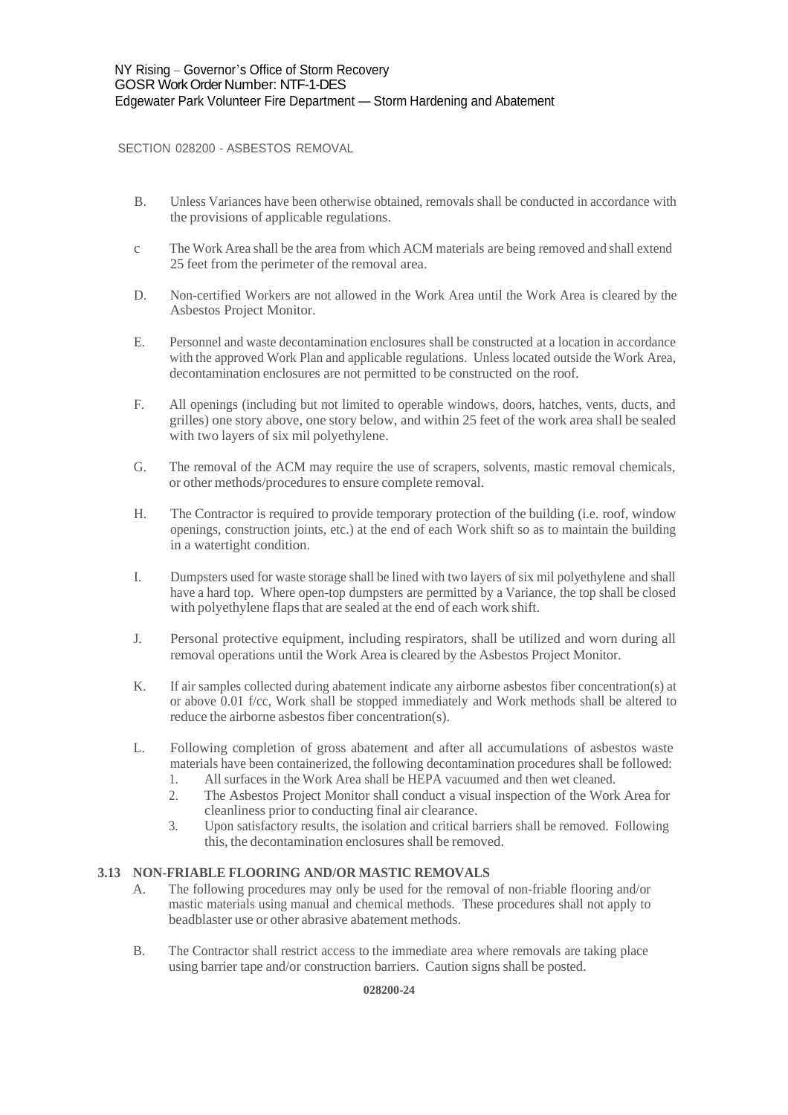

**KATHY HOCHUL** Governor

### **INVITATION FOR BID: Storm Hardening at Edgewater Park Volunteer Fire Department – IFB # GOSR-IFB-2022-01**

For construction, environmental remediation/mitigation, or other work in which HTFC has entered into this contract to perform the work on behalf of homeowners or others who may be determined to be third party beneficiaries of this contract ("benefitted parties"), all of the indemnification provisions set forth herein shall expressly extend to such "benefitted parties" in like manner and degree as to HTFC.

Notwithstanding the foregoing indemnification provisions, Contractor remains liable, without monetary limitation, for direct damages for personal injury, death or damage to real property or tangible personal property or intellectual property attributable to the negligence or other tort of Contractor, its officers, employees or agents.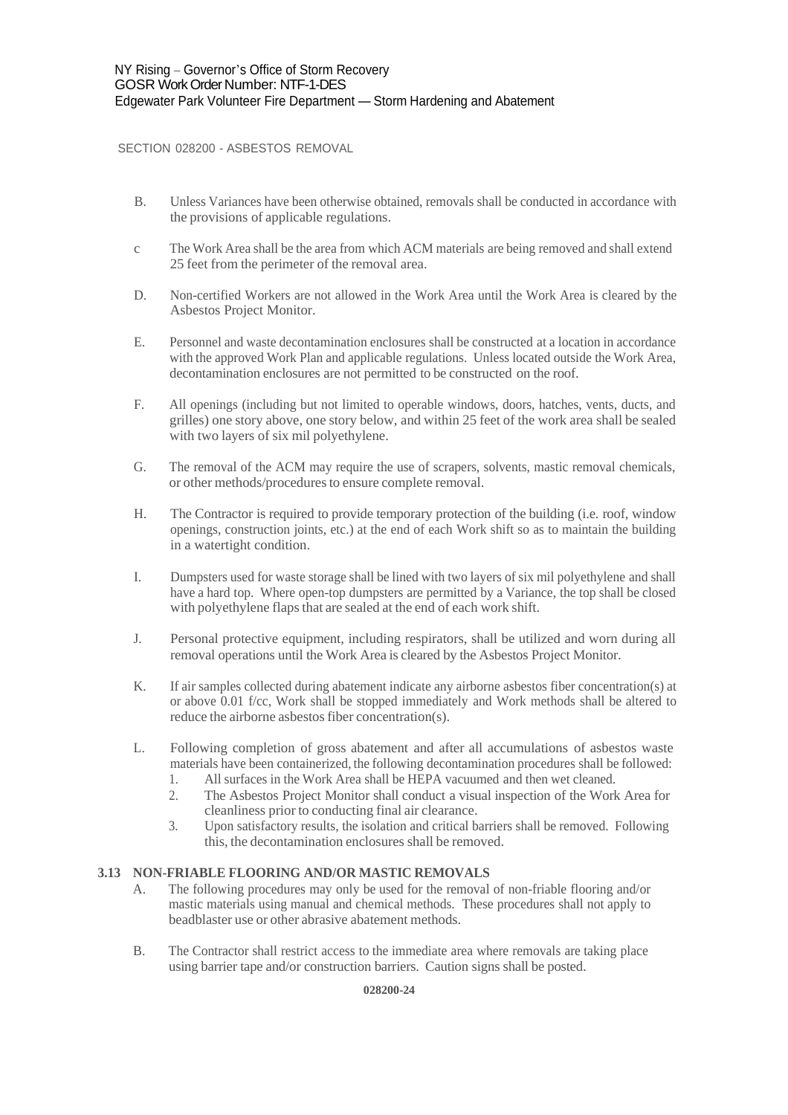

**KATHY HOCHUL** Governor

## **INVITATION FOR BID: Storm Hardening at Edgewater Park Volunteer Fire Department – IFB # GOSR-IFB-2022-01**

## **ATTACHMENT C – STANDARDS & SPECIFICATIONS**

THE FOLLOWING SPECIFICATIONS ARE INCORPORATED HEREIN BY REFERENCE AS IF SET FORTH IN THEIR ENTIRETY:

- 1. Technical Specifications
- 2. Environmental Inspection Report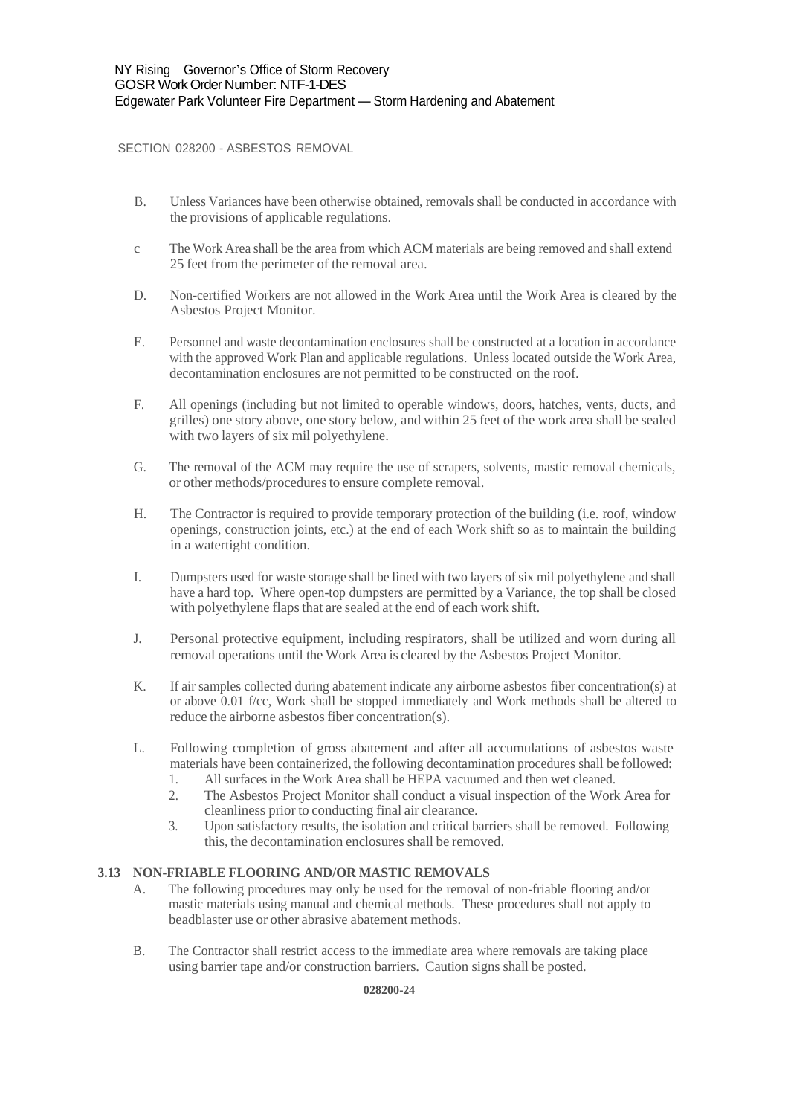

**KATHY HOCHUL** Governor

### **INVITATION FOR BID: Storm Hardening at Edgewater Park Volunteer Fire Department – IFB # GOSR-IFB-2022-01**

## **ATTACHMENT D – PLANS & DRAWINGS**

## THE FOLLOWING PLANS AND DRAWINGS ARE INCORPORATED HEREIN BY REFERENCE AS IF SET FORTH IN THEIR ENTIRETY:

- 1. Approved GC.FO- X00735640-I1
- 2. Approved Electrical Drawings
- 3. Approved Mechanical Plans X00736087-I1
- 4. Approved Plumbing Plans- X00736306-I1
- 5. Fire Alarm Plans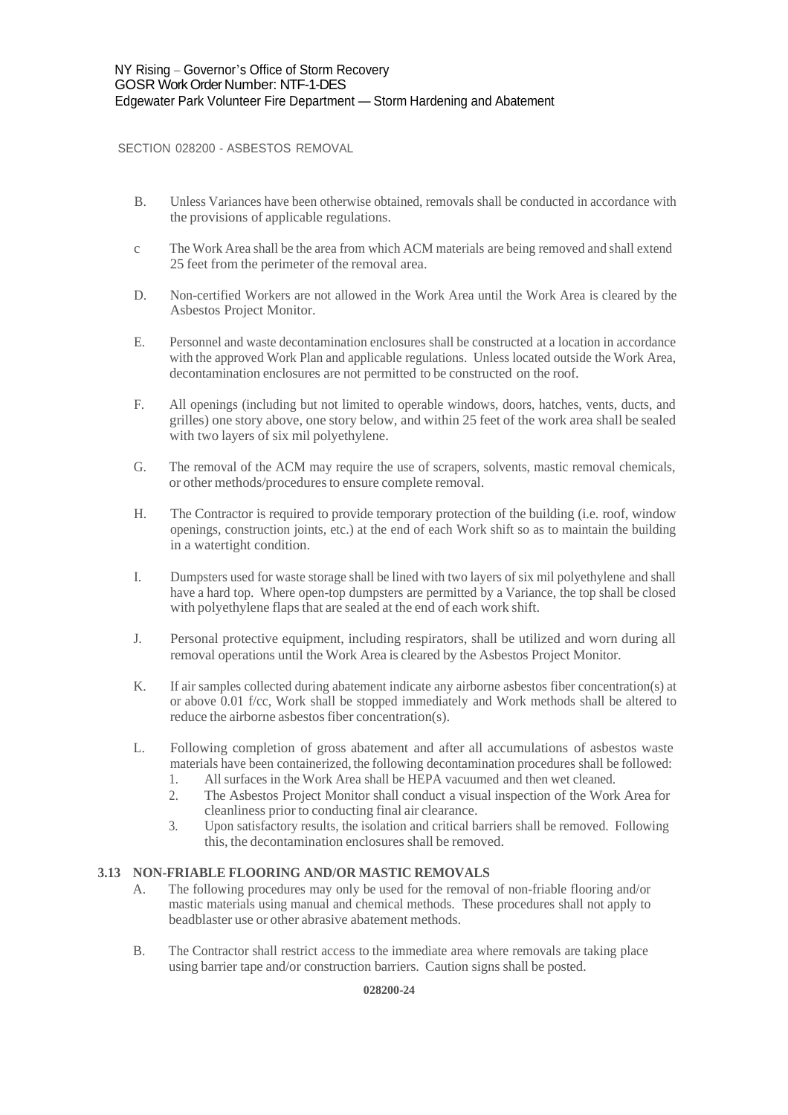

**KATHY HOCHUL** Governor

#### **INVITATION FOR BID: Storm Hardening at Edgewater Park Volunteer Fire Department – IFB # GOSR-IFB-2022-01**

# **ATTACHMENT E – PREVAILING WAGES & OTHER LABOR REQUIREMENTS**

#### *See attached Davis-Bacon Wage Decision*

GOSR reserves the right to visit the job site and to interview any employees on any given date or time during the conduct of the work without prior notification. GOSR will ascertain that the proper wage rates are being paid to the employees in accordance with the contract documents. GOSR shall require the posting, utilization, and/or submission of the following forms or documents to verify compliance with Davis-Bacon, Prevailing Wages, and other labor requirements, which may include, but are not limited to, the following:

- Contractors shall pay the higher prevailing wage between Davis Bacon (Federal) and NYSDOL Prevailing wages. NYSDOL update periodically and it is the contractor's responsibility to pay the most updated wages applicable for the trade being utilized in the field. NYSDOL wages can be found on the following website: <https://apps.labor.ny.gov/wpp/publicViewPWChanges.do?method=showIt>
- DBRA Wage Rates This reflects proper minimum hourly compensation, including fringe benefits, which is owed workers by all contractor/subcontractor for this project. Contractors are required to post these wage rates at the job site visible to all workers and must remain in place until the project is complete.
- Employees Rights Under Davis-Bacon Act Poster This poster will be provided by GOSR to Contractor and must be posted at the job site accompanied by the wage rates, which shall be visible to all workers.
- Equal Employment Opportunity is the Law (EEO) Poster This poster will be provided by GOSR to Contractor, and must be posted at the job site in an area visible to all workers.
- Quarterly Employment Data Report This report shall be provided by GOSR to Contractor and must be submitted by all contractors / subcontractors whose contracts and subcontracts exceed \$10,000.00 regardless of the nature and duration of contract.
- Weekly Certified Payrolls GOSR shall dictate the format and frequency required of contractors / subcontractors when completing certified payrolls, which must be submitted for each week during the course of the project within five (5) working days after the end of the weekly payroll period.
- Project Sign GOSR shall provide Contractor with the Project Sign requirements, if applicable, including language, formatting, size, and other specifications to be used when preparing and installing the required project sign(s).
- Daily Work Logs GOSR may require submission of Daily Work Logs from the Contractor for each day during the course of the project with the corresponding Pay Request.
- GOSR will ascertain that the proper wage rates are being paid to the employees in accordance with the contract documents. Apprentices may be used in any of the crafts listed in the Wage Decision, if they are currently certified in a program recognized by the Office of Apprenticeship Training, U.S. Department of Labor, providing the proper ratio between journeyman and apprentice is observed. Apprenticeship certification certificates must be supplied with the first weekly payroll upon which the apprentice's name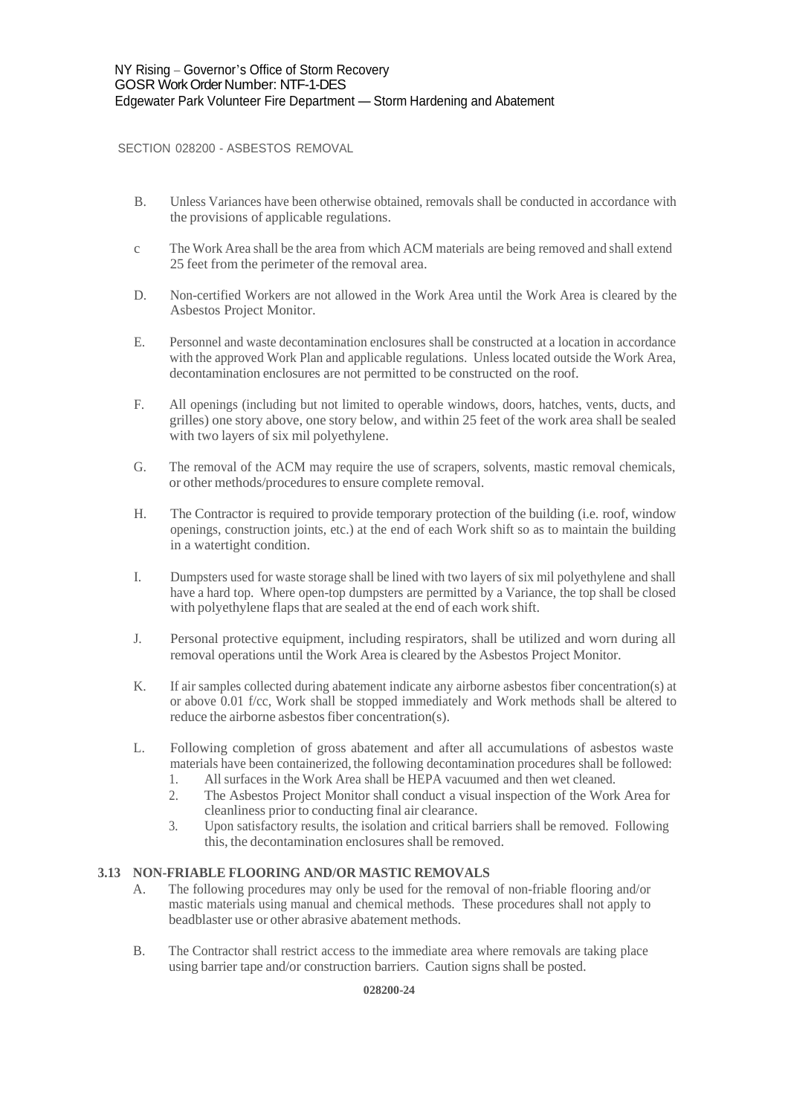

**Storm Recovery** 

**Governor's Office of** 

**KATHY HOCHUL** Governor

#### **INVITATION FOR BID: Storm Hardening at Edgewater Park Volunteer Fire Department – IFB # GOSR-IFB-2022-01**

appears. If they are not certified as an apprentice, they must be paid as a journeyman and used as an apprentice.

• In the event of discrepancy between the services performed and the wages paid, such discrepancy will be documented, and the Contractor will be so notified. GOSR reserves the right to withhold any payment due the Prime Contractor until such discrepancy is resolved and the necessary adjustment made.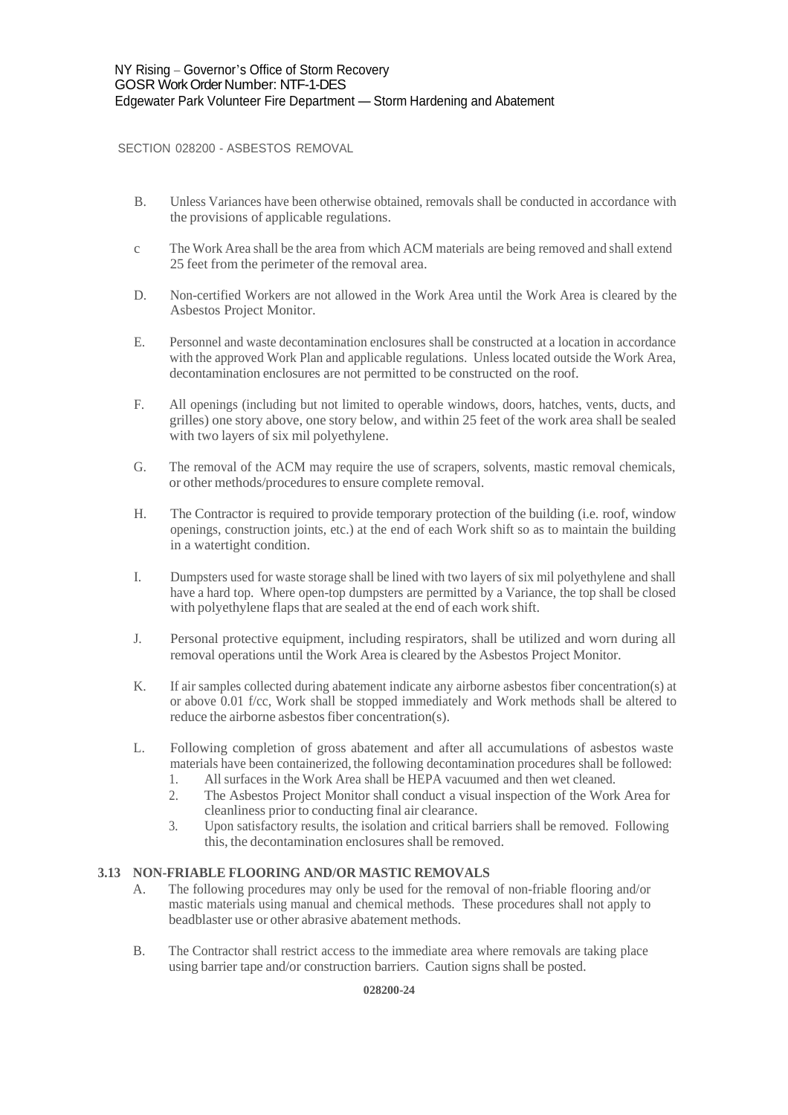

**KATHY HOCHUL** Governor

#### **INVITATION FOR BID: Storm Hardening at Edgewater Park Volunteer Fire Department – IFB # GOSR-IFB-2022-01**

## **APPENDIX I – FEDERAL CONTRACT PROVISIONS**

During the performance of the Contract, Contractor shall comply with all applicable Federal laws and regulations including, but not limited, to the following:

## **A. CONTRACTING WITH SMALL AND MINORITY FIRMS, WOMEN'S BUSINESS ENTERPRISE AND LABOR SURPLUS AREA FIRMS (2 C.F.R. § 200.321)**

Contractor shall be subject to 2 C.F.R. 200.321 and will take affirmative steps to assure that minority firms, women's business enterprises, and labor surplus area firms are used when possible and will not be discriminated against on the grounds of race, color, religious creed, sex, or national origin in consideration for an award.

Affirmative steps shall include:

- 1. Placing qualified small and minority businesses and women's business enterprises on solicitation lists;
- 2. Assuring that small and minority businesses, and women's business enterprises are solicited whenever they are potential sources;
- 3. Dividing total requirements, when economically feasible, into smaller tasks or quantities to permit maximum participation by small and minority business, and women's business enterprises;
- 4. Establishing delivery schedules, where the requirement permits, which encourage participation by small and minority business, and women's business enterprises; and
- 5. Using the services/assistance of the Small Business Administration (SBA), and the Minority Business Development Agency (MBDA) of the Department of Commerce.
- 6. Contractor shall submit evidence of compliance with the foregoing affirmative steps when requested by GOSR.

## **B. ACCESS TO RECORDS & RECORD RETENTION (2 C.F.R. 200.337)**

Contractor must provide GOSR, the State of New York, the U.S. Department of Housing and Urban Development (HUD), the Inspectors General, the Comptroller General of the United States, or any of their pass-through entities or authorized representatives access to any books, documents, papers, and records of the Contractor and its subcontractors which are directly pertinent to this Contract for the purposes of making and responding to audits, examinations, excerpts, and transcriptions. The right also includes timely and reasonable access to the Contractor's personnel for the purpose of interview and discussion related to such documents. Contractor must keep records available upon request of those representatives within twenty-four (24) hours of request by GOSR. Contractor must maintain all records pertaining to the Contract for five (5) years after receiving final payment and after all other pending matters have been closed.

## **C. REQUIRED CONTRACT PROVISIONS IN ACCORDANCE WITH APPENDIX II TO PART 200 – CONTRACT PROVISIONS FOR NON-FEDERAL ENTITY CONTRACTS UNDER FEDERAL AWARDS (2 C.F.R. 200.327)**

**1. Appendix II to Part 200 (A) – Breach of Contract Remedies:**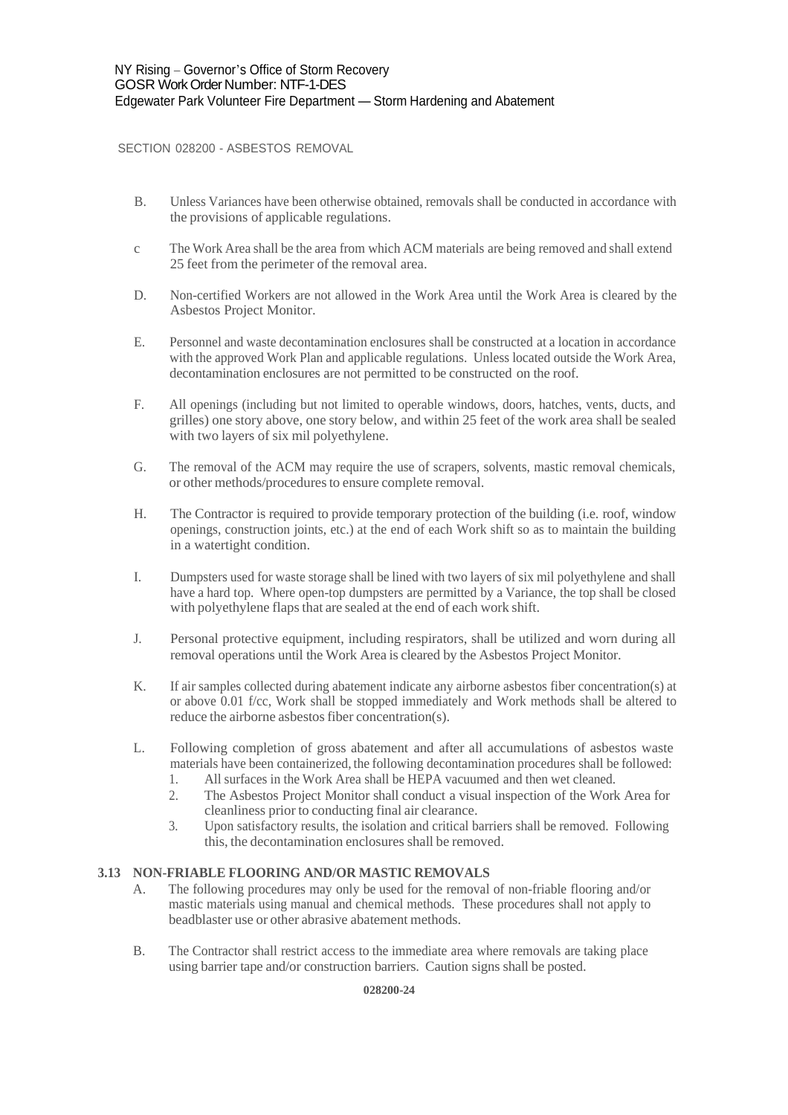

**KATHY HOCHUL** Governor **INVITATION FOR BID: Storm Hardening at Edgewater Park Volunteer Fire Department – IFB # GOSR-IFB-2022-01**

The Contract between HTFC and Contractor shall include administrative, contractual, or legal remedies in instances where Contractor violates or breaches the terms of the Contract.

#### **2. Appendix II to Part 200 (B) – Termination for Cause and Convenience:**

The Contract between HTFC and Contractor shall include provisions for termination for cause or convenience by GOSR, including the manner by which it will be effected and the basis for settlement.

#### **3. Appendix II to Part 200 (C) – Equal Employment Opportunity:**

Except as otherwise provided under 41 C.F.R. Part 60, Contractor shall comply with the following equal opportunity clause, in accordance with Executive Order 11246 of September 24, 1965 entitled "Equal Employment Opportunity," as amended by Executive Order 11375 of October 13, 1967 and implementation regulations at 41 C.F.R. Chapter 60.

During the performance of this Contract, the Contractor agrees as follows:

The Contractor will not discriminate against any employee or applicant for employment because of race, color, religion, sex, sexual orientation, gender identity, or national origin. The Contractor will take affirmative action to ensure that applicants are employed, and that employees are treated during employment without regard to their race, color, religion, sex, sexual orientation, gender identity, or national origin. Such action shall include, but not be limited to the following: Employment, upgrading, demotion, or transfer; recruitment or recruitment advertising; layoff or termination; rates of pay or other forms of compensation; and selection for training, including apprenticeship. The Contractor agrees to post in conspicuous places, available to employees and applicants for employment, notices to be provided setting forth the provisions of this nondiscrimination clause.

The Contractor will, in all solicitations or advertisements for employees placed by or on behalf of the Contractor, state that all qualified applicants will receive consideration for employment without regard to race, color, religion, sex, sexual orientation, gender identity, or national origin.

The Contractor will not discharge or in any other manner discriminate against any employee or applicant for employment because such employee or applicant has inquired about, discussed, or disclosed the compensation of the employee or applicant or another employee or applicant. This provision shall not apply to instances in which an employee who has access to the compensation information of other employees or applicants as a part of such employee's essential job functions discloses the compensation of such other employees or applicants to individuals who do not otherwise have access to such information, unless such disclosure is in response to a formal complaint or charge, in furtherance of an investigation, proceeding, hearing, or action, including an investigation conducted by the employer, or is consistent with the Contractor's legal duty to furnish information.

The Contractor will send to each labor union or representative of workers with which he has a collective bargaining agreement or other contract or understanding, a notice to be provided advising the said labor union or workers' representatives of the Contractor's commitments under this section, and shall post copies of the notice in conspicuous places available to employees and applicants for employment.

The Contractor will comply with all provisions of Executive Order 11246 of September 24, 1965, and of the rules, regulations, and relevant orders of the Secretary of Labor.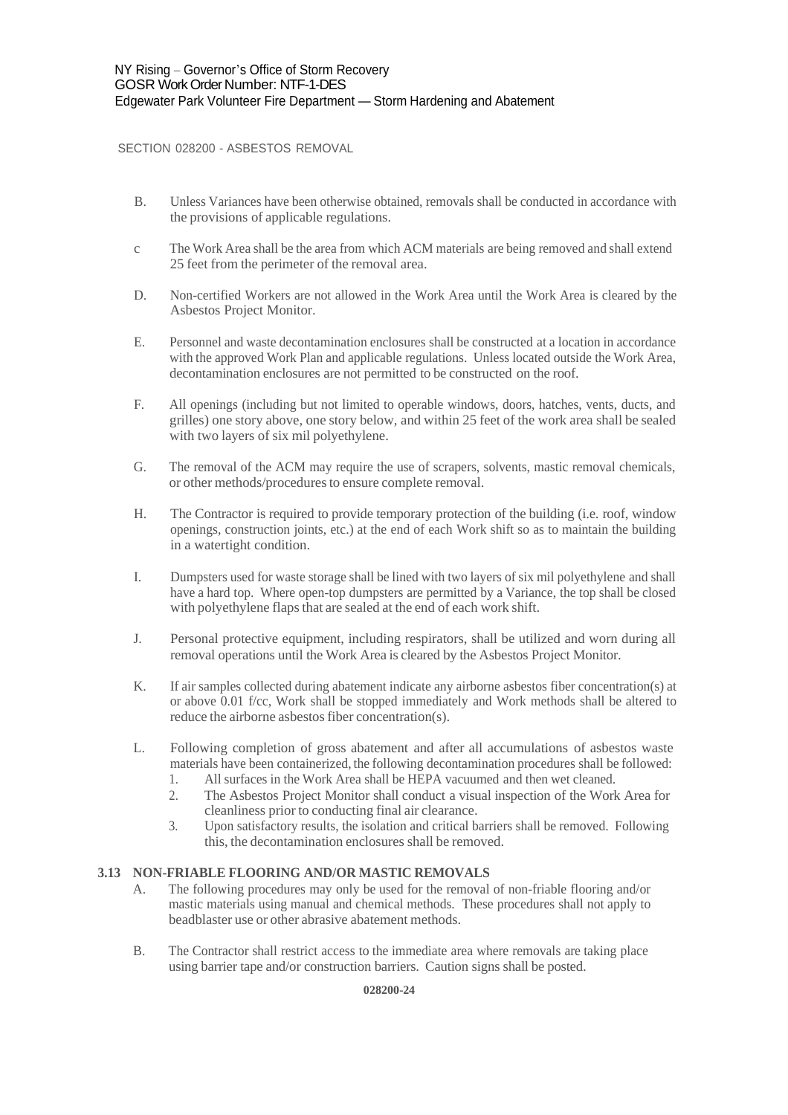

**KATHY HOCHUL** Governor

#### **INVITATION FOR BID: Storm Hardening at Edgewater Park Volunteer Fire Department – IFB # GOSR-IFB-2022-01**

The Contractor will furnish all information and reports required by Executive Order 11246 of September 24, 1965, and by rules, regulations, and orders of the Secretary of Labor, or pursuant thereto, and will permit access to his books, records, and accounts by the administering agency and the Secretary of Labor for purposes of investigation to ascertain compliance with such rules, regulations, and orders.

In the event of the Contractor's noncompliance with the nondiscrimination clauses of this contract or with any of the said rules, regulations, or orders, this contract may be canceled, terminated, or suspended in whole or in part and the Contractor may be declared ineligible for further Government contracts or Federally assisted construction contracts in accordance with procedures authorized in Executive Order 11246 of September 24, 1965, and such other sanctions may be imposed and remedies invoked as provided in Executive Order 11246 of September 24, 1965, or by rule, regulation, or order of the Secretary of Labor, or as otherwise provided by law.

The Contractor will include the portion of the sentence immediately preceding paragraph (1) and the provisions of paragraphs (1) through (8) in every subcontract or purchase order unless exempted by rules, regulations, or orders of the Secretary of Labor issued pursuant to section 204 of Executive Order 11246 of September 24, 1965, so that such provisions will be binding upon each subcontractor or Contractor. The Contractor will take such action with respect to any subcontract or purchase order as the administering agency may direct as a means of enforcing such provisions, including sanctions for noncompliance:

*Provided,* however, that in the event a Contractor becomes involved in, or is threatened with, litigation with a subcontractor or Contractor as a result of such direction by the administering agency, the Contractor may request the United States to enter into such litigation to protect the interests of the United States.

The Contractor further agrees that it will be bound by the above equal opportunity clause with respect to its own employment practices when it participates in Federally assisted construction work: Provided, That if the Contractor so participating is a State or local government, the above equal opportunity clause is not applicable to any agency, instrumentality or subdivision of such government which does not participate in work on or under the contract.

The Contractor agrees that it will assist and cooperate actively with the administering agency and the Secretary of Labor in obtaining the compliance of contractors and subcontractors with the equal opportunity clause and the rules, regulations, and relevant orders of the Secretary of Labor, that it will furnish the administering agency and the Secretary of Labor such information as they may require for the supervision of such compliance, and that it will otherwise assist the administering agency in the discharge of the agency's primary responsibility for securing compliance.

The Contractor further agrees that it will refrain from entering into any contract or contract modification subject to Executive Order 11246 of September 24, 1965, with a contractor debarred from, or who has not demonstrated eligibility for, Government contracts and Federally assisted construction contracts pursuant to the Executive Order and will carry out such sanctions and penalties for violation of the equal opportunity clause as may be imposed upon contractors and subcontractors by the administering agency or the Secretary of Labor pursuant to Part II, Subpart D of the Executive Order. In addition, the Contractor agrees that if it fails or refuses to comply with these undertakings, the administering agency may take any or all of the following actions: Cancel,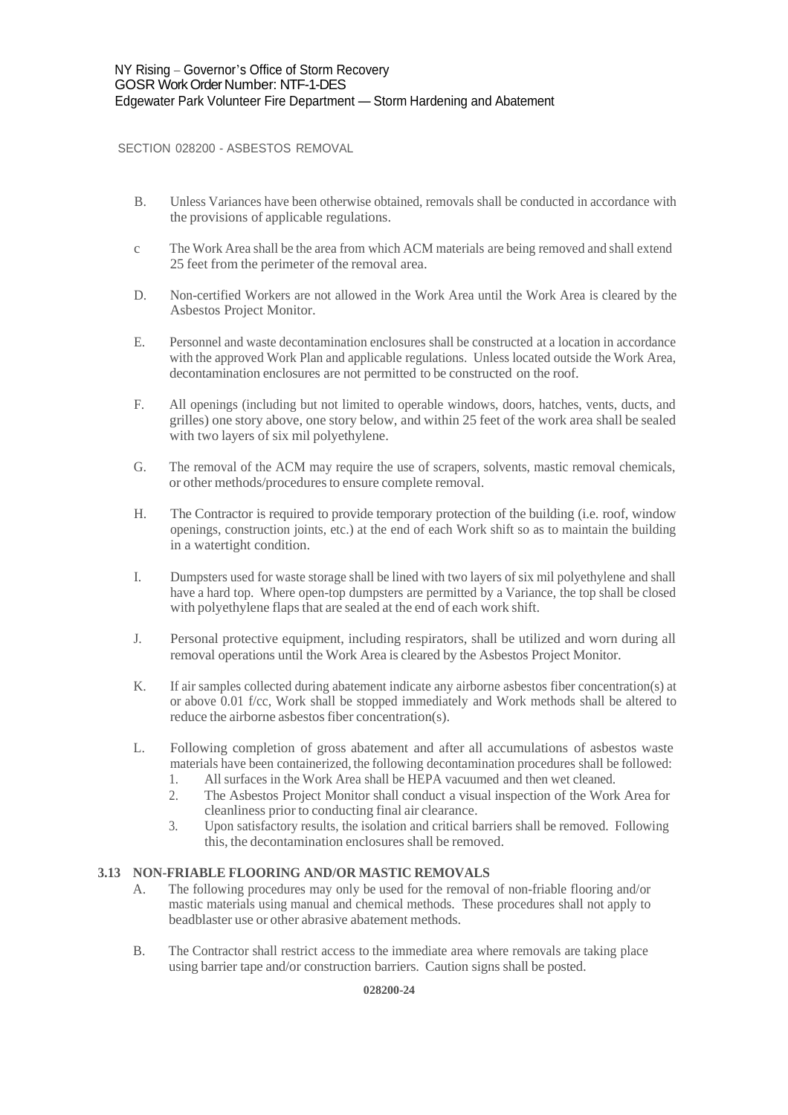

#### **INVITATION FOR BID: Storm Hardening at Edgewater Park Volunteer Fire Department – IFB # GOSR-IFB-2022-01**

terminate, or suspend in whole or in part this grant (contract, loan, insurance, guarantee); refrain from extending any further assistance to the Contractor under the program with respect to which the failure or refund occurred until satisfactory assurance of future compliance has been received from such Contractor; and refer the case to the Department of Justice for appropriate legal proceedings.

Contractor must include the equal opportunity clause in each of its subcontracts, and to require all subcontractors to include the equal opportunity clause in each of its subcontracts.

#### **4. Appendix II to Part 200 (D) – Davis-Bacon Act:**

For any Contract in excess of \$2,000 and if required by the Federal funding program, Contractor must comply with the Davis Bacon and Related Acts, and the requirements shall be applicable to any labor or mechanic work completed in connection with this Contract which fall under the Davis Bacon Act. The Contractor is required to comply with the Davis Bacon Act (40 U.S.C. 3141-3144, and 3146-3148) as supplemented by Department of Labor regulations (29 C.F.R. part 5). In accordance with the statute, Contractor is required to pay wages to laborers and mechanics at a rate not less than the prevailing wages specified in a wage determination made by the Secretary of Labor. In addition, Contractor must pay wages not less than once a week.

Contractor shall submit certified payroll of Contractor and all subcontractors on a weekly basis in the format required by GOSR. At GOSR's request, Contractor shall make available and shall require its subcontractors to make available, copies of cancelled checks and check stubs for comparisons by GOSR or its agents.

Such laborers and mechanics shall be paid the appropriate wage rate and fringe benefits on the wage determination for the classification of work actually performed, without regard to skill, except as provided in 29 C.F.R. Part 5.5(a)(4). Laborers or mechanics performing work in more than one classification may be compensated at the rate specified for each classification for the time actually worked therein: Provided that the employer's payroll records accurately set forth the time spent in each classification in which work is performed. The wage determination (including any additional classification and wage rates conformed under 29 C.F.R. Part  $5.5(a)(1)(ii)$  and the Davis Bacon poster (WH-1321) shall be posted at all times by the Contractor and its subcontractors at the site of the work in a prominent and accessible place where it can be easily seen by the workers.

Each payroll submitted shall be accompanied by a "Statement of Compliance," signed by the Contractor or subcontractor or his or her agent who pays or supervises the payment of the persons employed under the contract and shall certify the following. The Statement of Compliance can be found on page 2 of the WH-347 form, and/or additional certifications of compliance may be required by GOSR. Any Statement of Compliance is subject to the penalties provided by 18 U.S.C. § 1001, namely, a fine, possible imprisonment of not more than 5 years, or both. Accordingly, the party signing the statement should have knowledge of the facts represented as true.

Contractor must include this provision in all contracts between itself and any subcontractors in connection with the services performed under this Contract. GOSR shall report all suspected or reported violations to the Federal awarding agency, as applicable.

**5. Appendix II to Part 200 (D) – Copeland "Anti-Kickback" Act:**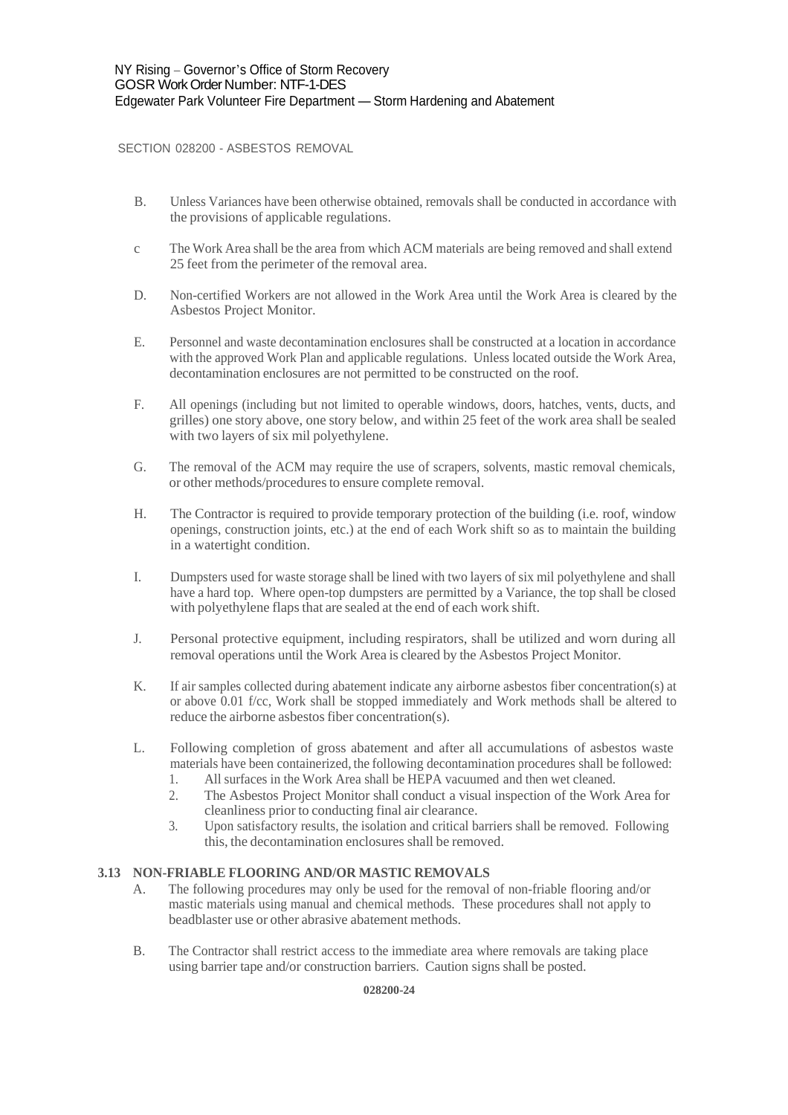

#### **INVITATION FOR BID: Storm Hardening at Edgewater Park Volunteer Fire Department – IFB # GOSR-IFB-2022-01**

Contractor shall comply with the Copeland "Anti-Kickback" Act (18 U.S.C. 874) as supplemented in Department of Labor regulations (29 C.F.R. Part 3). The Act provides that each the Contractor must be prohibited from inducing, by any means, any person employed in the construction, completion, or repair of public work, to give up any part of the compensation to which he or she is otherwise entitled. GOSR must report all suspected or reported violations to the Federal awarding agency.

## **6. Appendix II to Part 200 (E) – Contract Work Hours and Safety Standards Act (40 U.S.C. 3701-3708):**

If this Contract is in excess of \$100,000 and involves the employment of mechanics or laborers, Contractor shall comply with 40 U.S.C. 3702 and 3704, as supplemented by Department of Labor regulations (29 C.F.R. Part 5). Under 40 U.S.C. 3702, each contractor must be required to compute the wages of every mechanic and laborer on the basis of a standard work week of 40 hours. Work in excess of the standard work week is permissible provided that the worker is compensated at a rate of not less than one and a half times the basic rate of pay for all hours worked in excess of 40 hours in the work week. The requirements of 40 U.S.C. 3704 are applicable to construction work and provide that no laborer or mechanic must be required to work in surroundings or under working conditions which are unsanitary, hazardous or dangerous. These requirements do not apply to the purchases of supplies or materials or articles ordinarily available on the open market, or contracts for transportation or transmission of intelligence.

### **7. Appendix II to Part 200 (F) – Rights to Inventions Made Under Contract or Agreement:**

Any discovery or invention that arises during the course of the contract shall be reported to GOSR. This clause requires the Contractor to disclose promptly inventions to GOSR (within 2 months) after the inventor discloses it in writing to Contractor personnel responsible for patent matters. The awarding agency shall determine how rights in the invention/discovery shall be allocated consistent with "Government Patent Policy" and Title 37 C.F.R. § 401.

If the Federal award meets the definition of "funding agreement" under 37 C.F.R. § 401.2(a) and the recipient or subrecipient wishes to enter into a contract with a small business firm or nonprofit organization regarding the substitution of parties, assignment or performance of experimental, developmental, or research work under that "funding agreement," the recipient or subrecipient must comply with the requirements of Title 37 C.F.R. § 401, "Rights to Inventions Made by Nonprofit Organizations and Small Business Firms Under Government Grants, Contracts and Cooperative Agreements," and any implementing regulations issued by the awarding agency.

The regulation at 37 C.F.R. § 401.2(a) currently defines "funding agreement" as any contract, grant, or cooperative agreement entered into between any Federal agency, other than the Tennessee Valley Authority, and any contractor for the performance of experimental, developmental, or research work funded in whole or in part by the Federal government. This term also includes any assignment, substitution of parties, or subcontract of any type entered into for the performance of experimental, developmental, or research work under a funding agreement as defined in the first sentence of this paragraph.

#### **8. Appendix II to Part 200 (G) – Clean Air Act and Federal Water Pollution Control Act:**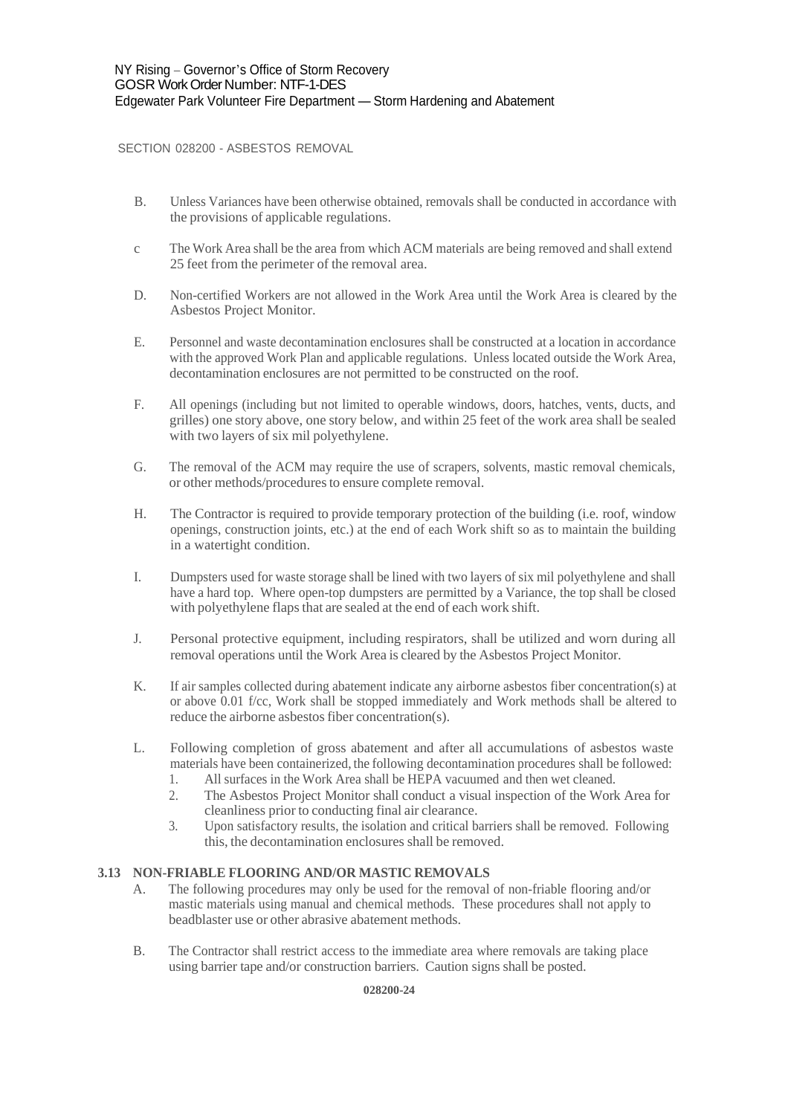

**KATHY HOCHUL** Governor

#### **INVITATION FOR BID: Storm Hardening at Edgewater Park Volunteer Fire Department – IFB # GOSR-IFB-2022-01**

If this Contract is in excess of \$150,000, Contractor shall comply with all applicable standards, orders, or requirements issued pursuant to the Clean Air Act (42 U.S.C. 7401-7671q) and the Federal Water Pollution Control Act as amended (33 U.S.C. 1251-1387).

Pursuant to the Clean Air Act, (1) Contractor agrees to comply with all applicable standards, orders or regulations issued pursuant to the Clean Air Act, as amended, 42 U.S.C. § 7401 et seq., (2) Contractor agrees to report each violation to GOSR and understands and agrees that GOSR will, in turn, report each violation as required to assure notification to the Federal awarding agency and the appropriate Environmental Protection Agency Regional Office, and (3) Contractor agrees to include these requirements in each subcontract exceeding \$150,000.

Pursuant to the Federal Water Pollution Control Act, (1) Contractor agrees to comply with all applicable standards, orders or regulations issued pursuant to the Federal Water Pollution Control Act, as amended, 33 U.S.C. 1251 et seq., (2) Contractor agrees to report each violation to GOSR and understands and agrees that GOSR will, in turn, report each violation as required to assure notification to the Federal awarding agency and the appropriate Environmental Protection Agency Regional Office, and (3) Contractor agrees to include these requirements in each subcontract exceeding \$150,000.

#### **9. Appendix II to Part 200 (H) – Debarment and Suspension:**

A contract award (see 2 C.F.R. § 180.220) must not be made to parties listed on the government wide exclusions in the System for Award Management (SAM), in accordance with the OMB guidelines at 2 C.F.R. 180 that implement Executive Orders 12549 (3 C.F.R. part 1986 Comp., p. 189) and 12689 (3 C.F.R. part 1989 Comp., p. 235), "Debarment and Suspension." SAM Exclusions contains the names of parties debarred, suspended, or otherwise excluded by agencies, as well as parties declared ineligible under statutory or regulatory authority other than Executive Order 12549. SAM exclusions can be accessed at www.sam.gov.

Additionally, no contracts shall be awarded to any Contractor that has been debarred, suspended, or otherwise excluded from or ineligible for participation in any Federal programs, including but not limited to the Department of Health and Human Work (DHHS), Office of Inspector General (OIG) - List of Excluded Individuals & Entities (LEIE); U.S. General Services Administration (GSA) – Excluded Parties List System (EPLS); All States (50) Health & Human Work Commission Medicaid OIG Sanction List; Government Terrorist Watch List (OFAC / Patriot Act); Department of Commerce, Bureau of Industry and Security, Denied Persons List; and Department of Homeland Security, Immigration and Customs Enforcement (ICE) Most Wanted.

This Contract is a covered transaction for purposes of 2 C.F.R. pt. 180 and 2 C.F.R. pt. 3000. As such Contractor is required to verify that none of the Contractor, its principals (defined at 2 C.F.R. § 180.995), or its affiliates (defined at 2 C.F.R. § 180.905) are excluded (defined at 2 C.F.R. § 180.940) or disqualified (defined at 2 C.F.R. § 180.935). These regulations restrict awards, subawards, and contracts with certain parties that are debarred, suspended, or otherwise excluded from or ineligible for participation in Federal assistance programs and activities (See 2 C.F.R Part 200, Appendix II).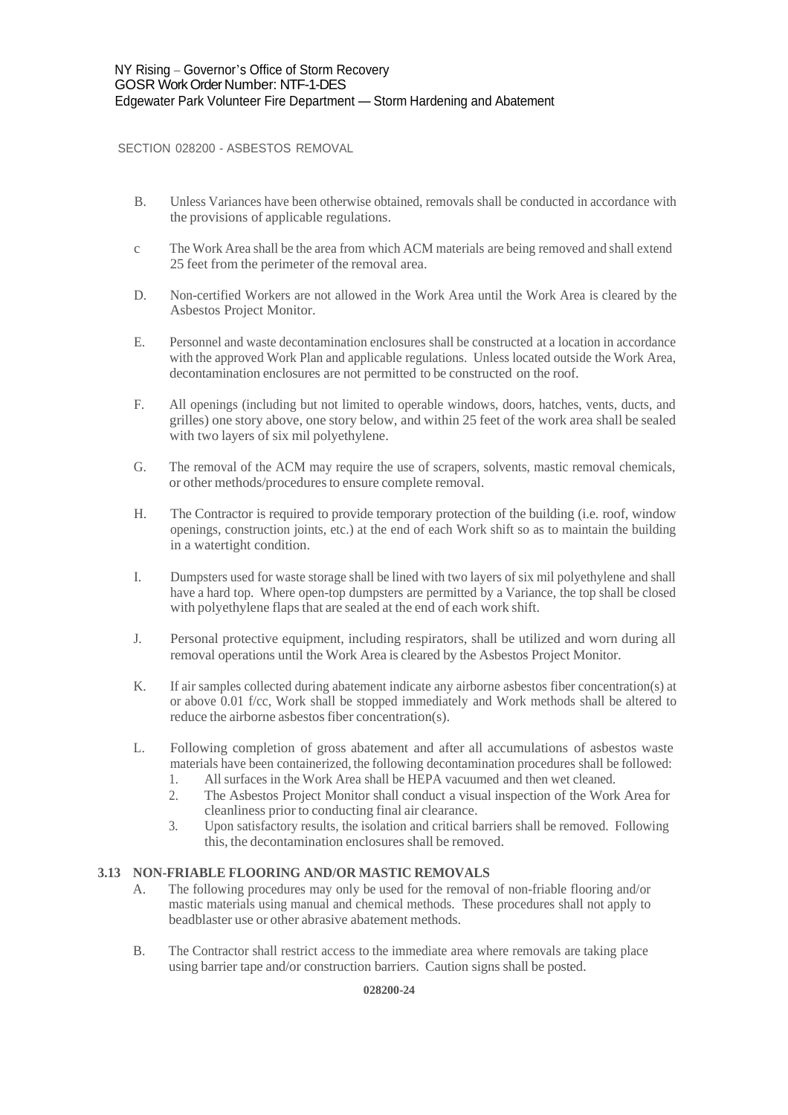

#### **INVITATION FOR BID: Storm Hardening at Edgewater Park Volunteer Fire Department – IFB # GOSR-IFB-2022-01**

Contractor must comply with 2 C.F.R. pt. 180, subpart C and 2 C.F.R. pt. 3000, subpart C and must include a requirement to comply with these regulations in any lower tier covered transaction it enters into.

This certification is a material representation of fact relied upon by GOSR. If it is later determined that Contractor did not comply with 2 C.F.R. pt. 180, subpart C and 2 C.F.R. pt. 3000, subpart C, the Contractor may be subject to available remedies, including but not limited to, refunding GOSR for any payments made to the Contractor while ineligible, and also acknowledges that the Federal Government may pursue available remedies, including but not limited to suspension and/or debarment.

Contractor warrants that it is not debarred, suspended, or otherwise excluded from or ineligible for participation in any Federal programs. Contractor also agrees to verify that all subcontractors performing work under this Contract are not debarred, disqualified, or otherwise prohibited from participation in accordance with the requirements above. Contractor further agrees to notify GOSR in writing immediately if Contractor or its subcontractors are not in compliance during the term of this Contract. GOSR reserves the right to verify Contractor's status and document instances of debarment, suspension, or other ineligibility.

#### **10. Appendix II to Part 200 (I) – Byrd Anti-Lobbying Amendment:**

If this Contract is in excess of \$100,000, Contractor shall have submitted and filed the required certification pursuant to the Byrd Anti-Lobbying Amendment (31 U.S.C. § 1353). If at any time during the Contract term funding exceeds \$100,000.00, Contractor shall file with GOSR the Federal Standard Form LLL titled "Disclosure Form to Report Lobbying." Contractors that apply or bid for an award exceeding \$100,000 must file the required certification. Each tier certifies to the tier above that it will not and has not used Federal appropriated funds to pay any person or organization for influencing or attempting to influence an officer or employee of any agency, a member of Congress, officer or employee of Congress, or an employee of a member of Congress in connection with obtaining any Federal contract, grant or any other award covered by 31 U.S.C. 1352. Each tier must also disclose any lobbying with non-Federal funds that takes place in connection with obtaining any Federal award. Such disclosures are forwarded from tier to tier up to the non-Federal award.

#### **11. Appendix II to Part 200 (J) – Procurement of Recovered Materials (See 2 C.F.R. 200.323):**

Contractor shall comply with section 6002 of the Solid Waste Disposal Act, as amended by the Resource Conservation and Recovery Act. The requirements of Section 6002 include procuring only items designated in guidelines of the Environmental Protection Agency (EPA) at 40 C.F.R. part 247 that contain the highest percentage of recovered materials practicable, consistent with maintaining a satisfactory level of competition, where the purchase price of the item exceeds \$10,000 or the value of the quantity acquired during the preceding fiscal year exceeded \$10,000; procuring solid waste management services in a manner that maximizes energy and resource recovery; and establishing an affirmative procurement program for procurement of recovered materials identified in the EPA guidelines. In the performance of this contract, Contractor shall make maximum use of products containing recovered materials that are EPA-designated items unless the product cannot be acquired—

- Competitively within a timeframe providing for compliance with the contract performance schedule;
- Meeting contract performance requirements; or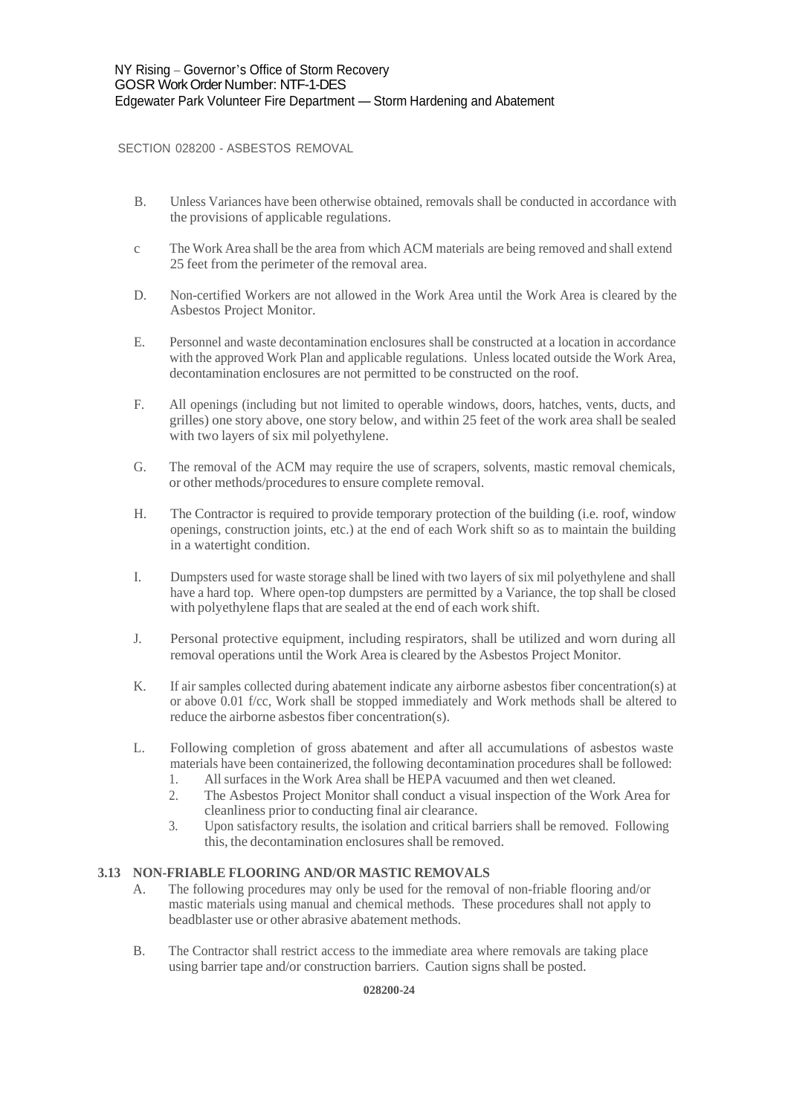

**KATHY HOCHUL** Governor **INVITATION FOR BID: Storm Hardening at Edgewater Park Volunteer Fire Department – IFB # GOSR-IFB-2022-01**

• At a reasonable price.

Contractor shall also comply with all other applicable requirements of Section 6002 of the Solid Waste Disposal Act.

## **12. Appendix II to Part 200 (K) – Prohibition on Certain Telecommunications and Video Surveillance Services or Equipment (See 2 C.F.R. 200.216):**

Contractor shall not contract (or extend or renew a contract) to procure or obtain equipment, services, or systems that uses covered telecommunications equipment or services as a substantial or essential component of any system, or as critical technology as part of any system funded under this Contract. As described in [Public Law](https://1.next.westlaw.com/Link/Document/FullText?findType=l&pubNum=1077005&cite=UUID(I8268A4F099-B011E8B2A4A-B44E977C29C)&originatingDoc=N455EC040DD6E11EAA43FA59EB630F6E1&refType=SL&originationContext=document&transitionType=DocumentItem&contextData=(sc.DocLink))  [115–232,](https://1.next.westlaw.com/Link/Document/FullText?findType=l&pubNum=1077005&cite=UUID(I8268A4F099-B011E8B2A4A-B44E977C29C)&originatingDoc=N455EC040DD6E11EAA43FA59EB630F6E1&refType=SL&originationContext=document&transitionType=DocumentItem&contextData=(sc.DocLink)) section 889, covered telecommunications equipment is telecommunications equipment produced by Huawei Technologies Company or ZTE Corporation (or any subsidiary or affiliate of such entities).

For the purpose of public safety, security of government facilities, physical security surveillance of critical infrastructure, and other national security purposes, video surveillance and telecommunications equipment produced by Hytera Communications Corporation, Hangzhou Hikvision Digital Technology Company, or Dahua Technology Company (or any subsidiary or affiliate of such entities).

Telecommunications or video surveillance services provided by such entities or using such equipment.

Telecommunications or video surveillance equipment or services produced or provided by an entity that the Secretary of Defense, in consultation with the Director of the National Intelligence or the Director of the Federal Bureau of Investigation, reasonably believes to be an entity owned or controlled by, or otherwise connected to, the government of a covered foreign country.

See Public Law 115-232, section 889 for additional information.

#### **13. Appendix II to Part 200 (L) – Domestic Preferences for Procurement (See 2 C.F.R. 200.322):**

As appropriate and to the extent consistent with law, Contractor shall, to the greatest extent practicable, purchase, acquire, or use goods, products, or materials produced in the United States (including but not limited to iron, aluminum, steel, cement, and other manufactured products). The requirements of this section must be included in all subcontracts.

For purposes of this section:

"Produced in the United States'' means, for iron and steel products, that all manufacturing processes, from the initial melting stage through the application of coatings, occurred in the United States.

''Manufactured products'' means items and construction materials composed in whole or in part of nonferrous metals such as aluminum; plastics and polymer-based products such as polyvinyl chloride pipe; aggregates such as concrete; glass, including optical fiber; and lumber.

## **D. SECTION 109 OF THE HOUSING AND COMMUNITY DEVELOPMENT ACT OF 1974 (24 C.F.R. 570.602)**

Section 109 of the Housing and Community Development Act of 1974 requires that no person in the United States shall on the grounds of race, color, national origin, religion, or sex be excluded from participation in, be denied the benefits of, or be subjected to discrimination under any program or activity receiving Federal financial assistance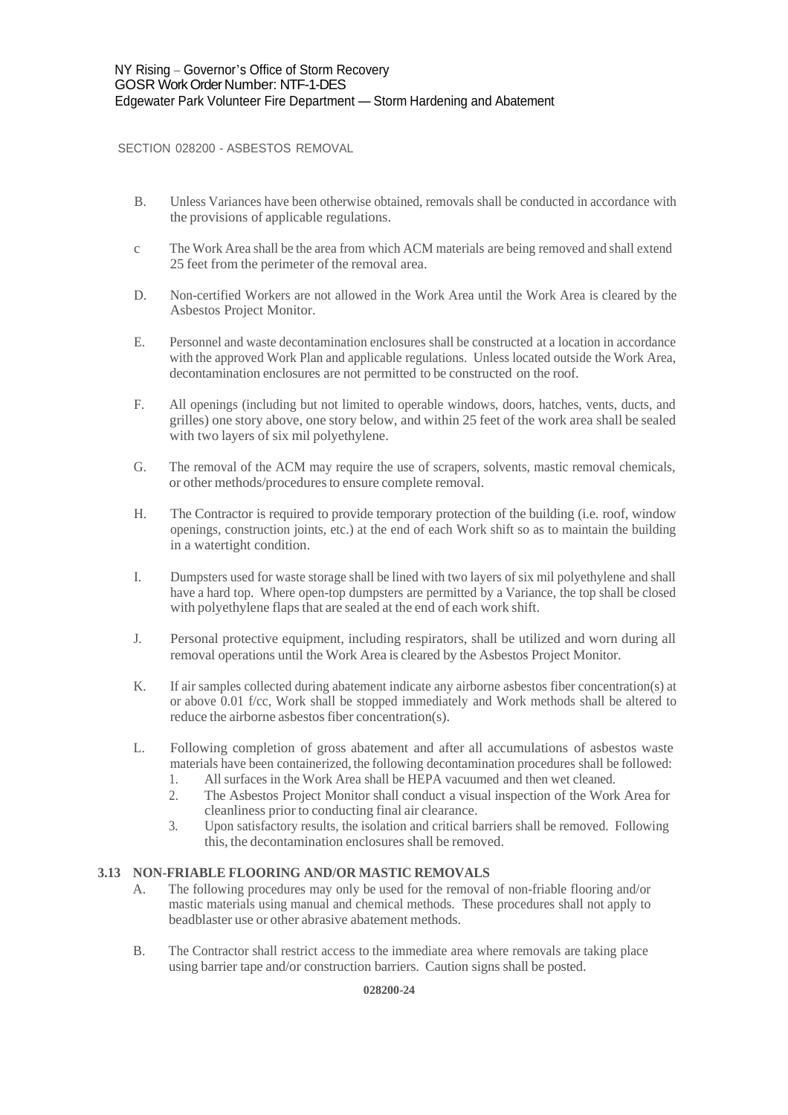

#### **INVITATION FOR BID: Storm Hardening at Edgewater Park Volunteer Fire Department – IFB # GOSR-IFB-2022-01**

made available pursuant to the Act. Section 109 also directs that the prohibitions against discrimination on the basis of age under the Age Discrimination Act and the prohibitions against discrimination on the basis of disability under Section 504 shall apply to programs or activities receiving Federal financial assistance under Title I programs. The policies and procedures necessary to ensure enforcement of section 109 are codified in 24 C.F.R. part 6.

## **E. FLOOD DISASTER PROTECTION ACT OF 1973 (24 C.F.R. 570.605)**

Contractor must comply with the provisions in 24 C.F.R. 570.605, Section 202(a) of the Flood Disaster Protection Act of 1973 (42 U.S.C. 4106), and the regulations in 44 C.F.R. Parts 59-79.

## **F. LEAD-BASED PAINT (24 C.F.R. 570.608)**

Contractor and its subcontractors must comply with the provisions found in 24 C.F.R. 570.608, the Lead-Based Paint Poisoning Prevention Act (42 U.S.C. 4821-4846), the Residential Lead Based Paint Hazard Reduction Act of 1992 (U.S.C. 4851-4856), and 24 C.F.R. Part 35, subparts A, B, J, K, and R. This Article is to be included in all subcontracts, for work in connection with this Contract, which relate to residential structures.

## **G. ACCESSIBILITY (24 C.F.R. 570.614) & SECTION 504 (29 U.S.C. SECTION 794 AND 24 C.F.R. PART 8 & 9)**

Contractor shall comply with all Federal, State and local laws and regulations which prohibit recipients of Federal funding from discriminating against individuals with disabilities. Applicable laws and regulations with which Contractor shall comply shall include, but are not limited to, the following: Section 504 of the Rehabilitation Act of 1973 (29 U.S.C. Section 794) (24 C.F.R. Parts 8‐9); Title II of the Americans with Disabilities Act of 1990; the Architectural Barriers Act of 1968 (42 U.S.C. 4151-4157); the Uniform Federal Accessibility Standards (Appendix A to 24 C.F.R. Part 40 and Appendix A to 41 C.F.R. Part 101-19, subpart 101-19.6); the Americans with Disabilities Act (42 U.S.C. 12131; 47 U.S.C. 155, 201, 218, and 225);

## **H. SECTION 3 OF THE HOUSING AND URBAND DEVELOPMENT ACT OF 1968 (12 U.S.C. 1701U AND 24 C.F.R. PART 75)**

For any HUD-funded housing rehabilitation, housing construction, and other public construction project with a value in excess of \$200,000, contractor and subcontractors must comply with Section 3 of the Housing and Urban Development Act of 1968. The purpose of Section 3 is to ensure that employment and other economic opportunities generated by certain HUD financial assistance shall, to the greatest extent feasible, and consistent with existing Federal, State and local laws and regulations, be directed to low- and very low income persons, particularly those who are recipients of government assistance for housing, and to business concerns which provide economic opportunities to low- and very low-income persons.

Contractors shall ensure that employment, training, or subcontracting opportunities arising in connection with Section 3 projects are provided to Section 3 workers and Section 3 business concerns residing within the metropolitan area (or nonmetropolitan county) in which the project is located.

For any Section 3 covered project, contractor and subcontractors must comply with the implementing regulations under 24 C.F.R. 75.

Where feasible, priority for employment opportunities and training should be given to: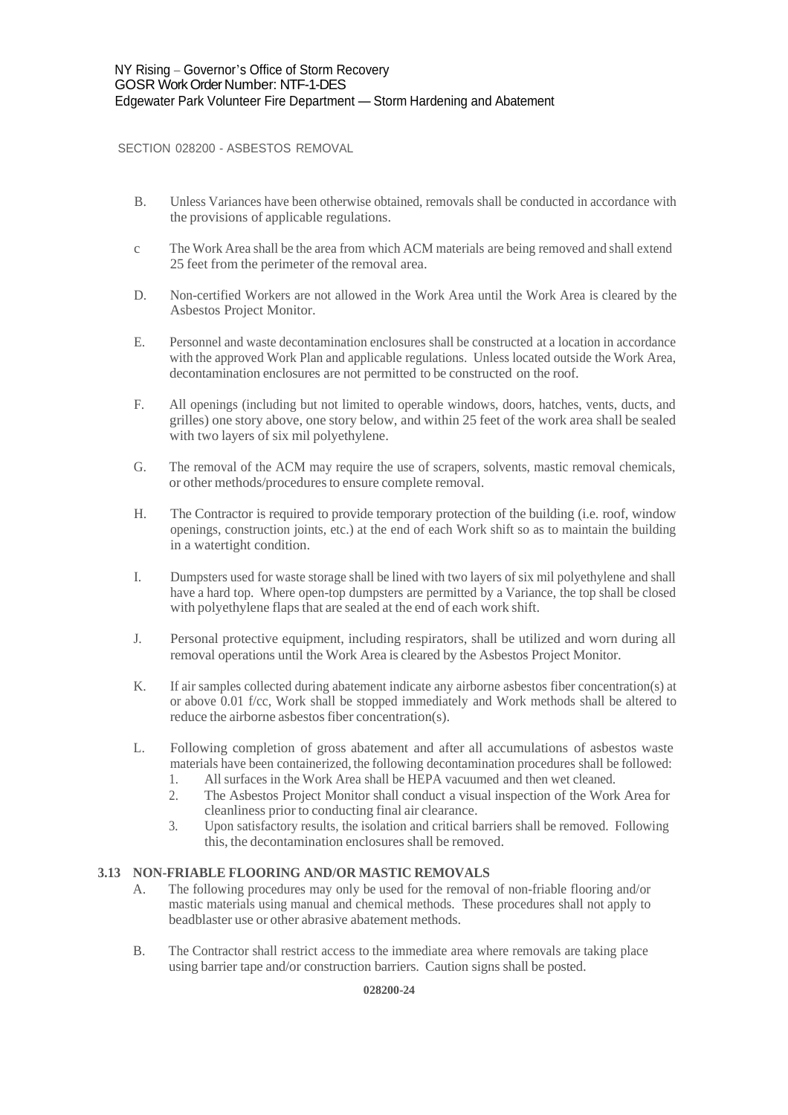

**KATHY HOCHUL** Governor

#### **INVITATION FOR BID: Storm Hardening at Edgewater Park Volunteer Fire Department – IFB # GOSR-IFB-2022-01**

- 1. Section 3 workers residing within the service area or the neighborhood of the project, and
- 2. Participants in YouthBuild programs.

To the greatest extent feasible, and consistent with existing Federal, State, and local laws and regulations, contractors and subcontractors shall ensure contracts for work awarded in connection with Section 3 projects are provided to business concerns that provide economic opportunities to Section 3 workers residing within the metropolitan area (or nonmetropolitan county) in which the project is located.

Where feasible, priority for contracting opportunities should be given to:

- 1. Section 3 business concerns that provide economic opportunities to Section 3 workers residing within the service area or the neighborhood of the project, and
- 2. YouthBuild programs.

Contractors or subcontractors that employ Section 3 workers must maintain documentation to ensure that workers meet the definition of a Section 3 worker or Targeted Section 3 worker, at the time of hire or the first reporting period. Please refer to 24 C.F.R. 75.31 regarding acceptable documentation for a Section 3 worker or Targeted Section 3 worker.

#### **I. ENERGY EFFICIENCY (42 U.S.C. 6201)**

Contractor must comply with the mandatory standards and policies relating to energy efficiency, which are contained in the State energy conservation plan issued in compliance with the Energy Policy and Conservation Act (42 U.S.C. 6201). Contractor must include this provision in all contracts between itself and any subcontractors in connection with services performed under this Contract.

## **J. FAIR LABOR STANDARDS ACT**

Contractor must comply the Fair Labor Standards Act of 1938 (29 U.S.C. Section 201 et seq.) as now or hereafter amended, which regulates wage, hour and other employment practices that govern the use of funds provided and the employment of personnel under this Contract. The Contractor warrants that it will pay all its workers all monies earned by its workers including, but not limited to regular wages, any overtime compensation, or any additional payments pursuant to the Fair Labor Standards Act, 29 United States Code (U.S.C.) Section 207 9a(1), as amended; the Equal Pay Act; Title VII of the Civil Rights Act of 1964, 42 U.S.C. Section 2000, et al., as amended.

## **K. GREEN BUILDING STANDARDS**

At a minimum, the Contractor and its subcontractors must comply with local codes and any applicable national building codes for any work involving rehabilitation or construction, including design. Contractor shall be required to comply with all requirements for Green Building Standards of the Federal awarding agency and/or pass-through entity. Pursuant to Federal Register / Vol. 81, No. 117 / Friday, June 17, 2016 / Notices, Green Building Standards must be met for:

All new construction of residential buildings; and

All replacement of substantially damaged residential buildings. Replacement of residential buildings may include reconstruction (i.e., demolishing and rebuilding a housing unit on the same lot in substantially the same manner)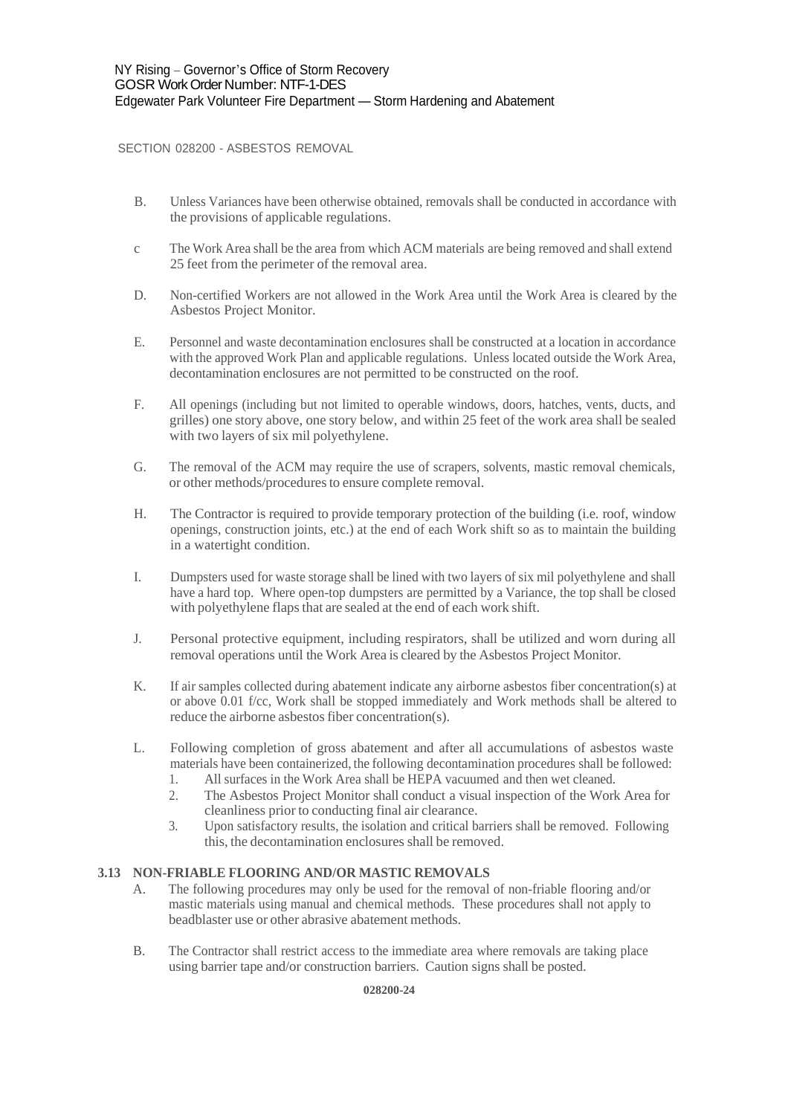

**KATHY HOCHUL** Governor

#### **INVITATION FOR BID: Storm Hardening at Edgewater Park Volunteer Fire Department – IFB # GOSR-IFB-2022-01**

and may include changes to structural elements such as flooring systems, columns, or load bearing interior or exterior walls.

Green Building Standards mean construction that must meet an industry-recognized standard that has achieved certification under at least one of the following programs:

- 1. ENERGY STAR (Certified Homes or Multifamily High-Rise)
- 2. Enterprise Green Communities
- 3. LEED (New Construction, Homes, Midrise, Existing Buildings Operations and Maintenance, or Neighborhood Development)
- 4. ICC–700 National Green Building Standard
- 5. EPA Indoor AirPlus (ENERGY STAR a prerequisite)
- 6. Any other equivalent comprehensive green building program

Residential buildings include single-family properties, multifamily properties, or both. All rehabilitation, reconstruction, and new construction should be designed to incorporate principles of sustainability, including water and energy efficiency, resilience, and mitigating the impact of future disasters.

#### **L. NON-COLLUSION (THE SHERMAN ACT)**

Contractor must comply with the requirements of The Sherman Act, which prohibits collusion. Collusion occurs when two persons or representatives of an entity or organization make an agreement to deceive or mislead another. Such agreements are usually secretive and involve fraud or gaining an unfair advantage over a third party, competitors, consumers or others with whom they are negotiating. The collusion, therefore, makes the bargaining process inherently unfair. Collusion can involve promises of future benefits, price or wage fixing, kickbacks, or misrepresenting the independence of the relationship between the colluding parties.

The Sherman Act prohibits any agreement among competitors to fix prices, rig bids, or engage in other anticompetitive activity. Collusion, bid rigging, or other anticompetitive activity is considered a felony.

Contractor shall not in any way, directly or indirectly:

- Collude, conspire, or agree with any other person, firm, corporation, Bidder or potential Bidder to the amount of this Bid or the terms or conditions of this Bid.
- Pay or agree to pay any other person, firm, corporation Bidder or potential Bidder any money or anything of value in return for assistance in procuring or attempting to procure a contract or in return for establishing the prices in the attached Bid or the Bid of any other Bidder.
- Assemble in coordination with any other organization in an attempt to fix the price of the work.
- Contractor is expected to report any suspected fraud, collusion, or impropriety from the inception of solicitation through the end of the Contract term.

## **M. NON-SEGREGATED FACILITIES**

"Prohibition of Segregated Facilities"

Segregated facilities means any waiting rooms, work areas, rest rooms and wash rooms, restaurants and other eating areas, time clocks, locker rooms and other storage or dressing areas, parking lots, drinking fountains, recreation or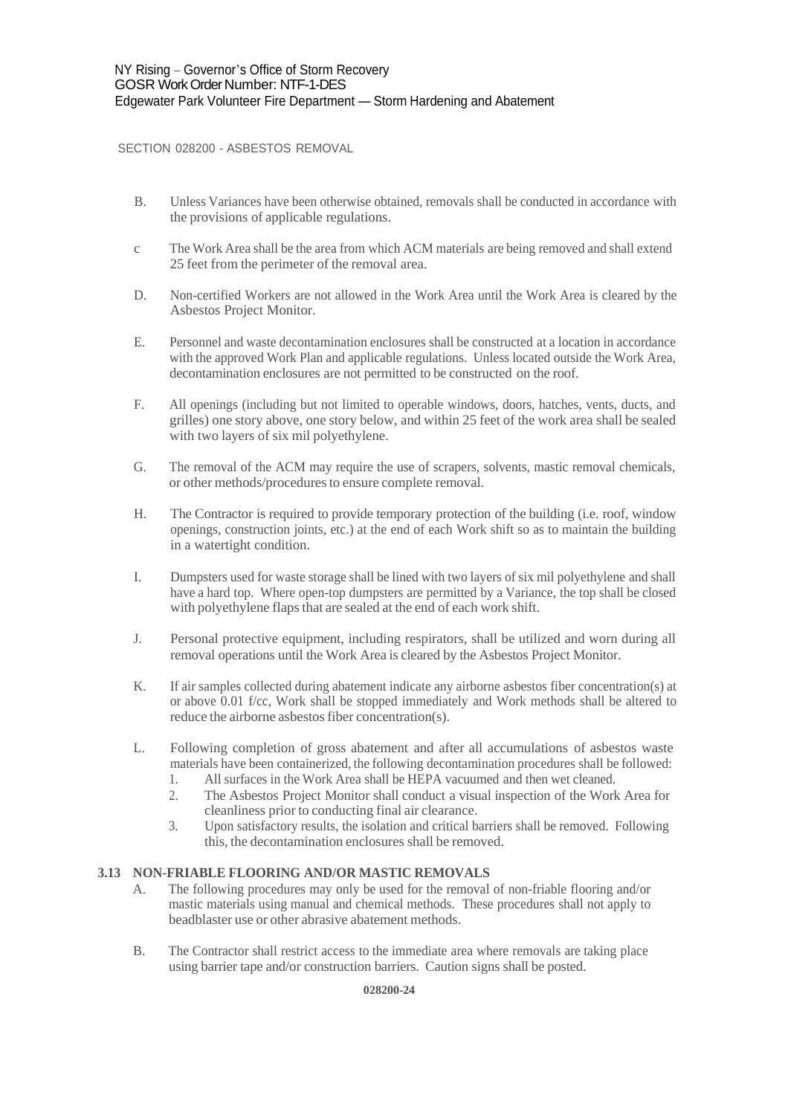

#### **INVITATION FOR BID: Storm Hardening at Edgewater Park Volunteer Fire Department – IFB # GOSR-IFB-2022-01**

entertainment areas, transportation, and housing facilities provided for employees, that are segregated by explicit directive or are in fact segregated on the basis of race, color, religion, sex, sexual orientation, gender identity, or national origin because of written or oral policies or employee custom. The term does not include separate or singleuser rest rooms or necessary dressing or sleeping areas provided to assure privacy between the sexes.

Sexual orientation has the meaning given by the Department of Labor's Office of Federal Contract Compliance Programs, and is found at [www.dol.gov/ofccp/LGBT/LGBT\\_FAQs.html.](http://www.dol.gov/ofccp/LGBT/LGBT_FAQs.html)

The Contractor agrees that it does not and will not maintain or provide for its employees any segregated facilities at any of its establishments, and that it does not and will not permit its employees to perform their services at any location under its control where segregated facilities are maintained. The Contractor agrees that a breach of this clause is a violation of the Equal Opportunity clause in this contract.

The Contractor shall include this clause in every subcontract and purchase order that is subject to the Equal Opportunity clause of this Contract.

## **N. WHISTLEBLOWER PROTECTION ACT**

Contractor, subcontractors, and employees working on this Project shall be subject 41 U.S. Code § 4712, which requires that an employee of a contractor, subcontractor, grantee, or subgrantee or personal services contractor may not be discharged, demoted, or otherwise discriminated against as a reprisal for disclosing information that the employee reasonably believes is evidence of gross mismanagement of a Federal contract or grant, a gross waste of Federal funds, an abuse of authority relating to a Federal contract or grant, a substantial and specific danger to public health or safety, or a violation of law, rule, or regulation related to a Federal contract (including the competition for or negotiation of a contract) or grant.

The Contractor shall inform its employees and subcontractors in writing, in the predominant language of the workforce, of employee whistleblower rights and protections under 41 U.S.C. 4712, as described in section 3.908 of the Federal Acquisition Regulation. The Contractor shall insert the substance of this clause, including this paragraph, in all subcontracts providing services for this Project.

## **O. MISCELLANEOUS PROVISIONS**

Program Fraud & False or Fraudulent Statements or Related Acts: Contractor acknowledges that 31 U.S.C. Chapter 38 (Administrative Remedies for False Claims and Statements) applies to the Contractor's actions pertaining to this Contract.

No Obligation by Federal Government: The Federal Government is not a party to this Contract and is not subject to any obligations or liabilities to GOSR, Contractor, any subcontractors or any other party pertaining to any matter resulting from the Contract.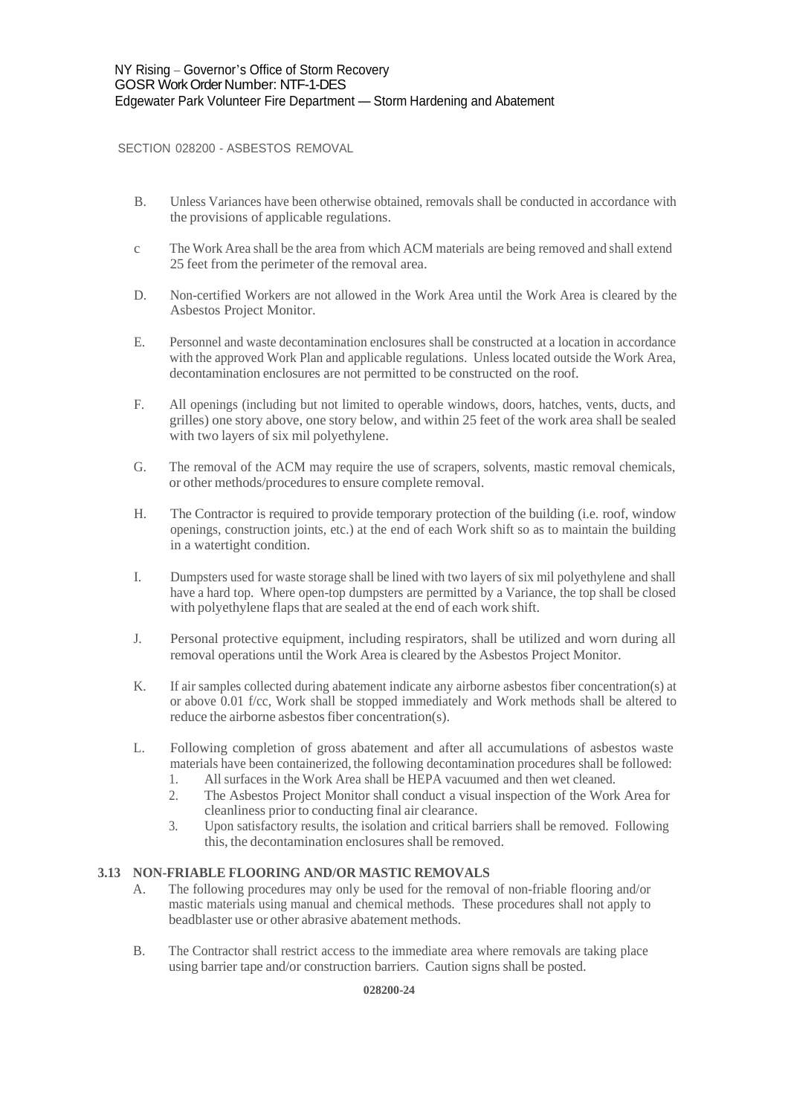



**INVITATION FOR BID: Storm Hardening at Edgewater Park Volunteer Fire Department – IFB # GOSR-IFB-2022-01**

## **APPENDIX II – STANDARD CLAUSES FOR CONTRACTS WITH HTFC**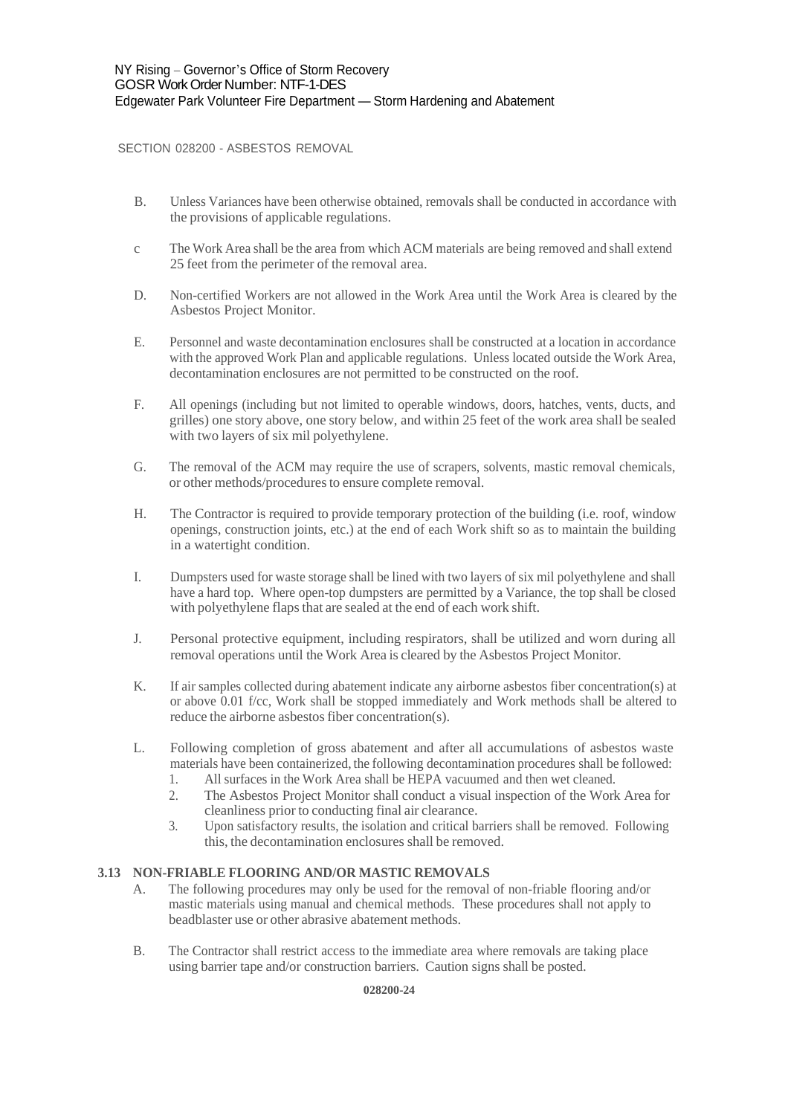

**KATHY HOCHUL** Governor

**INVITATION FOR BID: Storm Hardening at Edgewater Park Volunteer Fire Department – IFB # GOSR-IFB-2022-01**

## **APPENDIX III – DIVERSITY FORMS**